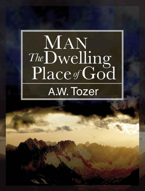# **MAN** The Dwelling<br>Place of God A.W. Tozer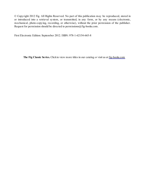© Copyright 2012 Fig. All Rights Reserved. No part of this publication may be reproduced, stored in<br>or introduced into a retrieval system, or transmitted, in any form, or by any means (electronic,<br>mechanical, photo-copying

First Electronic Edition: September 2012. ISBN: 978-1-62154-665-8

**The Fig Classic Series.** Clickto view more titles in our catalog *or* visit us at fig-books.com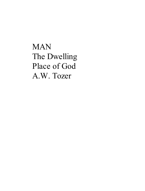MAN The Dwelling Place of God A.W. Tozer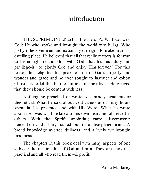#### Introduction

THE SUPREME INTEREST in the life of A. W. Tozer was God: He who spoke and brought the world into being, Who justly rules over men and nations, yet deigns to make man His dwelling place. He believed that all that really matters is for man to be in right relationship with God, that his first duty-and privilege-is "to glorify God and enjoy Him forever." For this reason he delighted to speak to men of God's majesty and wonder and grace and he ever sought to instruct and exhort Christians to let this be the purpose of their lives. He grieved that they should be content with less.

Nothing he preached or wrote was merely academic or theoretical. What he said about God came out of many hours spent in His presence and with His Word. What he wrote about men was what he knew of his own heart and observed in others. With the Spirit's anointing came discernment; perception and clarity issued out of a disciplined mind. A broad knowledge averted dullness, and a lively wit brought freshness.

The chapters in this book deal with many aspects of one subject: the relationship of God and man. They are above all practical and all who read themwill profit.

Anita M. Bailey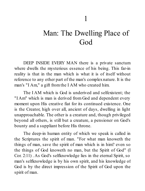1

### Man: The Dwelling Place of God

DEEP INSIDE EVERY MAN there is a private sanctum where dwells the mysterious essence of his being. This far-in reality is that in the man which is what it is of itself without reference to any other part of the man's complexnature. It is the man's "I Am," a gift fromthe I AM who created him.

The I AM which is God is underived and selfexistent; the "I Am" which is man is derived from God and dependent every moment upon His creative fiat for its continued existence. One is the Creator, high over all, ancient of days, dwelling in light unapproachable. The other is a creature and, though privileged beyond all others, is still but a creature, a pensioner on God's bounty and a suppliant before His throne.

The deep-in human entity of which we speak is called in the Scriptures the spirit of man. "For what man knoweth the things of man, save the spirit of man which is in him? even so the things of God knoweth no man, but the Spirit of God" (I Cor. 2:11) . As God's selfknowledge lies in the eternal Spirit, so man's selfknowledge is by his own spirit, and his knowledge of God is by the direct impression of the Spirit of God upon the spirit of man.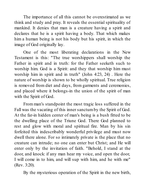The importance of all this cannot be overestimated as we think and study and pray. It reveals the essential spirituality of mankind. It denies that man is a creature having a spirit and declares that he is a spirit having a body. That which makes him a human being is not his body but his spirit, in which the image of God originally lay.

One of the most liberating declarations in the New Testament is this: "The true worshippers shall worship the Father in spirit and in truth: for the Father seeketh such to worship him. God is a Spirit: and they that worship him must worship him in spirit and in truth" (John 4:23, 24) . Here the nature of worship is shown to be wholly spiritual. True religion is removed from diet and days, from garments and ceremonies, and placed where it belongs-in the union of the spirit of man with the Spirit of God.

From man's standpoint the most tragic loss suffered in the Fall was the vacating of this inner sanctumby the Spirit of God. At the far-in hidden center of man's being is a bush fitted to be the dwelling place of the Triune God. There God planned to rest and glow with moral and spiritual fire. Man by his sin forfeited this indescribably wonderful privilege and must now dwell there alone. For so intimately private is the place that no creature can intrude; no one can enter but Christ; and He will enter only by the invitation of faith. "Behold, I stand at the door, and knock: if any man hear my voice, and open the door, I will come in to him, and will sup with him, and he with me" (Rev. 3:20).

By the mysterious operation of the Spirit in the new birth,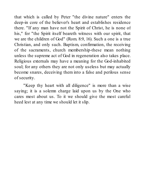that which is called by Peter "the divine nature" enters the deep-in core of the believer's heart and establishes residence there. "If any man have not the Spirit of Christ, he is none of his," for "the Spirit itself beareth witness with our spirit, that we are the children of God" (Rom. 8:9, 16). Such a one is a true Christian, and only such. Baptism, confirmation, the receiving of the sacraments, church membership-these mean nothing unless the supreme act of God in regeneration also takes place. Religious externals may have a meaning for the God-inhabited soul; for any others they are not only useless but may actually become snares, deceiving them into a false and perilous sense of security.

"Keep thy heart with all diligence" is more than a wise saying; it is a solemn charge laid upon us by the One who cares most about us. To it we should give the most careful heed lest at any time we should let it slip.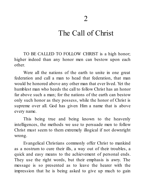#### The Call of Christ

TO BE CALLED TO FOLLOW CHRIST is a high honor; higher indeed than any honor men can bestow upon each other.

Were all the nations of the earth to unite in one great federation and call a man to head that federation, that man would be honored above any other man that ever lived. Yet the humblest man who heeds the call to follow Christ has an honor far above such a man; for the nations of the earth can bestow only such honor as they possess, while the honor of Christ is supreme over all. God has given Him a name that is above every name.

This being true and being known to the heavenly intelligences, the methods we use to persuade men to follow Christ must seem to them extremely illogical if not downright wrong.

Evangelical Christians commonly offer Christ to mankind as a nostrum to cure their ills, a way out of their troubles, a quick and easy means to the achievement of personal ends. They use the right words, but their emphasis is awry. The message is so presented as to leave the hearer with the impression that he is being asked to give up much to gain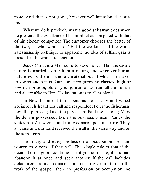more. And that is not good, however well intentioned it may be.

What we do is precisely what a good salesman does when he presents the excellence of his product as compared with that of his closest competitor. The customer chooses the better of the two, as who would not? But the weakness of the whole salesmanship technique is apparent: the idea of selfish gain is present in the whole transaction.

Jesus Christ is a Man come to save men. In Him the divine nature is married to our human nature, and wherever human nature exists there is the raw material out of which He makes followers and saints. Our Lord recognizes no classes, high or low, rich or poor, old or young, man or woman: all are human and all are alike to Him. His invitation is to all mankind.

In New Testament times persons from many and varied social levels heard His call and responded: Peter the fisherman; Levi the publican; Luke the physician; Paul the scholar; Mary the demon possessed; Lydia the businesswoman; Paulus the statesman. A few great and many common persons came. They all came and our Lord received them all in the same way and on the same terms.

From any and every profession or occupation men and women may come if they will. The simple rule is that if the occupation is good, continue in it if you so desire; if it is bad, abandon it at once and seek another. If the call includes detachment from all common pursuits to give full time to the work of the gospel, then no profession or occupation, no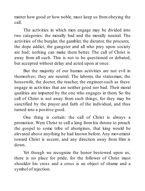matter how good or how noble, must keep us from obeying the call.

The activities in which men engage may be divided into two categories: the morally bad and the morally neutral. The activities of the burglar, the gambler, the dictator, the procurer, the dope addict, the gangster and all who prey upon society are bad; nothing can make them better. The call of Christ is away from all such. This is not to be questioned or debated, but accepted without delay and acted upon at once.

But the majority of our human activities are not evil in themselves; they are neutral. The laborer, the statesman, the housewife, the doctor, the teacher, the engineer-such as these engage in activities that are neither good nor bad. Their moral qualities are imparted by the one who engages in them. So the call of Christ is not away from such things, for they may be sanctified by the prayer and faith of the individual, and thus turned into a positive good.

One thing is certain: the call of Christ is always a promotion. Were Christ to call a king from his throne to preach the gospel to some tribe of aborigines, that king would be elevated above anything he had known before. Any movement toward Christ is ascent, and any direction away from Him is down.

Yet though we recognize the honor bestowed upon us, there is no place for pride, for the follower of Christ must shoulder his cross and a cross is an object of shame and a symbol of rejection.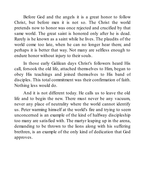Before God and the angels it is a great honor to follow Christ, but before men it is not so. The Christ the world pretends now to honor was once rejected and crucified by that same world. The great saint is honored only after he is dead. Rarely is he known as a saint while he lives. The plaudits of the world come too late, when he can no longer hear them; and perhaps it is better that way. Not many are selfless enough to endure honor without injury to their souls.

In those early Galilean days Christ's followers heard His call, forsook the old life, attached themselves to Him, began to obey His teachings and joined themselves to His band of disciples. This total commitment was their confirmation of faith. Nothing less would do.

And it is not different today. He calls us to leave the old life and to begin the new. There must never be any vacuum, never any place of neutrality where the world cannot identify us. Peter warming himself at the world's fire and trying to seem unconcerned is an example of the kind of halfway discipleship too many are satisfied with. The martyr leaping up in the arena, demanding to be thrown to the lions along with his suffering brethren, is an example of the only kind of dedication that God approves.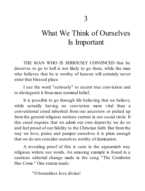# What We Think of Ourselves Is Important

THE MAN WHO IS SERIOUSLY CONVINCED that he deserves to go to hell is not likely to go there, while the man who believes that he is worthy of heaven will certainly never enter that blessed place.

I use the word "seriously" to accent true conviction and to distinguish it frommere nominal belief.

It is possible to go through life believing that we believe, while actually having no conviction more vital than a conventional creed inherited from our ancestors or picked up from the general religious notions current in our social circle. If this creed requires that we admit our own depravity we do so and feel proud of our fidelity to the Christian faith. But fromthe way we love, praise and pamper ourselves it is plain enough that we do not consider ourselves worthy of damnation.

A revealing proof of this is seen in the squeamish way religious writers use words. An amusing example is found in a cautious editorial change made in the song "The Comforter Has Come." One stanza reads:

"O boundless love divine!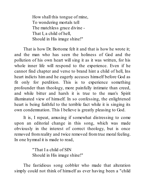How shall this tongue of mine, To wondering mortals tell The matchless grace divine - That I, a child of hell, Should in His image shine!"

That is how Dr. Bottome felt it and that is how he wrote it; and the man who has seen the holiness of God and the pollution of his own heart will sing it as it was written, for his whole inner life will respond to the experience. Even if he cannot find chapter and verse to brand hint a child of hell, Ins heart indicts him and he eagerly accuses himself before God as fit only for perdition. This is to experience something profounder than theology, more painfully intimate than creed, and while bitter and harsh it is true to the man's Spirit illuminated view of himself. In so confessing, the enlightened heart is being faithful to the terrible fact while it is singing its own condemnation. This I believe is greatly pleasing to God.

It is, I repeat, amusing if somewhat distressing to come upon an editorial change in this song, which was made obviously in the interest of correct theology, but is once removed fromreality and twice removed fromtrue moral feeling. In one hymnal it is made to read,

> "That I a child of SIN Should in His image shine!"

The fastidious song cobbler who made that alteration simply could not think of himself as ever having been a "child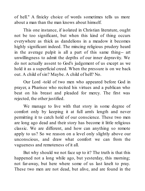of hell." A finicky choice of words sometimes tells us more about a man than the man knows about himself.

This one instance, if isolated in Christian literature, ought not be too significant, but when this kind of thing occurs everywhere as thick as dandelions in a meadow it becomes highly significant indeed. The mincing religious prudery heard in the average pulpit is all a part of this same thing-- art unwillingness to admit the depths of our inner depravity. We do not actually assent to God's judgement of us except as we hold it as a superficial creed. When the pressure is on we back out. A child of sin? Maybe. A child of hell? No.

Our Lord -told of two men who appeared before God in prayer, a Pharisee who recited his virtues and a publican who beat on his breast and pleaded for mercy. The first was rejected, the other justified.

We manage to live with that story in some degree of comfort only by keeping it at full arm's length and never permitting it to catch hold of our conscience. These two men are long ago dead and their story has become it little religious classic. We are different, and how can anything so remote apply to us? So we reason on a level only slightly above our unconscious, and draw what comfort we can from the vagueness and remoteness of it all.

But why should we not face up to it? The truth is that this happened not a long while ago, but yesterday, this morning; not far-away, but here where some of us last knelt to pray. These two men are not dead, but alive, and are found in the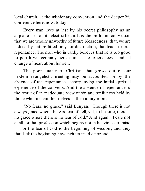local church, at the missionary convention and the deeper life conference here, now, today.

Every man lives at last by his secret philosophy as an airplane flies on its electric beam. It is the profound conviction that we are wholly unworthy of future blessedness, that, we are indeed by nature fitted only for destruction, that leads to true repentance. The man who inwardly believes that lie is too good to perish will certainly perish unless he experiences a radical change of heart about himself.

The poor quality of Christian that grows out of our modern evangelistic meeting may be accounted for by the absence of real repentance accompanying the initial spiritual experience of the converts. And the absence of repentance is the result of an inadequate view of sin and sinfulness held by those who present themselves in the inquiry room.

"No fears, no grace," said Bunyan. "Though there is not always grace where there is fear of hell, yet, to be sure, there is no grace where there is no fear of God." And again, "I care not at all for that profession which begins not in heaviness of mind .... For the fear of God is the beginning of wisdom, and they that lack the beginning have neither middle nor end."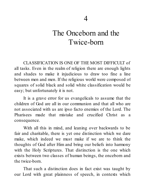## The Onceborn and the Twice-born

CLASSIFICATION IS ONE OF THE MOST DIFFICULT of all tasks. Even in the realm of religion there are enough lights and shades to make it injudicious to draw too fine a line between men and men. If the religious world were composed of squares of solid black and solid white classification would be easy; but unfortunately it is not.

It is a grave error for us evangelicals to assume that the children of God are all in our communion and that all who are not associated with us are ipso facto enemies of the Lord. The Pharisees made that mistake and crucified Christ as a consequence.

With all this in mind, and leaning over backwards to be fair and charitable, there is yet one distinction which we dare make, which indeed we must make if we are to think the thoughts of God after Him and bring our beliefs into harmony with the Holy Scriptures. That distinction is the one which exists between two classes of human beings, the onceborn and the twice-born.

That such a distinction does in fact exist was taught by our Lord with great plainness of speech, in contexts which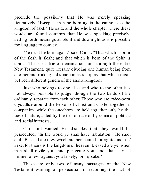preclude the possibility that He was merely speaking figuratively. "Except a man be born again, he cannot see the kingdom of God," He said, and the whole chapter where these words are found confirms that He was speaking precisely, setting forth meanings as blunt and downright as it is possible for language to convey.

"Ye must be born again," said Christ. "That which is born of the flesh is flesh; and that which is born of the Spirit is spirit." This clear line of demarcation runs through the entire New Testament, quite literally dividing one human being from another and making a distinction as sharp as that which exists between different genera of the animal kingdom.

Just who belongs to one class and who to the other it is not always possible to judge, though the two kinds of life ordinarily separate from each other. Those who are twice-born crystallize around the Person of Christ and cluster together in companies, while the onceborn are held together only by the ties of nature, aided by the ties of race or by common political and social interests.

Our Lord warned His disciples that they would be persecuted. "In the world ye shall have tribulation," He said, and "Blessed are they which are persecuted for righteousness' sake: for theirs is the kingdom of heaven. Blessed are ye, when men shall revile you, and persecute you, and shall say all manner of evil against you falsely, for my sake."

These are only two of many passages of the New Testament warning of persecution or recording the fact of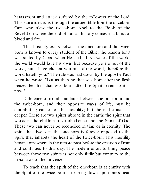harassment and attack suffered by the followers of the Lord. This same idea runs through the entire Bible fromthe onceborn Cain who slew the twice-born Abel to the Book of the Revelation where the end of human history comes in a burst of blood and fire.

That hostility exists between the onceborn and the twiceborn is known to every student of the Bible; the reason for it was stated by Christ when He said, "If ye were of the world, the world would love his own: but because ye are not of the world, but I have chosen you out of the world, therefore the world hateth you." The rule was laid down by the apostle Paul when he wrote, "But as then he that was born after the flesh persecuted him that was born after the Spirit, even so it is now."

Difference of moral standards between the onceborn and the twice-born, and their opposite ways of life, may be contributing causes of this hostility; but the real cause lies deeper. There are two spirits abroad in the earth: the spirit that works in the children of disobedience and the Spirit of God. These two can never be reconciled in time or in eternity. The spirit that dwells in the onceborn is forever opposed to the Spirit that inhabits the heart of the twice-born. This hostility began somewhere in the remote past before the creation of man and continues to this day. The modern effort to bring peace between these two spirits is not only futile but contrary to the moral laws of the universe.

To teach that the spirit of the onceborn is at enmity with the Spirit of the twice-born is to bring down upon one's head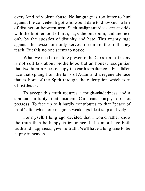every kind of violent abuse. No language is too bitter to hurl against the conceited bigot who would dare to draw such a line of distinction between men. Such malignant ideas are at odds with the brotherhood of man, says the onceborn, and are held only by the apostles of disunity and hate. This mighty rage against the twice-born only serves to confirm the truth they teach. But this no one seems to notice.

What we need to restore power to the Christian testimony is not soft talk about brotherhood but an honest recognition that two human races occupy the earth simultaneously: a fallen race that sprang from the loins of Adam and a regenerate race that is born of the Spirit through the redemption which is in Christ Jesus.

To accept this truth requires a tough-mindedness and a spiritual maturity that modern Christians simply do not possess. To face up to it hardly contributes to that "peace of mind" after which our religious weaklings bleat so plaintively.

For myself, I long ago decided that I would rather know the truth than be happy in ignorance. If I cannot have both truth and happiness, give me truth. We'll have a long time to be happy in heaven.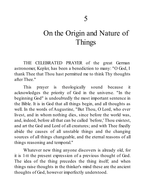# On the Origin and Nature of Things

THE CELEBRATED PRAYER of the great German astronomer, Kepler, has been a benediction to many: "O God, I thank Thee that Thou hast permitted me to think Thy thoughts after Thee."

This prayer is theologically sound because it acknowledges the priority of God in the universe. "In the beginning God" is undoubtedly the most important sentence in the Bible. It is in God that all things begin, and all thoughts as well. In the words of Augustine, "But Thou, O Lord, who ever livest, and in whom nothing dies, since before the world was, and, indeed, before all that can be called `before,' Thou existest, and art the God and Lord of all creatures; and with Thee fixedly abide the causes of all unstable things and the changing sources of all things changeable, and the eternal reasons of all things reasoning and temporal."

Whatever new thing anyone discovers is already old, for it is 1-tt the present expression of a previous thought of God. The idea of the thing precedes the thing itself; and when things raise thoughts in the thinker's mind these are the ancient thoughts of God, however imperfectly understood.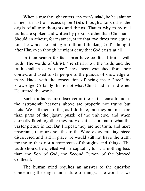When a true thought enters any man's mind, be he saint or sinner, it must of necessity be God's thought, for God is the origin of all true thoughts and things. That is why many real truths are spoken and written by persons other than Christians. Should an atheist, for instance, state that two times two equals four, he would be stating a truth and thinking God's thought after Him, even though he might deny that God exists at all.

In their search for facts men have confused truths with truth. The words of Christ, "Ye shall know the truth, and the truth shall make you free," have been wrenched from their context and used to stir people to the pursuit of knowledge of many kinds with the expectation of being made "free" by knowledge. Certainly this is not what Christ had in mind when He uttered the words.

Such truths as men discover in the earth beneath and in the astronomic heavens above are properly not truths but facts. We call them truths, as I do here, but they are no more than parts of the jigsaw puzzle of the universe, and when correctly fitted together they provide at least a hint of what the vaster picture is like. But I repeat, they are not truth, and more important, they are not the truth. Were every missing piece discovered and laid in place we would still not have the truth. for the truth is not a composite of thoughts and things. The truth should be spelled with a capital T, for it is nothing less than the Son of God, the Second Person of the blessed Godhead.

The human mind requires an answer to the question concerning the origin and nature of things. The world as we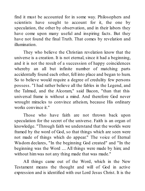find it must be accounted for in some way. Philosophers and scientists have sought to account for it, the one by speculation, the other by observation, and in their labors they have come upon many useful and inspiring facts. But they have not found the final Truth. That comes by revelation and illumination.

They who believe the Christian revelation know that the universe is a creation. It is not eternal, since it had a beginning, and it is not the result of a succession of happy coincidences whereby an all but infinite number of matching parts accidentally found each other, fell into place and began to hum. So to believe would require a degree of credulity few persons possess. "I had rather believe all the fables in the Legend, and the Talmud, and the Alcoram," said Bacon, "than that this universal frame is without a mind. And therefore God never wrought miracles to convince atheism, because His ordinary works convince it."

Those who have faith are not thrown back upon speculation for the secret of the universe. Faith is an organ of knowledge. "Through faith we understand that the worlds were framed by the word of God, so that things which are seen were not made of things which do appear." The voice of Eternal Wisdom declares, "In the beginning God created" and "In the beginning was the Word .... All things were made by him; and without himwas not any thing made that was made."

All things came out of the Word, which in the New Testament means the thought and will of God in active expression and is identified with our Lord Jesus Christ. It is the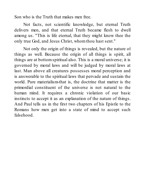Son who is the Truth that makes men free.

Not facts, not scientific knowledge, but eternal Truth delivers men, and that eternal Truth became flesh to dwell among us. "This is life eternal, that they might know thee the only true God, and Jesus Christ, whomthou hast sent."

Not only the origin of things is revealed, but the nature of things as well. Because the origin of all things is spirit, all things are at bottomspiritual also. This is a moral universe; it is governed by moral laws and will be judged by moral laws at last. Man above all creatures possesses moral perception and is answerable to the spiritual laws that pervade and sustain the world. Pure materialism-that is, the doctrine that matter is the primordial constituent of the universe is not natural to the human mind. It requires a chronic violation of our basic instincts to accept it as an explanation of the nature of things. And Paul tells us in the first two chapters of his Epistle to the Romans how men get into a state of mind to accept such falsehood.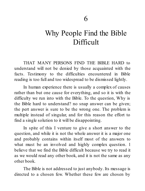### Why People Find the Bible Difficult

THAT MANY PERSONS FIND THE BIBLE HARD to understand will not be denied by those acquainted with the facts. Testimony to the difficulties encountered in Bible reading is too full and too widespread to be dismissed lightly.

In human experience there is usually a complex of causes rather than but one cause for everything, and so it is with the difficulty we run into with the Bible. To the question, Why is the Bible hard to understand? no snap answer can be given; the pert answer is sure to be the wrong one. The problem is multiple instead of singular, and for this reason the effort to find a single solution to it will be disappointing.

In spite of this I venture to give a short answer to the question, and while it is not the whole answer it is a major one and probably contains within itself most of the answers to what must be an involved and highly complex question. 1 believe that we find the Bible difficult because we try to read it as we would read any other book, and it is not the same as any other book.

The Bible is not addressed to just anybody. Its message is directed to a chosen few. Whether these few are chosen by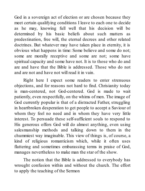God in a sovereign act of election or are chosen because they meet certain qualifying conditions I leave to each one to decide as he may, knowing full well that his decision will be determined by his basic beliefs about such matters as predestination, free will, the eternal decrees and other related doctrines. But whatever may have taken place in eternity, it is obvious what happens in time: Some believe and some do not; some are morally receptive and some are not; some have spiritual capacity and some have not. It is to those who do and are and have that the Bible is addressed. Those who do not and are not and have not will read it in vain.

Right here I expect some readers to enter strenuous objections, and for reasons not hard to find. Chrisianity today is man-centered, not God-centered. God is made to wait patiently, even respectfully, on the whims of men. The image of God currently popular is that of a distracted Father, struggling in heartbroken desperation to get people to accept a Saviour of whom they feel no need and in whom they have very little interest. To persuade these self-sufficient souls to respond to His generous offers God will do almost anything, even using salesmanship methods and talking down to them in the chummiest way imaginable. This view of things is, of course, a kind of religious romanticism which, while it often uses flattering and sometimes embarassing terms in praise of God, manages nevertheless to make man the star of the show.

The notion that the Bible is addressed to everybody has wrought confusion within and without the church. The effort to apply the teaching of the Sermon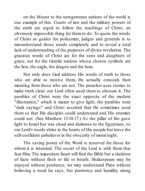on the Mount to the unregenerate nations of the world is one example of this. Courts of law and the military powers of the earth are urged to follow the teachings of Christ, an obviously impossible thing for them to do. To quote the words of Christ as guides for policemen, judges and generals is to misunderstand those words completely and to reveal a total lack of understanding of the purposes of divine revelation. The gracious words of Christ are for the sons and daughters of grace, not for the Gentile nations whose chosen symbols are the lion, the eagle, the dragon and the bear.

Not only does God address His words of truth to those who are able to receive them, He actually conceals their meaning from those who are not. The preacher uses stories to make truth clear; our Lord often used them to obscure it. The parables of Christ were the exact opposite of the modern "illustration," which is meant to give light; the parables were "dark sayings" and Christ asserted that He sometimes used them so that His disciples could understand and His enemies could not. (See Matthew 13:10-17.) As the pillar of fire gave light to Israel but was cloud and darkness to the Egyptians, so our Lord's words shine in the hearts of His people but leave the self-confident unbeliever in the obscurity of moral night.

The saving power of the Word is reserved for those for whom it is intended. The secret of the Lord is with them that fear Him. The impenitent heart will find the Bible but a skeleton of facts without flesh or life or breath. Shakespeare may be enjoyed without penitence; we may understand Plato without believing a word he says; but penitence and humility along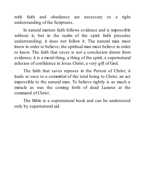with faith and obedience are necessary to a right understanding of the Scriptures.

In natural matters faith follows evidence and is impossible without it, but in the realm of the spirit faith precedes understanding; it does not follow it. The natural man must know in order to believe; the spiritual man must believe in order to know. The faith that saves is not a conclusion drawn from evidence; it is a moral thing, a thing of the spirit, a supernatural infusion of confidence in Jesus Christ, a very gift of God.

The faith that saves reposes in the Person of Christ; it leads at once to a committal of the total being to Christ, an act impossible to the natural man. To believe rightly is as much a miracle as was the coming forth of dead Lazarus at the command of Christ.

The Bible is a supernatural book and can be understood only by supernatural aid.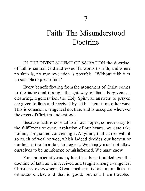# Faith: The Misunderstood Doctrine

IN THE DIVINE SCHEME OF SALVATION the doctrine of faith is central. God addresses His words to faith, and where no faith is, no true revelation is possible. "Without faith it is impossible to please him."

Every benefit flowing from the atonement of Christ comes to the individual through the gateway of faith. Forgiveness, cleansing, regeneration, the Holy Spirit, all answers to prayer, are given to faith and received by faith. There is no other way. This is common evangelical doctrine and is accepted wherever the cross of Christ is understood.

Because faith is so vital to all our hopes, so necessary to the fulfillment of every aspiration of our hearts, we dare take nothing for granted concerning it. Anything that carries with it so much of weal or woe, which indeed decides our heaven or our hell, is too important to neglect. We simply must not allow ourselves to be uninformed or misinformed. We must know.

For a number of years my heart has been troubled over the doctrine of faith as it is received and taught among evangelical Christians everywhere. Great emphasis is laid upon faith in orthodox circles, and that is good; but still I am troubled.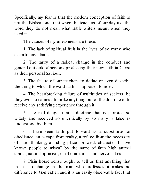Specifically, my fear is that the modern conception of faith is not the Biblical one; that when the teachers of our day use the word they do not mean what Bible writers meant when they used it.

The causes of my uneasiness are these:

1. The lack of spiritual fruit in the lives of so many who claimto have faith.

2. The rarity of a radical change in the conduct and general outlook of persons professing their new faith in Christ as their personal Saviour.

3. The failure of our teachers to define or even describe the thing to which the word faith is supposed to refer.

4. The heartbreaking failure of multitudes of seekers, be they ever so earnest, to make anything out of the doctrine or to receive any satisfying experience through it.

5. The real danger that a doctrine that is parroted so widely and received so uncritically by so many is false as understood by them.

6. I have seen faith put forward as a substitute for obedience, an escape from reality, a refuge from the necessity of hard thinking, a hiding place for weak character. I have known people to miscall by the name of faith high animal spirits, natural optimism, emotional thrills and nervous tics.

7. Plain horse sense ought to tell us that anything that makes no change in the man who professes it makes no difference to God either, and it is an easily observable fact that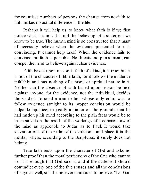for countless numbers of persons the change from no-faith to faith makes no actual difference in the life.

Perhaps it will help us to know what faith is if we first notice what it is not. It is not the 'believing' of a statement we know to be true. The human mind is so constructed that it must of necessity believe when the evidence presented to it is convincing. It cannot help itself. When the evidence fails to convince, no faith is possible. No threats, no punishment, can compel the mind to believe against clear evidence.

Faith based upon reason is faith of a kind, it is true; but it is not of the character of Bible faith, for it follows the evidence infallibly and has nothing of a moral or spiritual nature in it. Neither can the absence of faith based upon reason be held against anyone, for the evidence, not the individual, decides the verdict. To send a man to hell whose only crime was to follow evidence straight to its proper conclusion would be palpable injustice; to justify a sinner on the grounds that he had made up his mind according to the plain facts would be to make salvation the result of the workings of a common law of the mind as applicable to Judas as to Paul. It would take salvation out of the realm of the volitional and place it in the mental, where, according to the Scriptures, it surely does not belong.

True faith rests upon the character of God and asks no further proof than the moral perfections of the One who cannot lie. It is enough that God said it, and if the statement should contradict every one of the five senses and all the conclusions of logic as well, still the believer continues to believe. "Let God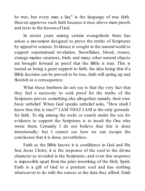be true, but every man a liar," is the language of true faith. Heaven approves such faith because it rises above mere proofs and rests in the bosomof God.

In recent years among certain evangelicals there has arisen a movement designed to prove the truths of Scriptures by appeal to science. Evidence is sought in the natural world to support supernatural revelation. Snowflakes, blood, stones, strange marine creatures, birds and many other natural objects are brought forward as proof that the Bible is true. This is touted as being a great support to faith, the idea being that if a Bible doctrine can be proved to be true, faith will spring up and flourish as a consequence.

What these brethren do not see is that the very fact that they feel a necessity to seek proof for the truths of the Scriptures proves something else altogether, namely, their own basic unbelief. When God speaks unbelief asks, "How shall I know that this is true?" I AM THAT I AM is the only grounds for faith. To dig among the rocks or search under the sea for evidence to support the Scriptures is to insult the One who wrote them. Certainly I do not believe that this is done intentionally; but I cannot see how we can escape the conclusion that it is done, nevertheless.

Faith as the Bible knows it is confidence in God and His Son Jesus Christ; it is the response of the soul to the divine character as revealed in the Scriptures; and even this response is impossible apart from the prior inworking of the Holy Spirit. Faith is a gift of God to a penitent soul and has nothing whatsoever to do with the senses or the data they afford. Faith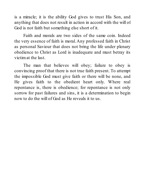is a miracle; it is the ability God gives to trust His Son, and anything that does not result in action in accord with the will of God is not faith but something else short of it.

Faith and morals are two sides of the same coin. Indeed the very essence of faith is moral.Any professed faith in Christ as personal Saviour that does not bring the life under plenary obedience to Christ as Lord is inadequate and must betray its victimat the last.

The man that believes will obey; failure to obey is convincing proof that there is not true faith present. To attempt the impossible God must give faith or there will be none, and He gives faith to the obedient heart only. Where real repentance is, there is obedience; for repentance is not only sorrow for past failures and sins, it is a determination to begin now to do the will of God as He reveals it to us.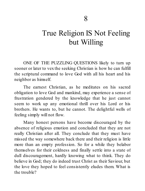# True Religion IS Not Feeling but Willing

ONE OF THE PUZZLING QUESTIONS likely to turn up sooner or later to vex the seeking Christian is how he can fulfill the scriptural command to love God with all his heart and his neighbor as himself.

The earnest Christian, as he meditates on his sacred obligation to love God and mankind, may experience a sense of frustration gendered by the knowledge that he just cannot seem to work up any emotional thrill over his Lord or his brothers. He wants to, but he cannot. The delightful wells of feeling simply will not flow.

Many honest persons have become discouraged by the absence of religious emotion and concluded that they are not really Christian after all. They conclude that they must have missed the way somewhere back there and their religion is little more than an empty profession. So for a while they belabor themselves for their coldness and finally settle into a state of dull discouragement, hardly knowing what to think. They do believe in God; they do indeed trust Christ as their Saviour, but the love they hoped to feel consistently eludes them. What is the trouble?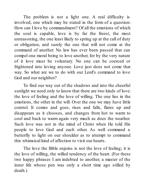The problem is not a light one. A real difficulty is involved, one which may be stated in the form of a question: How can I love by commandment? Of all the emotions of which the soul is capable, love is by far the freest, the most unreasoning, the one least likely to spring up at the call of duty or obligation, and surely the one that will not come at the command of another. No law has ever been passed that can compel one moral being to love another, for by the very nature of it love must be voluntary. No one can be coerced or frightened into loving anyone. Love just does not come that way. So what are we to do with our Lord's command to love God and our neighbor?

To find our way out of the shadows and into the cheerful sunlight we need only to know that there are two kinds of love: the love of feeling and the love of willing. The one lies in the emotions, the other in the will. Over the one we may have little control. It comes and goes, rises and falls, flares up and disappears as it chooses, and changes from hot to warm to cool and back to warm again very much as does the weather. Such love was not in the mind of Christ when He told His people to love God and each other. As well command a butterfly to light on our shoulder as to attempt to command this whimsical kind of affection to visit our hearts.

The love the Bible enjoins is not the love of feeling; it is the love of willing, the willed tendency of the heart. (For these two happy phrases I am indebted to another, a master of the inner life whose pen was only a short time ago stilled by death.)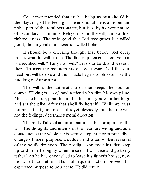God never intended that such a being as man should be the plaything of his feelings. The emotional life is a proper and noble part of the total personality, but it is, by its very nature, of secondary importance. Religion lies in the will, and so does righteousness. The only good that God recognizes is a willed good; the only valid holiness is a willed holiness.

It should be a cheering thought that before God every man is what he wills to be. The first requirement in conversion is a rectified will. "If any man will," says our Lord, and leaves it there. To meet the requirements of love toward God the soul need but will to love and the miracle begins to blossom like the budding of Aaron's rod.

The will is the automatic pilot that keeps the soul on course. "Flying is easy," said a friend who flies his own plane. "Just take her up, point her in the direction you want her to go and set the pilot. After that she'll fly herself." While we must not press the figure too far, it is yet blessedly true that the will, not the feelings, determines moral direction.

The root of all evil in human nature is the corruption of the will. The thoughts and intents of the heart are wrong and as a consequence the whole life is wrong. Repentance is primarily a change of moral purpose, a sudden and often violent reversal of the soul's direction. The prodigal son took his first step upward from the pigsty when he said, "I will arise and go to my father." As he had once willed to leave his father's house, now he willed to return. His subsequent action proved his expressed purpose to be sincere. He did return.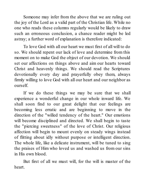Someone may infer from the above that we are ruling out the joy of the Lord as a valid part of the Christian life. While no one who reads these columns regularly would be likely to draw such an erroneous conclusion, a chance reader might be led astray; a further word of explanation is therefore indicated:

To love God with all our heart we must first of all will to do so. We should repent our lack of love and determine from this moment on to make God the object of our devotion. We should set our affections on things above and aim our hearts toward Christ and heavenly things. We should read the Scriptures devotionally every day and prayerfully obey them, always firmly willing to love God with all our heart and our neighbor as ourself.

If we do these things we may be sure that we shall experience a wonderful change in our whole inward life. We shall soon find to our great delight that our feelings are becoming less erratic and are beginning to move in the direction of the "willed tendency of the heart." Our emotions will become disciplined and directed. We shall begin to taste the "piercing sweetness" of the love of Christ. Our religious affection will begin to mount evenly on steady wings instead of flitting about idly without purpose or intelligent direction. The whole life, like a delicate instrument, will be tuned to sing the praises of Him who loved us and washed us from our sins in His own blood.

But first of all we must will, for the will is master of the heart.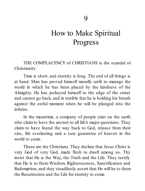# How to Make Spiritual Progress

THE COMPLACENCY of CHRISTIANS is the scandal of Christianity.

Time is short, and eternity is long. The end of all things is at hand. Man has proved himself morally unfit to manage the world in which he has been placed by the kindness of the Almighty. He has jockeyed himself to the edge of the crater and cannot go back, and in terrible fear he is holding his breath against the awful moment when he will be plunged into the inferno.

In the meantime, a company of people exist on the earth who claim to have the answer to all life's major questions. They claim to have found the way back to God, release from their sins, life everlasting and a sure guarantee of heaven in the world to come.

These are the Christians. They declare that Jesus Christ is very God of very God, made flesh to dwell among us. Thy insist that He is the Way, the Truth and the Life. They testify that He is to them Wisdom, Righteousness, Sanctification and Redemption, and they steadfastly assert that He will be to them the Resurrection and the Life for eternity to come.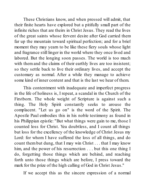These Christians know, and when pressed will admit, that their finite hearts have explored but a pitifully small part of the infinite riches that are theirs in Christ Jesus. They read the lives of the great saints whose fervent desire after God carried them far up the mountain toward spiritual perfection; and for a brief moment they may yearn to be like these fiery souls whose light and fragrance still linger in the world where they once lived and labored. But the longing soon passes. The world is too much with them and the claims of their earthly lives are too insistent; so they settle back to live their ordinary lives, and accept the customary as normal. After a while they manage to achieve some kind of inner content and that is the last we hear of them.

This contentment with inadequate and imperfect progress in the life of holiness is, I repeat, a scandal in the Church of the Firstborn. The whole weight of Scripture is against such a thing. The Holy Spirit constantly seeks to arouse the complacent. "Let us go on" is the word of the Spirit. The Apostle Paul embodies this in his noble testimony as found in his Philippian epistle: "But what things were gain to me, those I counted loss for Christ. Yea doubtless, and I count all things but loss for the excellency of the knowledge of Christ Jesus my Lord: for whom I have suffered the loss of all things, and do count them but dung, that I may win Christ . . . that I may know him, and the power of his resurrection . . . but this one thing I do, forgetting those things which are behind, and reaching forth unto those things which are before, I press toward the mark for the prize of the high calling of God in Christ Jesus."

If we accept this as the sincere expression of a normal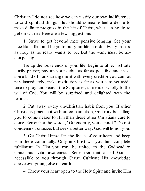Christian I do not see how we can justify our own indifference toward spiritual things. But should someone feel a desire to make definite progress in the life of Christ, what can he do to get on with it? Here are a few suggestions:

1. Strive to get beyond mere pensive longing. Set your face like a flint and begin to put your life in order. Every man is as holy as he really wants to be. But the want must be allcompelling.

Tie up the loose ends of your life. Begin to tithe; institute family prayer; pay up your debts as far as possible and make some kind of frank arrangement with every creditor you cannot pay immediately; make restitution as far as you can; set aside time to pray and search the Scriptures; surrender wholly to the will of God. You will be surprised and delighted with the results.

2. Put away every un-Christian habit from you. If other Christians practice it without compunction, God may be calling you to come nearer to Him than these other Christians care to come. Remember the words, "Others may, you cannot." Do not condemn or criticize, but seek a better way. God will honor you.

3. Get Christ Himself in the focus of your heart and keep Him there continually. Only in Christ will you find complete fulfillment. In Him you may be united to the Godhead in conscious, vital awareness. Remember that all of God is accessible to you through Christ. Cultivate His knowledge above everything else on earth.

4. Throw your heart open to the Holy Spirit and invite Him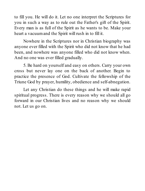to fill you. He will do it. Let no one interpret the Scriptures for you in such a way as to rule out the Father's gift of the Spirit. Every man is as full of the Spirit as he wants to be. Make your heart a vacuumand the Spirit will rush in to fill it.

Nowhere in the Scriptures nor in Christian biography was anyone ever filled with the Spirit who did not know that he had been, and nowhere was anyone filled who did not know when. And no one was ever filled gradually.

5. Be hard on yourself and easy on others. Carry your own cross but never lay one on the back of another. Begin to practice the presence of God. Cultivate the fellowship of the Triune God by prayer, humility, obedience and self-abnegation.

Let any Christian do these things and he will make rapid spiritual progress. There is every reason why we should all go forward in our Christian lives and no reason why we should not. Let us go on.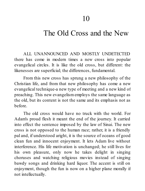#### The Old Cross and the New

ALL UNANNOUNCED AND MOSTLY UNDETECTED there has come in modern times a new cross into popular evangelical circles. It is like the old cross, but different: the likenesses are superficial; the differences, fundamental.

From this new cross has sprung a new philosophy of the Christian life, and from that new philosophy has come a new evangelical technique-a new type of meeting and a new kind of preaching. This new evangelismemploys the same language as the old, but its content is not the same and its emphasis not as before.

The old cross would have no truck with the world. For Adam's proud flesh it meant the end of the journey. It carried into effect the sentence imposed by the law of Sinai. The new cross is not opposed to the human race; rather, it is a friendly pal and, if understood aright, it is the source of oceans of good clean fun and innocent enjoyment. It lets Adam live without interference. His life motivation is unchanged; he still lives for his own pleasure, only now he takes delight in singing choruses and watching religious movies instead of singing bawdy songs and drinking hard liquor. The accent is still on enjoyment, though the fun is now on a higher plane morally if not intellectually.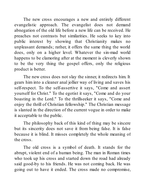The new cross encourages a new and entirely different evangelistic approach. The evangelist does not demand abnegation of the old life before a new life can be received. He preaches not contrasts but similarities. He seeks to key into public interest by showing that Christianity makes no unpleasant demands; rather, it offers the same thing the world does, only on a higher level. Whatever the sin-mad world happens to be clamoring after at the moment is cleverly shown to be the very thing the gospel offers, only the religious product is better.

The new cross does not slay the sinner, it redirects him. It gears him into a cleaner anal jollier way of living and saves his self-respect. To the self-assertive it says, "Come and assert yourself for Christ." To the egotist it says, "Come and do your boasting in the Lord." To the thrillseeker it says, "Come and eniov the thrill of Christian fellowship." The Christian message is slanted in the direction of the current vogue in order to make it acceptable to the public.

The philosophy back of this kind of thing may be sincere but its sincerity does not save it from being false. It is false because it is blind. It misses completely the whole meaning of the cross.

The old cross is a symbol of death. It stands for the abrupt, violent end of a human being. The man in Roman times who took up his cross and started down the road had already said good-by to his friends. He was not coming back. He was going out to have it ended. The cross made no compromise,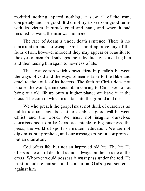modified nothing, spared nothing; it slew all of the man, completely and for good. It did not try to keep on good terms with its victim. It struck cruel and hard, and when it had finished its work, the man was no more.

The race of Adam is under death sentence. There is no commutation and no escape. God cannot approve any of the fruits of sin, however innocent they may appear or beautiful to the eyes of men. God salvages the individual by liquidating him and then raising himagain to newness of life.

That evangelism which draws friendly parallels between the ways of God and the ways of men is false to the Bible and cruel to the souls of its hearers. The faith of Christ does not parallel the world, it intersects it. In coming to Christ we do not bring our old life up onto a higher plane; we leave it at the cross. The corn of wheat must fall into the ground and die.

We who preach the gospel must not think of ourselves as public relations agents sent to establish good will between Christ and the world. We must not imagine ourselves commissioned to make Christ acceptable to big business, the press, the world of sports or modern education. We are not diplomats but prophets, and our message is not a compromise but an ultimatum.

God offers life, but not an improved old life. The life He offers is life out of death. It stands always on the far side of the cross. Whoever would possess it must pass under the rod. He must repudiate himself and concur in God's just sentence against him.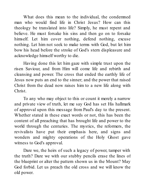What does this mean to the individual, the condemned man who would find life in Christ Jesus? How can this theology be translated into life? Simply, he must repent and believe. He must forsake his sins and then go on to forsake himself. Let him cover nothing, defend nothing, excuse nothing. Let him not seek to make terms with God, but let him bow his head before the stroke of God's stern displeasure and acknowledge himself worthy to die.

Having done this let him gaze with simple trust upon the risen Saviour, and from Him will come life and rebirth and cleansing and power. The cross that ended the earthly life of Jesus now puts an end to the sinner; and the power that raised Christ from the dead now raises him to a new life along with Christ.

To any who may object to this or count it merely a narrow and private view of truth, let me say God has set His hallmark of approval upon this message from Paul's day to the present. Whether stated in these exact words or not, this has been the content of all preaching that has brought life and power to the world through the centuries. The mystics, the reformers, the revivalists have put their emphasis here, and signs and wonders and mighty operations of the Holy Ghost gave witness to God's approval.

Dare we, the heirs of such a legacy of power, tamper with the truth? Dare we with our stubby pencils erase the lines of the blueprint or alter the pattern shown us in the Mount? May God forbid. Let us preach the old cross and we will know the old power.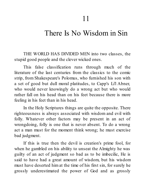11

#### There Is No Wisdom in Sin

THE WORLD HAS DIVIDED MEN into two classes, the stupid good people and the clever wicked ones.

This false classification runs through much of the literature of the last centuries from the classics to the comic strip, from Shakespeare's Polomus, who furnished his son with a set of good but dull moral platitudes, to Capp's Li'l Abner, who would never knowingly do a wrong act but who would rather fall on his head than on his feet because there is more feeling in his feet than in his head.

In the Holy Scriptures things are quite the opposite. There righteousness is always associated with wisdom and evil with folly. Whatever other factors may be present in an act of wrongdoing, folly is one that is never absent. To do a wrong act a man must for the moment think wrong; he must exercise bad judgment.

If this is true then the devil is creation's prime fool, for when he gambled on his ability to unseat the Almighty he was guilty of an act of judgment so bad as to be imbecilic, He is said to have had a great amount of wisdom, but his wisdom must have deserted him at the time of his first sin, for surely he grossly underestimated the power of God and as grossly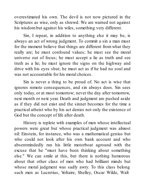overestimated his own. The devil is not now pictured in the Scriptures as wise, only as shrewd. We are warned not against his wisdombut against his wiles, something very different.

Sin, I repeat, in addition to anything else it may be, is always an act of wrong judgment. To commit a sin a man must for the moment believe that things are different from what they really are; he must confound values; he must see the moral universe out of focus; he must accept a lie as truth and see truth as a lie; he must ignore the signs on the highway and drive with his eyes shut; he must act as if he had no soul and was not accountable for his moral choices.

Sin is never a thing to be proud of. No act is wise that ignores remote consequences, and sin always does. Sin sees only today, or at most tomorrow; never the day after tomorrow, next month or next year. Death and judgment are pushed aside as if they did not exist and the sinner becomes for the time a practical atheist who by his act denies not only the existence of God but the concept of life after death.

History is replete with examples of men whose intellectual powers were great but whose practical judgment was almost nil: Einstein, for instance, who was a mathematical genius but who could not look after his own bank account and who absentmindedly ran his little motorboat aground with the excuse that he "must have been thinking about something else." We can smile at this, but there is nothing humorous about that other class of men who had brilliant minds but whose moral judgment was sadly awry. To this class belong such men as Lucretius, Voltaire, Shelley, Oscar Wilde, Walt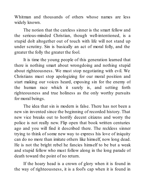Whitman and thousands of others whose names are less widely known.

The notion that the careless sinner is the smart fellow and the serious-minded Christian, though well-intentioned, is a stupid dolt altogether out of touch with life will not stand up under scrutiny. Sin is basically an act of moral folly, and the greater the folly the greater the fool.

It is time the young people of this generation learned that there is nothing smart about wrongdoing and nothing stupid about righteousness. We must stop negotiating with evil. We Christians must stop apologizing for our moral position and start making our voices heard, exposing sin for the enemy of the human race which it surely is, and setting forth righteousness and true holiness as the only worthy pursuits for moral beings.

The idea that sin is modern is false. There has not been a new sin invented since the beginning of recorded history. That new vice breaks out to horrify decent citizens and worry the police is not really new. Flip open that book written centuries ago and you will find it described there. The reckless sinner trying to think of some new way to express his love of iniquity can do no more than imitate others like himself, now long dead. He is not the bright rebel he fancies himself to be but a weak and stupid fellow who must follow along in the long parade of death toward the point of no return.

If the hoary head is a crown of glory when it is found in the way of righteousness, it is a fool's cap when it is found in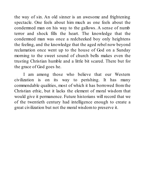the way of sin. An old sinner is an awesome and frightening spectacle. One feels about him much as one feels about the condemned man on his way to the gallows. A sense of numb terror and shock fills the heart. The knowledge that the condemned man was once a redcheeked boy only heightens the feeling, and the knowledge that the aged rebel now beyond reclamation once went up to the house of God on a Sunday morning to the sweet sound of church bells makes even the trusting Christian humble and a little bit scared. There but for the grace of God goes he.

I am among those who believe that our Western civilization is on its way to perishing. It has many commendable qualities, most of which it has borrowed from the Christian ethic, but it lacks the element of moral wisdom that would give it permanence. Future historians will record that we of the twentieth century had intelligence enough to create a great civilization but not the moral wisdomto preserve it.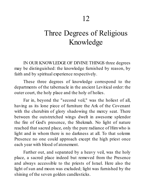# Three Degrees of Religious Knowledge

IN OUR KNOWLEDGE OF DIVINE THINGS three degrees may be distinguished: the knowledge furnished by reason, by faith and by spiritual experience respectively.

These three degrees of knowledge correspond to the departments of the tabernacle in the ancient Levitical order: the outer court, the holy place and the holy of holies.

Far in, beyond the "second veil," was the holiest of all, having as its lone piece of furniture the Ark of the Covenant with the cherubim of glory shadowing the mercy seat. There between the outstretched wings dwelt in awesome splendor the fire of God's presence, the Shekmah. No light of nature reached that sacred place, only the pure radiance of Himwho is light and in whom there is no darkness at all. To that solemn Presence no one could approach except the high priest once each year with blood of atonement.

Farther out, and separated by a heavy veil, was the holy place, a sacred place indeed but removed from the Presence and always accessible to the priests of Israel. Here also the light of sun and moon was excluded; light was furnished by the shining of the seven golden candlesticks.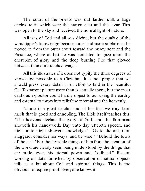The court of the priests was out farther still, a large enclosure in which were the brazen altar and the lavar. This was open to the sky and received the normal light of nature.

All was of God and all was divine, but the quality of the worshipper's knowledge became surer and more sublime as he moved in from the outer court toward the mercy seat and the Presence, where at last he was permitted to gaze upon the cherubim of glory and the deep burning Fire that glowed between their outstretched wings.

All this illustrates if it does not typify the three degrees of knowledge possible to a Christian. It is not proper that we should press every detail in an effort to find in the beautiful Old Testament picture more than is actually there; but the most cautious expositor could hardly object to our using the earthly and external to throw into relief the internal and the heavenly.

Nature is a great teacher and at her feet we may learn much that is good and ennobling. The Bible itself teaches this: "The heavens declare the glory of God; and the firmament showeth his handywork. Day unto day uttereth speech, and night unto night showeth knowledge." "Go to the ant, thou sluggard; consider her ways, and be wise." "Behold the fowls of the air." "For the invisible things of him from the creation of the world are clearly seen, being understood by the things that are made, even his eternal power and Godhead." Reason working on data furnished by observation of natural objects tells us a lot about God and spiritual things. This is too obvious to require proof. Everyone knows it.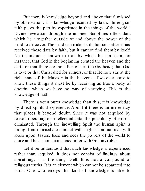But there is knowledge beyond and above that furnished by observation; it is knowledge received by faith. "In religion faith plays the part by experience in the things of the world." Divine revelation through the inspired Scriptures offers data which lie altogether outside of and above the power of the mind to discover. The mind can make its deductions after it has received these data by faith, but it cannot find them by itself. No technique is known to man by which he can learn, for instance, that God in the beginning created the heaven and the earth or that there are three Persons in the Godhead; that God is love or that Christ died for sinners, or that He now sits at the right hand of the Majesty in the heavens. If we ever come to know these things it must be by receiving as true a body of doctrine which we have no way of verifying. This is the knowledge of faith.

There is yet a purer knowledge than this; it is knowledge by direct spiritual experience. About it there is an immediacy that places it beyond doubt. Since it was not acquired by reason operating on intellectual data, the possibility of error is eliminated. Through the indwelling Spirit the human spirit is brought into immediate contact with higher spiritual reality. It looks upon, tastes, feels and sees the powers of the world to come and has a conscious encounter with God invisible.

Let it be understood that such knowledge is experienced rather than acquired. It does not consist of findings about something; it is the thing itself. It is not a compound of religious truths. It is an element which cannot be separated into parts. One who enjoys this kind of knowledge is able to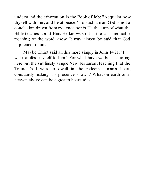understand the exhortation in the Book of Job: "Acquaint now thyself with him, and be at peace." To such a man God is not a conclusion drawn from evidence nor is He the sum of what the Bible teaches about Him. He knows God in the last irreducible meaning of the word know. It may almost be said that God happened to him.

Maybe Christ said all this more simply in John 14:21: "I... will manifest myself to him." For what have we been laboring here but the sublimely simple New Testament teaching that the Triune God wills to dwell in the redeemed man's heart, constantly making His presence known? What on earth or in heaven above can be a greater beatitude?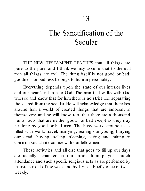# The Sanctification of the Secular

THE NEW TESTAMENT TEACHES that all things are pure to the pure, and I think we may assume that to the evil man all things are evil. The thing itself is not good or bad; goodness or badness belongs to human personality.

Everything depends upon the state of our interior lives and our heart's relation to God. The man that walks with God will see and know that for him there is no strict line separating the sacred from the secular. He will acknowledge that there lies around him a world of created things that are innocent in themselves; and he will know, too, that there are a thousand human acts that are neither good nor bad except as they may be done by good or bad men. The busy world around us is filled with work, travel, marrying, rearing our young, burying our dead, buying, selling, sleeping, eating and mixing in common social intercourse with our fellowmen.

These activities and all else that goes to fill up our days are usually separated in our minds from prayer, church attendance and such specific religious acts as are performed by ministers most of the week and by laymen briefly once or twice weekly.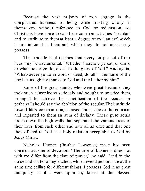Because the vast majority of men engage in the complicated business of living while trusting wholly in themselves, without reference to God or redemption, we Christians have come to call these common activities "secular" and to attribute to them at least a degree of evil, an evil which is not inherent in them and which they do not necessarily possess.

The Apostle Paul teaches that every simple act of our lives may be sacramental. "Whether therefore ye eat, or drink, or whatsoever ye do, do all to the glory of God." And again, "Whatsoever ye do in word or deed, do all in the name of the Lord Jesus, giving thanks to God and the Father by him."

Some of the great saints, who were great because they took such admonitions seriously and sought to practice them, managed to achieve the sanctification of the secular, or perhaps I should say the abolition of the secular. Their attitude toward life's common things raised those above the common and imparted to them an aura of divinity. These pure souls broke down the high walls that separated the various areas of their lives from each other and saw all as one; and that one they offered to God as a holy oblation acceptable to God by Jesus Christ.

Nicholas Herman (Brother Lawrence) made his most common act one of devotion: "The time of business does not with me differ from the time of prayer," he said, "and in the noise and clatter of my kitchen, while several persons are at the same time calling for different things, I possess God in as great tranquility as if I were upon my knees at the blessed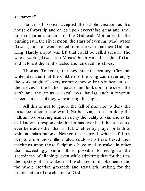sacrament."

Francis of Assisi accepted the whole creation as his house of worship and called upon everything great and small to join him in adoration of the Godhead. Mother earth, the burning sun, the silver moon, the stars of evening, wind, water, flowers, fruits-all were invited to praise with him their God and King. Hardly a spot was left that could be called secular. The whole world glowed like Moses' bush with the light of God, and before it the saint kneeled and removed his shoes.

Thomas Traherne, the seventeenth century Christian writer, declared that the children of the King can never enjoy the world aright till every morning they wake up in heaven, see themselves in the Father's palace, and look upon the skies, the earth and the air as celestial joys, having such a reverent esteemfor all as if they were among the angels.

All this is not to ignore the fall of man nor to deny the presence of sin in the world. No believing man can deny the Fall, as no observing man can deny the reality of sin; and as far as I know no responsible thinker has ever held that sin could ever be made other than sinful, whether by prayer or faith or spiritual ministrations. Neither the inspired writers of Holy Scripture nor those illuminated souls who have based their teachings upon those Scriptures have tried to make sin other than exceedingly sinful. It is possible to recognize the sacredness of all things even while admitting that for the time the mystery of sin worketh in the children of disobedience and the whole creation groaneth and travaileth, waiting for the manifestation of the children of God.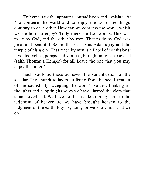Traherne saw the apparent contradiction and explained it: "To contemn the world and to enjoy the world are things contrary to each other. How can we contemn the world, which we are born to enjoy? Truly there are two worlds. One was made by God, and the other by men. That made by God was great and beautiful. Before the Fall it was Adam's joy and the temple of his glory. That made by men is a Babel of confusions: invented riches, pomps and vanities, brought in by sin. Give all (saith Thomas a Kempis) for all. Leave the one that you may enjoy the other."

Such souls as these achieved the sanctification of the secular. The church today is suffering from the secularization of the sacred. By accepting the world's values, thinking its thoughts and adopting its ways we have dimmed the glory that shines overhead. We have not been able to bring earth to the judgment of heaven so we have brought heaven to the judgment of the earth. Pity us, Lord, for we know not what we do!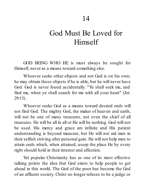# God Must Be Loved for Himself

GOD BEING WHO HE is must always be sought for Himself, never as a means toward something else.

Whoever seeks other objects and not God is on his own; he may obtain those objects if he is able, but he will never have God. God is never found accidentally. "Ye shall seek me, and find me, when ye shall search for me with all your heart" (Jer. 29:13) .

Whoever seeks God as a means toward desired ends will not find God. The mighty God, the maker of heaven and earth, will not be one of many treasures, not even the chief of all treasures. He will be all in all or He will be nothing. God will not be used. His mercy and grace are infinite and His patient understanding is beyond measure, but He will not aid men in their selfish striving after personal gain. He will not help men to attain ends which, when attained, usurp the place He by every right should hold in their interest and affection.

Yet popular Christianity has as one of its most effective talking points the idea that God exists to help people to get ahead in this world. The God of the poor has become the God of an affluent society. Christ no longer refuses to be a judge or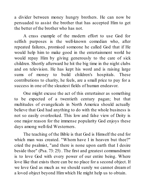a divider between money hungry brothers. He can now be persuaded to assist the brother that has accepted Him to get the better of the brother who has not.

A crass example of the modern effort to use God for selfish purposes is the well-known comedian who, after repeated failures, promised someone he called God that if He would help him to make good in the entertainment world he would repay Him by giving generously to the care of sick children. Shortly afterward he hit the big time in the night clubs and on television. He has kept his word and is raising large sums of money to build children's hospitals. These contributions to charity, he feels, are a small price to pay for a success in one of the sleaziest fields of human endeavor.

One might excuse the act of this entertainer as something to be expected of a twentieth century pagan; but that multitudes of evangelicals in North America should actually believe that God had anything to do with the whole business is not so easily overlooked. This low and false view of Deity is one major reason for the immense popularity God enjoys these days among well-fed Westerners.

The teaching of the Bible is that God is Himself the end for which man was created. "Whom have I in heaven but thee?" cried the psalmist, "and there is none upon earth that I desire beside thee" (Psa. 73: 25) . The first and greatest commandment is to love God with every power of our entire being. Where love like that exists there can be no place for a second object. If we love God as much as we should surely we cannot dream of a loved object beyond Himwhich He might help us to obtain.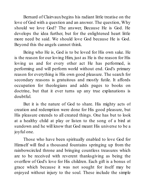Bernard of Clairvauxbegins his radiant little treatise on the love of God with a question and an answer. The question, Why should we love God? The answer, Because He is God. He develops the idea further, but for the enlightened heart little more need be said. We should love God because He is God. Beyond this the angels cannot think.

Being who He is, God is to be loved for His own sake. He is the reason for our loving Him, just as He is the reason for His loving us and for every other act He has performed, is performing and will perform world without end. God's primary reason for everything is His own good pleasure. The search for secondary reasons is gratuitous and mostly futile. It affords occupation for theologians and adds pages to books on doctrine, but that it ever turns up any true explanations is doubtful.

But it is the nature of God to share. His mighty acts of creation and redemption were done for His good pleasure, but His pleasure extends to all created things. One has but to look at a healthy child at play or listen to the song of a bird at sundown and he will know that God meant His universe to be a joyful one.

Those who have been spiritually enabled to love God for Himself will find a thousand fountains springing up from the rainbowcircled throne and bringing countless treasures which are to be received with reverent thanksgiving as being the overflow of God's love for His children. Each gift is a bonus of grace which because it was not sought for itself may be enjoyed without injury to the soul. These include the simple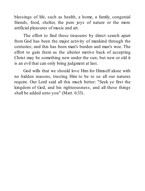blessings of life, such as health, a home, a family, congenial friends, food, shelter, the pure joys of nature or the more artificial pleasures of music and art.

The effort to find these treasures by direct search apart from God has been the major activity of mankind through the centuries; and this has been man's burden and man's woe. The effort to gain them as the ulterior motive back of accepting Christ may be something new under the sun; but new or old it is an evil that can only bring judgment at last.

God wills that we should love Him for Himself alone with no hidden reasons, trusting Him to be to us all our natures require. Our Lord said all this much better: "Seek ye first the kingdom of God, and his righteousness; and all these things shall be added unto you" (Matt. 6:33) .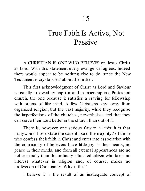#### True Faith Is Active, Not Passive

A CHRISTIAN IS ONE WHO BELIEVES on Jesus Christ as Lord. With this statement every evangelical agrees. Indeed there would appear to be nothing else to do, since the New Testament is crystal clear about the matter.

This first acknowledgment of Christ as Lord and Saviour is usually followed by baptism and membership in a Protestant church, the one because it satisfies a craving for fellowship with others of like mind. A few Christians shy away from organized religion, but the vast majority, while they recognize the imperfections of the churches, nevertheless feel that they can serve their Lord better in the church than out of it.

There is, however, one serious flaw in all this: it is that manywould I overstate the case if I said the majority?-of those who confess their faith in Christ and enter into association with the community of believers have little joy in their hearts, no peace in their minds, and from all external appearances are no better morally than the ordinary educated citizen who takes no interest whatever in religion and, of course, makes no profession of Christianity. Why is this?

I believe it is the result of an inadequate concept of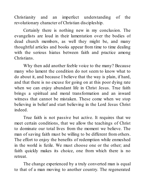Christianity and an imperfect understanding of the revolutionary character of Christian discipleship.

Certainly there is nothing new in my conclusion. The evangelists are loud in their lamentation over the bodies of dead church members, as well they might be, and many thoughtful articles and books appear from time to time dealing with the serious hiatus between faith and practice among **Christians** 

Why then add another feeble voice to the many? Because many who lament the condition do not seem to know what to do about it, and because I believe that the way is plain, if hard, and that there is no excuse for going on at this poor dying rate when we can enjoy abundant life in Christ Jesus. True faith brings a spiritual and moral transformation and an inward witness that cannot be mistaken. These come when we stop believing in belief and start believing in the Lord Jesus Christ indeed.

True faith is not passive but active. It requires that we meet certain conditions, that we allow the teachings of Christ to dominate our total lives from the moment we believe. The man of saving faith must be willing to be different from others. The effort to enjoy the benefits of redemption while enmeshed in the world is futile. We must choose one or the other; and faith quickly makes its choice, one from which there is no retreat.

The change experienced by a truly converted man is equal to that of a man moving to another country. The regenerated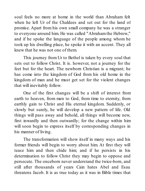soul feels no more at home in the world than Abraham felt when he left Ur of the Chaldees and set out for the land of promise. Apart from his own small company he was a stranger to everyone around him. He was called "Abrahamthe Hebrew," and if he spoke the language of the people among whom he took up his dwelling place, he spoke it with an accent. They all knew that he was not one of them.

This journey from Ur to Bethel is taken by every soul that sets out to follow Christ. It is. however, not a journey for the feet but for the heart. The newborn Christian is a migrant; he has come into the kingdom of God from his old home in the kingdom of man and he must get set for the violent changes that will inevitably follow.

One of the first changes will be a shift of interest from earth to heaven, from men to God, from time to eternity, from earthly gain to Christ and His eternal kingdom. Suddenly, or slowly but surely, he will develop a new pattern of life. Old things will pass away and behold, all things will become new, first inwardly and then outwardly; for the change within him will soon begin to express itself by corresponding changes in his manner of living.

The transformation will show itself in many ways and his former friends will begin to worry about him. At first they will tease him and then chide him; and if he persists in his determination to follow Christ they may begin to oppose and persecute. The onceborn never understand the twice-born, and still after thousands of years Cain hates Abel and Esau threatens Jacob. It is as true today as it was in Bible times that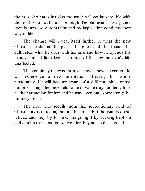the man who hates his sins too much will get into trouble with those who do not hate sin enough. People resent having their friends turn away from them and by implication condemn their way of life.

The change will reveal itself further in what the new Christian reads, in the places he goes and the friends he cultivates, what he does with his time and how he spends his money. Indeed faith leaves no area of the new believer's life unaffected.

The genuinely renewed man will have a new life center. He will experience a new orientation affecting his whole personality. He will become aware of a different philosophic outlook. Things he once held to be of value may suddenly lose all their attraction for himand he may even hate some things he formerly loved.

The man who recoils from this revolutionary kind of Christianity is retreating before the cross. But thousands do so retreat, and they try to make things right by seeking baptism and church membership. No wonder they are so dissatisfied.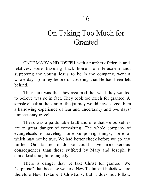# On Taking Too Much for Granted

ONCE MARYAND JOSEPH, with a number of friends and relatives, were traveling back home from Jerusalem and, supposing the young Jesus to be in the company, went a whole day's journey before discovering that He had been left behind.

Their fault was that they assumed that what they wanted to believe was so in fact. They took too much for granted. A simple check at the start of the journey would have saved them a harrowing experience of fear and uncertainty and two days' unnecessary travel.

Theirs was a pardonable fault and one that we ourselves are in great danger of committing. The whole company of evangelicals is traveling home supposing things, some of which may not be true. We had better check before we go any further. Our failure to do so could have more serious consequences than those suffered by Mary and Joseph. It could lead straight to tragedy.

There is danger that we take Christ for granted. We "suppose" that because we hold New Testament beliefs we are therefore New Testament Christians; but it does not follow.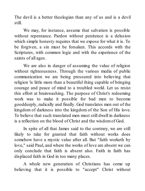The devil is a better theologian than any of us and is a devil still.

We may, for instance, assume that salvation is possible without repentance. Pardon without penitence is a delusion which simple honesty requires that we expose for what it is. To be forgiven, a sin must be forsaken. This accords with the Scriptures, with common logic and with the experience of the saints of all ages.

We are also in danger of assuming the value of religion without righteousness. Through the various media of public communication we are being pressured into believing that religion 'is little more than a beautiful thing capable of bringing courage and peace of mind to a troubled world. Let us resist this effort at brainwashing. The purpose of Christ's redeeming work was to make it possible for bad men to become gooddeeply, radically and finally. God translates men out of the kingdom of darkness into the kingdom of the Son of His love. To believe that such translated men must still dwell in darkness is a reflection on the blood of Christ and the wisdomof God.

In spite of all that James said to the contrary, we are still likely to take for granted that faith without works does somehow have a mystic value after all. But "faith worketh by love," said Paul, and where the works of love are absent we can only conclude that faith is absent also. Faith in faith has displaced faith in God in too many places.

A whole new generation of Christians has come up believing that it is possible to "accept" Christ without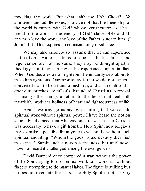forsaking the world. But what saith the Holy Ghost? "Ye adulterers and adulteresses, know ye not that the friendship of the world is enmity with God? whosoever therefore will be a friend of the world is the enemy of God" (James 4:4), and "If any man love the world, the love of the Father is not in him" (I John 2:15) . This requires no comment, only obedience.

We may also erroneously assume that we can experience justification without transformation. Justification and regeneration are not the same; they may be thought apart in theology but they can never be experienced apart in fact. When God declares a man righteous He instantly sets about to make him righteous. Our error today is that we do not expect a converted man to be a transformed man, and as a result of this error our churches are full of substandard Christians. A revival is among other things a return to the belief that real faith invariably produces holiness of heart and righteousness of life.

Again, we may go astray by assuming that we can do spiritual work without spiritual power. I have heard the notion seriously advanced that whereas once to win men to Christ it was necessary to have a gift fromthe Holy Spirit, now religious movies make it possible for anyone to win souls, without such spiritual anointing! "Whom the gods would destroy they first make mad." Surely such a notion is madness, but until now I have not heard it challenged among the evangelicals.

David Brainerd once compared a man without the power of the Spirit trying to do spiritual work to a workman without fingers attempting to do manual labor. The figure is striking but it does not overstate the facts. The Holy Spirit is not a luxury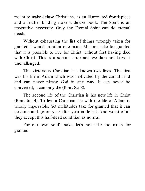meant to make deluxe Christians, as an illuminated frontispiece and a leather binding make a deluxe book. The Spirit is an imperative necessity. Only the Eternal Spirit can do eternal deeds.

Without exhausting the list of things wrongly taken for granted I would mention one more: Millions take for granted that it is possible to live for Christ without first having died with Christ. This is a serious error and we dare not leave it unchallenged.

The victorious Christian has known two lives. The first was his life in Adam which was motivated by the carnal mind and can never please God in any way. It can never be converted; it can only die (Rom. 8:5-8).

The second life of the Christian is his new life in Christ (Rom. 6:114). To live a Christian life with the life of Adam is wholly impossible. Yet multitudes take for granted that it can be done and go on year after year in defeat. And worst of all they accept this half-dead condition as normal.

For our own soul's sake, let's not take too much for granted.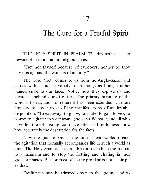#### The Cure for a Fretful Spirit

THE HOLY SPIRIT IN PSALM 37 admonishes us to beware of irritation in our religious lives:

"Fret not thyself because of evildoers, neither be thou envious against the workers of iniquity."

The word "fret" comes to us from the Anglo-Saxon and carries with it such a variety of meanings as bring a rather pained smile to our faces. Notice how they expose us and locate us behind our disguises. The primary meaning of the word is to eat, and from there it has been extended with rare honesty to cover most of the manifestations of an irritable disposition. "To eat away; to gnaw; to chafe; to gall; to vex; to worry; to agitate; to wear away"; so says Webster, and all who have felt the exhausting, corrosive effects of fretfulness know how accurately the description fits the facts.

Now, the grace of God in the human heart works to calm the agitation that normally accompanies life in such a world as ours. The Holy Spirit acts as a lubricant to reduce the friction to a minimum and to stop the fretting and chafing in their grosser phases. But for most of us the problem is not as simple as that.

Fretfulness may be trimmed down to the ground and its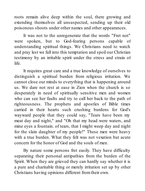roots remain alive deep within the soul, there growing and extending themselves all unsuspected, sending up their old poisonous shoots under other names and other appearances.

It was not to the unregenerate that the words "Fret not" were spoken, but to God-fearing persons capable of understanding spiritual things. We Christians need to watch and pray lest we fall into this temptation and spoil our Christian testimony by an irritable spirit under the stress and strain of life.

It requires great care and a true knowledge of ourselves to distinguish a spiritual burden from religious irritation. We cannot close our minds to everything that is happening around us. We dare not rest at ease in Zion when the church is so desperately in need of spiritually sensitive men and women who can see her faults and try to call her back to the path of righteousness. The prophets and apostles of Bible times carried in their hearts such crushing burdens for God's wayward people that they could say, "Tears have been my meat day and night," and "Oh that my head were waters, and mine eyes a fountain. of tears, that I might weep day and night for the slain daughter of my people!" These men were heavy with a true burden. What they felt was not vexation but acute concern for the honor of God and the souls of men.

By nature some persons fret easily. They have difficulty separating their personal antipathies from the burden of the Spirit. When they are grieved they can hardly say whether it is a pure and charitable thing or merely irritation set up by other Christians having opinions different fromtheir own.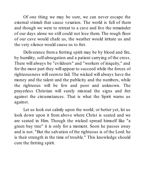Of one thing we may be sure, we can never escape the external stimuli that cause vexation. The world is full of them and though we were to retreat to a cave and live the remainder of our days alone we still could not lose them. The rough floor of our cave would chafe us, the weather would irritate us and the very silence would cause us to fret.

Deliverance from a fretting spirit may be by blood and fire, by humility, self-abnegation and a patient carrying of the cross. There will always be "evildoers" and "workers of iniquity," and for the most part they will appear to succeed while the forces of righteousness willseemto fail. The wicked will always have the money and the talent and the publicity and the numbers, while the righteous will be few and poor and unknown. The prayerless Christian will surely misread the signs and fret against the circumstances. That is what the Spirit warns us against.

Let us look out calmly upon the world; or better yet, let us look down upon it from above where Christ is seated and we are seated in Him. Though the wicked spread himself like "a green bay tree" it is only for a moment. Soon he passes away and is not. "But the salvation of the righteous is of the Lord: he is their strength in the time of trouble." This knowledge should cure the fretting spirit.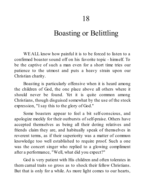#### Boasting or Belittling

WEALL know how painful it is to be forced to listen to a confirmed boaster sound off on his favorite topic - himself. To be the captive of such a man even for a short time tries our patience to the utmost and puts a heavy strain upon our Christian charity.

Boasting is particularly offensive when it is heard among the children of God, the one place above all others where it should never be found. Yet it is quite common among Christians, though disguised somewhat by the use of the stock expression, "I say this to the glory of God."

Some boasters appear to feel a bit self-conscious, and apologize meekly for their outbursts of self-praise. Others have accepted themselves as being all their doting relatives and friends claim they are, and habitually speak of themselves in reverent terms, as if their superiority was a matter of common knowledge too well established to require proof. Such a one was the concert singer who replied to a glowing compliment after a performance, "Well, what did you expect?"

God is very patient with His children and often tolerates in them carnal traits so gross as to shock their fellow Christians. But that is only for a while. As more light comes to our hearts,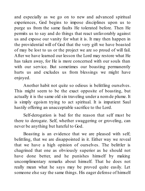and especially as we go on to new and advanced spiritual experiences, God begins to impose disciplines upon us to purge us from the same faults He tolerated before. Then He permits us to say and do things that react unfavorably against us and expose our vanity for what it is. It may then happen in the providential will of God that the very gift we have boasted of may be lost to us or the project we are so proud of will fail. After we have learned our lesson the Lord may restore what He has taken away, for He is more concerned with our souls than with our service. But sometimes our boasting permanently hurts us and excludes us from blessings we might have enjoyed.

Another habit not quite so odious is belittling ourselves. This might seem to be the exact opposite of boasting, but actually it is the same old sin traveling under a nomde plume. It is simply egoism trying to act spiritual. It is impatient Saul hastily offering an unacceptable sacrifice to the Lord.

Self-derogation is bad for the reason that self must be there to derogate. Self, whether swaggering or groveling, can never be anything but hateful to God.

Boasting is an evidence that we are pleased with self; belittling, that we are disappointed in it. Either way we reveal that we have a high opinion of ourselves. The belittler is chagrined that one as obviously superior as he should not have done better, and he punishes himself by making uncomplimentary remarks about himself. That he does not really mean what he says may be proved quite easily. Let someone else say the same things. His eager defense of himself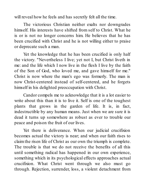will reveal how he feels and has secretly felt all the time.

The victorious Christian neither exalts nor downgrades himself. His interests have shifted from self to Christ. What he is or is not no longer concerns him. He believes that he has been crucified with Christ and he is not willing either to praise or deprecate such a man.

Yet the knowledge that he has been crucified is only half the victory. "Nevertheless I live; yet not I, but Christ liveth in me: and the life which I now live in the flesh I live by the faith of the Son of God, who loved me, and gave himself for me." Christ is now where the man's ego was formerly. The man is now Christ-centered instead of self-centered, and he forgets himself in his delighted preoccupation with Christ.

Candor compels me to acknowledge that it is a lot easier to write about this than it is to live it. Self is one of the toughest plants that grows in the garden of life. It is, in fact, indestructible by any human means. Just when we are sure it is dead it turns up somewhere as robust as ever to trouble our peace and poison the fruit of our lives.

Yet there is deliverance. When our judicial crucifixion becomes actual the victory is near; and when our faith rises to claimthe risen life of Christ as our own the triumph is complete. The trouble is that we do not receive the benefits of all this until something radical has happened in our own experience, something which in its psychological effects approaches actual crucifixion. What Christ went through we also must go through. Rejection, surrender, loss, a violent detachment from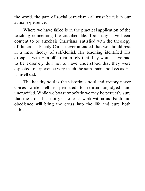the world, the pain of social ostracism - all must be felt in our actual experience.

Where we have failed is in the practical application of the teaching concerning the crucified life. Too many have been content to be armchair Christians, satisfied with the theology of the cross. Plainly Christ never intended that we should rest in a mere theory of self-denial. His teaching identified His disciples with Himself so intimately that they would have had to be extremely dull not to have understood that they were expected to experience very much the same pain and loss as He Himself did.

The healthy soul is the victorious soul and victory never comes while self is permitted to remain unjudged and uncrucified. While we boast or belittle we may be perfectly sure that the cross has not yet done its work within us. Faith and obedience will bring the cross into the life and cure both habits.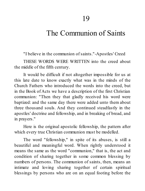### The Communion of Saints

"I believe in the communion of saints."-Apostles' Creed

THESE WORDS WERE WRITTEN into the creed about the middle of the fifth century.

It would be difficult if not altogether impossible for us at this late date to know exactly what was in the minds of the Church Fathers who introduced the words into the creed, but in the Book of Acts we have a description of the first Christian communion: "Then they that gladly received his word were baptized: and the same day there were added unto them about three thousand souls. And they continued steadfastly in the apostles' doctrine and fellowship, and in breaking of bread, and in prayers."

Here is the original apostolic fellowship, the pattern after which every true Christian communion must be modelled.

The word "fellowship," in spite of its abuses, is still a beautiful and meaningful word. When rightly understood it means the same as the word "communion," that is, the act and condition of sharing together in some common blessing by numbers of persons. The communion of saints, then, means an intimate and loving sharing together of certain spiritual blessings by persons who are on an equal footing before the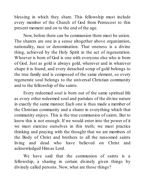blessing in which they share. This fellowship must include every member of the Church of God from Pentecost to this present moment and on to the end of the age.

Now, before there can be communion there must be union. The sharers are one in a sense altogether above organization, nationality, race or denomination. That oneness is a divine thing, achieved by the Holy Spirit in the act of regeneration. Whoever is born of God is one with everyone else who is born of God. Just as gold is always gold, wherever and in whatever shape it is found, and every detached scrap of gold belongs to the true family and is composed of the same element, so every regenerate soul belongs to the universal Christian community and to the fellowship of the saints.

Every redeemed soul is born out of the same spiritual life as every other redeemed soul and partakes of the divine nature in exactly the same manner. Each one is thus made a member of the Christian community and a sharer in everything which that community enjoys. This is the true communion of saints. But to know this is not enough. If we would enter into the power of it we must exercise ourselves in this truth; we must practice thinking and praying with the thought that we are members of the Body of Christ and brothers to all the ransomed saints living and dead who have believed on Christ and acknowledged Himas Lord.

We have said that the communion of saints is a fellowship, a sharing in certain divinely given things by divinely called persons. Now, what are those things?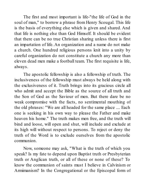The first and most important is life-"the life of God in the soul of man," to borrow a phrase from Henry Scougal. This life is the basis of everything else which is given and shared. And that life is nothing else than God Himself. It should be evident that there can be no true Christian sharing unless there is first an impartation of life. An organization and a name do not make a church. One hundred religious persons knit into a unity by careful organization do not constitute a church any more than eleven dead men make a football team. The first requisite is life, always.

The apostolic fellowship is also a fellowship of truth. The inclusiveness of the fellowship must always be held along with the exclusiveness of it. Truth brings into its gracious circle all who admit and accept the Bible as the source of all truth and the Son of God as the Saviour of men. But there dare be no weak compromise with the facts, no sentimental mouthing of the old phrases: "We are all headed for the same place .... Each one is seeking in his own way to please the Father and make heaven his home." The truth makes men free, and the truth will bind and loose, will open and shut, will include and exclude at its high will without respect to persons. To reject or deny the truth of the Word is to exclude ourselves from the apostolic communion.

Now, someone may ask, "What is the truth of which you speak? Is my fate to depend upon Baptist truth or Presbyterian truth or Anglican truth, or all of these or none of these? To know the communion of saints must I believe in Calvinism or Armimanism? In the Congregational or the Episcopal form of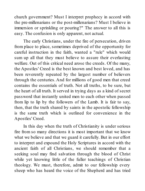church government? Must I interpret prophecy in accord with the pre-millenarians or the post-millenarians? Must I believe in immersion or sprinkling or pouring?" The answer to all this is easy. The confusion is only apparent, not actual.

The early Christians, under the fire of persecution, driven from place to place, sometimes deprived of the opportunity for careful instruction in the faith, wanted a "rule" which would sum up all that they must believe to assure their everlasting welfare. Out of this critical need arose the creeds. Of the many, the Apostles' Creed is the best known and best loved, and has been reverently repeated by the largest number of believers through the centuries. And for millions of good men that creed contains the essentials of truth. Not all truths, to be sure, but the heart of all truth. It served in trying days as a kind of secret password that instantly united men to each other when passed from lip to lip by the followers of the Lamb. It is fair to say, then, that the truth shared by saints in the apostolic fellowship is the same truth which is outlined for convenience in the Apostles' Creed.

In this day when the truth of Christianity is under serious fire from so many directions it is most important that we know what we believe and that we guard it carefully. But in our effort to interpret and expound the Holy Scriptures in accord with the ancient faith of all Christians, we should remember that a seeking soul may find salvation through the blood of Christ while yet knowing little of the fuller teachings of Christian theology. We must, therefore, admit to our fellowship every sheep who has heard the voice of the Shepherd and has tried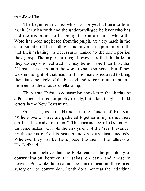to follow Him.

The beginner in Christ who has not yet had time to learn much Christian truth and the underprivileged believer who has had the misfortune to be brought up in a church where the Word has been neglected from the pulpit, are very much in the same situation. Their faith grasps only a small portion of truth, and their "sharing" is necessarily limited to the small portion they grasp. The important thing, however, is that the little bit they do enjoy is real truth. It may be no more than this, that "Christ Jesus came into the world to save sinners"; but if they walk in the light of that much truth, no more is required to bring them into the circle of the blessed and to constitute them true members of the apostolic fellowship.

Then, true Christian communion consists in the sharing of a Presence. This is not poetry merely, but a fact taught in bold letters in the New Testament.

God has given us Himself in the Person of His Son. "Where two or three are gathered together in my name, there am I in the midst of them." The immanence of God in His universe makes possible the enjoyment of the "real Presence" by the saints of God in heaven and on earth simultaneously. Wherever they may be, He is present to them in the fullness of His Godhead.

I do not believe that the Bible teaches the possibility of communication between the saints on earth and those in heaven. But while there cannot be communication, there most surely can be communion. Death does not tear the individual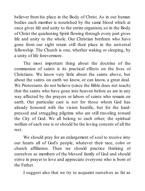believer from his place in the Body of Christ. As in our human bodies each member is nourished by the same blood which at once gives life and unity to the entire organism, so in the Body of Christ the quickening Spirit flowing through every part gives life and unity to the whole. Our Christian brethren who have gone from our sight retain still their place in the universal fellowship. The Church is one, whether waking or sleeping, by a unity of life forevermore.

The most important thing about the doctrine of the communion of saints is its practical effects on the lives of Christians. We know very little about the saints above, but about the saints on earth we know, or can know, a great deal. We Protestants do not believe (since the Bible does not teach) that the saints who have gone into heaven before us are in any way affected by the prayers or labors of saints who remain on earth. Our particular care is not for those whom God has already honored with the vision beatific, but for the hardpressed and struggling pilgrims who are still traveling toward the City of God. We all belong to each other; the spiritual welfare of each one is or should be the loving concern of all the rest.

We should pray for an enlargement of soul to receive into our hearts all of God's people, whatever their race, color or church affiliation. Then we should practice thinking of ourselves as members of the blessed family of God and should strive in prayer to love and appreciate everyone who is born of the Father.

I suggest also that we try to acquaint ourselves as far as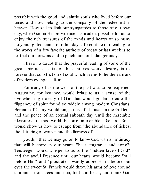possible with the good and saintly souls who lived before our times and now belong to the company of the redeemed in heaven. How sad to limit our sympathies to those of our own day, when God in His providence has made it possible for us to enjoy the rich treasures of the minds and hearts of so many holy and gifted saints of other days. To confine our reading to the works of a few favorite authors of today or last week is to restrict our horizons and to pinch our souls dangerously.

I have no doubt that the prayerful reading of some of the great spiritual classics of the centuries would destroy in us forever that constriction of soul which seems to he the earmark of modern evangelicalism.

For many of us the wells of the past wait to be reopened. Augustine, for instance, would bring to us a sense of the overwhelming majesty of God that would go far to cure the flippancy of spirit found so widely among modern Christians. Bernard of Cluny would sing to us of "Jerusalem the Golden" and the peace of an eternal sabbath day until the miserable pleasures of this world become intolerable; Richard Rolle would show us how to escape from "the abundance of riches, the flattering of women and the fairness of

youth," that we may go on to know God with an intimacy that will become in our hearts "heat, fragrance and song"; Tersteegen would whisper to us of the "hidden love of God" and the awful Presence until our hearts would become "still before Him" and "prostrate inwardly adore Him"; before our eyes the sweet St. Francis would throw his arms of love around sun and moon, trees and rain, bird and beast, and thank God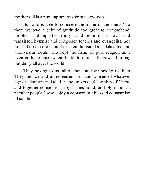for themall in a pure rapture of spiritual devotion.

But who is able to complete the roster of the saints? To them we owe a debt of gratitude too great to comprehend: prophet and apostle, martyr and reformer, scholar and translator, hymnist and composer, teacher and evangelist, not to mention ten thousand times ten thousand simplehearted and anonymous souls who kept the flame of pure religion alive even in those times when the faith of our fathers was burning but dimly all over the world.

They belong to us, all of them, and we belong to them. They and we and all redeemed men and women of whatever age or clime are included in the universal fellowship of Christ, and together compose "a royal priesthood, an holy nation, a peculiar people," who enjoy a common but blessed communion of saints.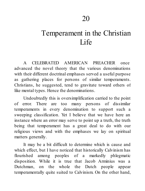## Temperament in the Christian Life

A CELEBRATED AMERICAN PREACHER once advanced the novel theory that the various denominations with their different doctrinal emphases served a useful purpose as gathering places for persons of similar temperaments. Christians, he suggested, tend to gravitate toward others of like mental types. Hence the denominations.

Undoubtedly this is oversimplification carried to the point of error. There are too many persons of dissimilar temperaments in every denomination to support such a sweeping classification. Yet I believe that we have here an instance where an error may serve to point up a truth, the truth being that temperament has a great deal to do with our religious views and with the emphases we lay on spiritual matters generally.

It may be a bit difficult to determine which is cause and which effect, but I have noticed that historically Calvinism has flourished among peoples of a markedly phlegmatic disposition. While it is true that Jacob Arminius was a Dutchman, on the whole the Dutch people appear temperamentally quite suited to Calvinism. On the other hand,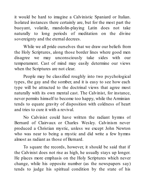it would be hard to imagine a Calvinistic Spaniard or Italian. Isolated instances there certainly are, but for the most part the buoyant, volatile, mandolin-playing Latin does not take naturally to long periods of meditation on the divine sovereignty and the eternal decrees.

While we all pride ourselves that we draw our beliefs from the Holy Scriptures, along those border lines where good men disagree we may unconsciously take sides with our temperament. Cast of mind may easily determine our views when the Scriptures are not clear.

People may be classified roughly into two psychological types, the gay and the somber, and it is easy to see how each type will be attracted to the doctrinal views that agree most naturally with its own mental cast. The Calvinist, for instance, never permits himself to become too happy, while the Arminian tends to equate gravity of disposition with coldness of heart and tries to cure it with a revival.

No Calvinist could have written the radiant hymns of Bernard of Clairvaux or Charles Wesley. Calvinism never produced a Christian mystic, unless we except John Newton who was near to being a mystic and did write a few hymns almost as radiant as those of Bernard.

To square the records, however, it should be said that if the Calvinist does not rise as high, he usually stays up longer. He places more emphasis on the Holy Scriptures which never change, while his opposite number (as the newspapers say) tends to judge his spiritual condition by the state of his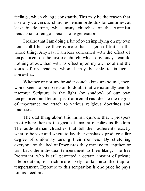feelings, which change constantly. This may be the reason that so many Calvinistic churches remain orthodox for centuries, at least in doctrine, while many churches of the Arminian persuasion often go liberal in one generation.

I realize that I amdoing a bit of oversimplifying on my own here; still I believe there is more than a germ of truth in the whole thing. Anyway, I am less concerned with the effect of temperament on the historic church, which obviously I can do nothing about, than with its effect upon my own soul and the souls of my readers, whom I may be able to influence somewhat.

Whether or not my broader conclusions are sound, there would seem to be no reason to doubt that we naturally tend to interpret Scripture in the light (or shadow) of our own temperament and let our peculiar mental cast decide the degree of importance we attach to various religious doctrines and practices.

The odd thing about this human quirk is that it prospers most where there is the greatest amount of religious freedom. The authoritarian churches that tell their adherents exactly what to believe and where to lay their emphasis produce a fair degree of uniformity among their members. By stretching everyone on the bed of Procrustes they manage to lengthen or trim back the individual temperament to their liking. The free Protestant, who is still permitted a certain amount of private interpretation, is much more likely to fall into the trap of temperament. Exposure to this temptation is one price he pays for his freedom.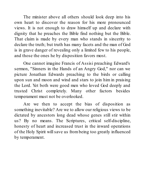The minister above all others should look deep into his own heart to discover the reason for his more pronounced views. It is not enough to draw himself up and declare with dignity that he preaches the Bible find nothing but the Bible. That claim is made by every man who stands in sincerity to declare the truth; but truth has many facets and the man of God is in grave danger of revealing only a limited few to his people, and those the ones he by disposition favors most.

One cannot imagine Francis of Assisi preaching Edward's sermon, "Sinners in the Hands of an Angry God," nor can we picture Jonathan Edwards preaching to the birds or calling upon sun and moon and wind and stars to join him in praising the Lord. Yet both were good men who loved God deeply and trusted Christ completely. Many other factors besides temperament must not be overlooked.

Are we then to accept the bias of disposition as something inevitable? Are we to allow our religious views to be dictated by ancestors long dead whose genes still stir within us? By no means. The Scriptures, critical self-discipline, honesty of heart and increased trust in the inward operations of the Holy Spirit willsave us frombeing too greatly influenced by temperament.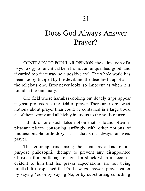# Does God Always Answer Prayer?

CONTRARY TO POPULAR OPINION, the cultivation of a psychology of uncritical belief is not an unqualified good, and if carried too far it may be a positive evil. The whole world has been booby-trapped by the devil, and the deadliest trap of all is the religious one. Error never looks so innocent as when it is found in the sanctuary.

One field where harmless-looking but deadly traps appear in great profusion is the field of prayer. There are more sweet notions about prayer than could be contained in a large book, all of themwrong and all highly injurious to the souls of men.

I think of one such false notion that is found often in pleasant places consorting smilingly with other notions of unquestionable orthodoxy. It is that God always answers prayer.

This error appears among the saints as a kind of allpurpose philosophic therapy to prevent any disappointed Christian from suffering too great a shock when it becomes evident to him that his prayer expectations are not being fulfilled. It is explained that God always answers prayer, either by saying Yes or by saying No, or by substituting something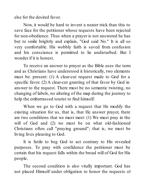else for the desired favor.

Now, it would be hard to invent a neater trick than this to save face for the petitioner whose requests have been rejected for non-obedience. Thus when a prayer is not answered he has but to smile brightly and explain, "God said No." It is all so very comfortable. His wobbly faith is saved from confusion and his conscience is permitted to lie undisturbed. But I wonder if it is honest.

To receive an answer to prayer as the Bible uses the term and as Christians have understood it historically, two elements must be. present: (1) A clear-cut request made to God for a specific favor. (2) A clear-cut granting of that favor by God in answer to the request. There must be no semantic twisting, no changing of labels, no altering of the map during the journey to help the embarrassed tourist to find himself.

When we go to God with a request that He modify the existing situation for us, that is, that He answer prayer, there are two conditions that we must meet: (1) We must pray in the will of God and (2) we must be on what old-fashioned Christians often call "praying ground"; that is, we must be living lives pleasing to God.

It is futile to beg God to act contrary to His revealed purposes. To pray with confidence the petitioner must be certain that his request falls within the broad will of God for His people.

The second condition is also vitally important. God has not placed Himself under obligation to honor the requests of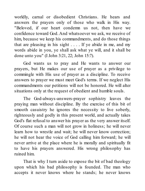worldly, carnal or disobedient Christians. He hears and answers the prayers only of those who walk in His way. "Beloved, if our heart condemn us not, then have we confidence toward God. And whatsoever we ask, we receive of him, because we keep his commandments, and do those things that are pleasing in his sight . . . . If ye abide in me, and my words abide in you, ye shall ask what ye will, and it shall be done unto you" (I John 3:21, 22; John 15:7).

God wants us to pray and He wants to answer our prayers, but He makes our use of prayer as a privilege to commingle with His use of prayer as a discipline. To receive answers to prayer we must meet God's terms. If we neglect His commandments our petitions will not be honored. He will alter situations only at the request of obedient and humble souls.

The God-always-answers-prayer sophistry leaves the praying man without discipline. By the exercise of this bit of smooth casuistry he ignores the necessity to live soberly, righteously and godly in this present world, and actually takes God's flat refusal to answer his prayer as the very answer itself. Of course such a man will not grow in holiness; he will never learn how to wrestle and wait; he will never know correction; he will not hear the voice of God calling him forward; he will never arrive at the place where he is morally and spiritually fit to have his prayers answered. His wrong philosophy has ruined him.

That is why I turn aside to expose the bit of bad theology upon which his bad philosophy is founded. The man who accepts it never knows where he stands; he never knows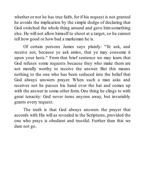whether or not he has true faith, for if his request is not granted he avoids the implication by the simple dodge of declaring that God switched the whole thing around and gave him something else. He will not allow himself to shoot at a target, so he cannot tell how good or how bad a marksman he is.

Of certain persons James says plainly: "Ye ask, and receive not, because ye ask amiss, that ye may consume it upon your lusts." From that brief sentence we may learn that God refuses some requests because they who make them are not morally worthy to receive the answer. But this means nothing to the one who has been seduced into the belief that God always answers prayer. When such a man asks and receives not he passes his hand over the hat and comes up with the answer in some other form. One thing he clings to with great tenacity: God never turns anyone away, but invariably grants every request.

The truth is that God always answers the prayer that accords with His will as revealed in the Scriptures, provided the one who prays is obedient and trustful. Further than this we dare not go.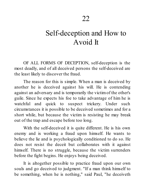# Self-deception and How to Avoid It

OF ALL FORMS OF DECEPTION, self-deception is the most deadly, and of all deceived persons the self-deceived are the least likely to discover the fraud.

The reason for this is simple. When a man is deceived by another he is deceived against his will. He is contending against an adversary and is temporarily the victimof the other's guile. Since he expects his foe to take advantage of him he is watchful and quick to suspect trickery. Under such circumstances it is possible to be deceived sometimes and for a short while, but because the victim is resisting he may break out of the trap and escape before too long.

With the self-deceived it is quite different. He is his own enemy and is working a fraud upon himself. He wants to believe the lie and is psychologically conditioned to do so. He does not resist the deceit but collaborates with it against himself. There is no struggle, because the victim surrenders before the fight begins. He enjoys being deceived.

It is altogether possible to practice fraud upon our own souls and go deceived to judgment. "If a man think himself to be something, when he is nothing," said Paul, "he deceiveth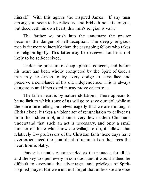himself." With this agrees the inspired James: "If any man among you seem to be religious, and bridleth not his tongue, but deceiveth his own heart, this man's religion is vain."

The farther we push into the sanctuary the greater becomes the danger of self-deception. The deeply religious man is far more vulnerable than the easygoing fellow who takes his religion lightly. This latter may be deceived but he is not likely to be self-deceived.

Under the pressure of deep spiritual concern, and before his heart has been wholly conquered by the Spirit of God, a man may be driven to try every dodge to save face and preserve a semblance of his old independence. This is always dangerous and if persisted in may prove calamitous.

The fallen heart is by nature idolatrous. There appears to be no limit to which some of us will go to save our idol, while at the same time telling ourselves eagerly that we are trusting in Christ alone. It takes a violent act of renunciation to deliver us from the hidden idol, and since very few modern Christians understand that such an act is necessary, and only a small number of those who know are willing to do, it follows that relatively few professors of the Christian faith these days have ever experienced the painful act of renunciation that frees the heart fromidolatry.

Prayer is usually recommended as the panacea for all ills and the key to open every prison door, and it would indeed be difficult to overstate the advantages and privilege of Spiritinspired prayer. But we must not forget that unless we are wise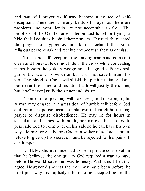and watchful prayer itself may become a source of selfdeception. There are as many kinds of prayer as there are problems and some kinds are not acceptable to God. The prophets of the Old Testament denounced Israel for trying to hide their iniquities behind their prayers. Christ flatly rejected the prayers of hypocrites and James declared that some religious persons ask and receive not because they ask amiss.

To escape self-deception the praying man must come out clean and honest. He cannot hide in the cross while concealing in his bosom the golden wedge and the goodly Babylonish garment. Grace will save a man but it will not save him and his idol. The blood of Christ will shield the penitent sinner alone, but never the sinner and his idol. Faith will justify the sinner, but it will never justify the sinner and his sin.

No amount of pleading will make evil good or wrong right. A man may engage in a great deal of humble talk before God and get no response because unknown to himself he is using prayer to disguise disobedience. He may lie for hours in sackcloth and ashes with no higher motive than to try to persuade God to come over on his side so he can have his own way. He may grovel before God in a welter of self-accusation, refuse to give up his secret sin and be rejected for his pains. It can happen.

Dr. H. M. Shuman once said to me in private conversation that he believed the one quality God required a man to have before He would save him was honesty. With this I heartily agree. However dishonest the man may have been before, he must put away his duplicity if he is to be accepted before the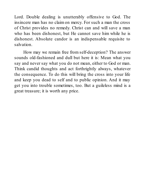Lord. Double dealing is unutterably offensive to God. The insincere man has no claim on mercy. For such a man the cross of Christ provides no remedy. Christ can and will save a man who has been dishonest, but He cannot save him while he is dishonest. Absolute candor is an indispensable requisite to salvation.

How may we remain free from self-deception? The answer sounds old-fashioned and dull but here it is: Mean what you say and never say what you do not mean, either to God or man. Think candid thoughts and act forthrightly always, whatever the consequence. To do this will bring the cross into your life and keep you dead to self and to public opinion. And it may get you into trouble sometimes, too. But a guileless mind is a great treasure; it is worth any price.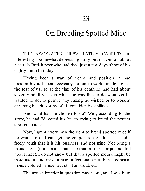### On Breeding Spotted Mice

THE ASSOCIATED PRESS LATELY CARRIED an interesting if somewhat depressing story out of London about a certain British peer who had died just a few days short of his eighty-ninth birthday.

Having been a man of means and position, it had presumably not been necessary for him to work for a living like the rest of us, so at the time of his death he had had about seventy adult years in which he was free to do whatever he wanted to do, to pursue any calling he wished or to work at anything he felt worthy of his considerable abilities.

And what had he chosen to do? Well, according to the story, he had "devoted his life to trying to breed the perfect spotted mouse."

Now, I grant every man the right to breed spotted mice if he wants to and can get the cooperation of the mice, and I freely admit that it is his business and not mine. Not being a mouse lover (nor a mouse hater for that matter; I amjust neutral about mice), I do not know but that a spotted mouse might be more useful and make a more affectionate pet than a common mouse colored mouse. But still I amtroubled.

The mouse breeder in question was a lord, and I was born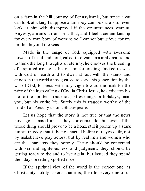on a farm in the hill country of Pennsylvania, but since a cat can look at a king I suppose a farm boy can look at a lord, even look at him with disapproval if the circumstances warrant. Anyway, a man's a man for a' that, and I feel a certain kinship for every man born of woman; so I cannot but grieve for my brother beyond the seas.

Made in the image of God, equipped with awesome powers of mind and soul, called to dream immortal dreams and to think the long thoughts of eternity, he chooses the breeding of a spotted mouse as his reason for existing. Invited to walk with God on earth and to dwell at last with the saints and angels in the world above; called to serve his generation by the will of God, to press with holy vigor toward the mark for the prize of the high calling of God in Christ Jesus, he dedicates his life to the spotted mousenot just evenings or holidays, mind you, but his entire life. Surely this is tragedy worthy of the mind of an Aeschylus or a Shakespeare.

Let us hope that the story is not true or that the news boys got it mixed up as they sometimes do; but even if the whole thing should prove to be a hoax, still it points up a stark human tragedy that is being enacted before our eyes daily, not by makebelieve play actors, but by real men and women who are the characters they portray. These should be concerned with sin and righteousness and judgment; they should be getting ready to die and to live again; but instead they spend their days breeding spotted mice.

If the spiritual view of the world is the correct one, as Christianity boldly asserts that it is, then for every one of us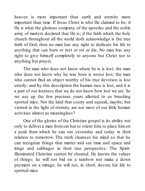heaven is more important than earth and eternity more important than time. If Jesus Christ is who He claimed to be; if He is what the glorious company of the apostles and the noble army of martyrs declared that He is; if the faith which the holy church throughout all the world doth acknowledge is the true faith of God, then no man has any right to dedicate his life to anything that can burn or rust or rot or die. No man has any right to give himself completely to anyone but Christ nor to anything but prayer.

The man who does not know where he is is lost; the man who does not know why he was born is worse lost; the man who cannot find an object worthy of his true devotion is lost utterly; and by this description the human race is lost, and it is a part of our lostness that we do not know how lost we are. So we use up the few precious years allotted to us breeding spotted mice. Not the kind that scurry and squeak, maybe; but viewed in the light of eternity, are not most of our little human activities almost as meaningless?

One of the glories of the Christian gospel is its ability not only to deliver a man from sin but to orient him, to place him on a peak from which he can see yesterday and today in their relation to tomorrow. The truth cleanses his mind so that he can recognize things that matter and see time and space and kings and cabbages in their true perspective. The Spiritilluminated Christian cannot be cheated. He knows the values of things; he will not bid on a rainbow nor make a down payment on a mirage; he will not, in short, devote his life to spotted mice.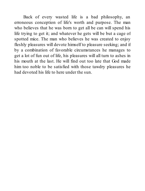Back of every wasted life is a bad philosophy, an erroneous conception of life's worth and purpose. The man who believes that he was born to get all be can will spend his life trying to get it; and whatever he gets will be but a cage of spotted mice. The man who believes he was created to enjoy fleshly pleasures will devote himself to pleasure seeking; and if by a combination of favorable circumstances he manages to get a lot of fun out of life, his pleasures will all turn to ashes in his mouth at the last. He will find out too late that God made him too noble to be satisfied with those tawdry pleasures he had devoted his life to here under the sun.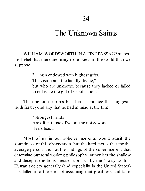#### The Unknown Saints

WILLIAM WORDSWORTH IN A FINE PASSAGE states his belief that there are many more poets in the world than we suppose,

> ". . .men endowed with highest gifts, The vision and the faculty divine," but who are unknown because they lacked or failed to cultivate the gift of versification.

Then he sums up his belief in a sentence that suggests truth far beyond any that he had in mind at the time:

> "Strongest minds Are often those of whomthe noisy world Hears least."

Most of us in our soberer moments would admit the soundness of this observation, but the hard fact is that for the average person it is not the findings of the sober moment that determine our total working philosophy; rather it is the shallow and deceptive notions pressed upon us by the "noisy world." Human society generally (and especially in the United States) has fallen into the error of assuming that greatness and fame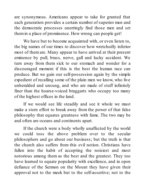are synonymous. Americans appear to take for granted that each generation provides a certain number of superior men and the democratic processes unerringly find those men and set themin a place of prominence. How wrong can people get!

We have but to become acquainted with, or even listen to. the big names of our times to discover how wretchedly inferior most of them are. Many appear to have arrived at their present eminence by pull, brass, nerve, gall and lucky accident. We turn away from them sick to our stomach and wonder for a discouraged moment if this is the best the human race can produce. But we gain our self-possession again by the simple expedient of recalling some of the plain men we know, who live unheralded and unsung, and who are made of stuff infinitely finer than the hoarse-voiced braggarts who occupy too many of the highest offices in the land.

If we would see life steadily and see it whole we must make a stern effort to break away from the power of that false philosophy that equates greatness with fame. The two may be and often are oceans and continents apart.

If the church were a body wholly unaffected by the world we could toss the above problem over to the secular philosophers and go about our business; but the truth is that the church also suffers from this evil notion. Christians have fallen into the habit of accepting the noisiest and most notorious among them as the best and the greatest. They too have learned to equate popularity with excellence, and in open defiance of the Sermon on the Mount they have given their approval not to the meek but to the self-assertive; not to the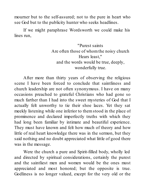mourner but to the self-assured; not to the pure in heart who see God but to the publicity hunter who seeks headlines.

If we might paraphrase Wordsworth we could make his lines run,

> "Purest saints Are often those of whomthe noisy church Hears least," and the words would be true, deeply, wonderfully true.

After more than thirty years of observing the religious scene I have been forced to conclude that saintliness and church leadership are not often synonymous. I have on many occasions preached to grateful Christians who had gone so much farther than I had into the sweet mysteries of God that I actually felt unworthy to tie their shoe laces. Yet they sat meekly listening while one inferior to themstood in the place of prominence and declared imperfectly truths with which they had long been familiar by intimate and beautiful experience. They must have known and felt how much of theory and how little of real heart knowledge there was in the sermon, but they said nothing and no doubt appreciated what little of good there was in the message.

Were the church a pure and Spirit-filled body, wholly led and directed by spiritual considerations, certainly the purest and the saintliest men and women would be the ones most appreciated and most honored; but the opposite is true. Godliness is no longer valued, except for the very old or the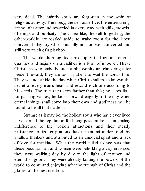very dead. The saintly souls are forgotten in the whirl of religious activity. The noisy, the self-assertive, the entertaining are sought after and rewarded in every way, with gifts, crowds, offerings and publicity. The Christ-like, the self-forgetting, the other-worldly are jostled aside to make room for the latest converted playboy who is usually not too well converted and still very much of a playboy.

The whole short-sighted philosophy that ignores eternal qualities and majors on trivialities is a form of unbelief. These Christians who embody such a philosophy are clamoring after present reward; they are too impatient to wait the Lord's time. They will not abide the day when Christ shall make known the secret of every man's heart and reward each one according to his deeds. The true saint sees farther than this; he cares little for passing values; he looks forward eagerly to the day when eternal things shall come into their own and godliness will be found to be all that matters.

Strange as it may be, the holiest souls who have ever lived have earned the reputation for being pessimistic. Their smiling indifference to the world's attractions and their steady resistance to its temptations have been misunderstood by shallow thinkers and attributed to an unsocial spirit and a lack of love for mankind. What the world failed to see was that these peculiar men and women were beholding a city invisible; they were walking day by day in the light of another and eternal kingdom. They were already tasting the powers of the world to come and enjoying afar the triumph of Christ and the glories of the new creation.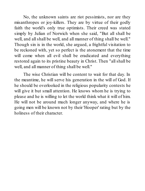No, the unknown saints are riot pessimists, nor are they misanthropes or joy-killers. They are by virtue of their godly faith the world's only true optimists. Their creed was stated simply by Julian of Norwich when she said, "But all shall be well, and all shall be well, and all manner of thing shall be well." Though sin is in the world, she argued, a frightful visitation to be reckoned with, yet so perfect is the atonement that the time will come when all evil shall be eradicated and everything restored again to its pristine beauty in Christ. Then "allshall be well, and all manner of thing shall be well."

The wise Christian will be content to wait for that day. In the meantime, he will serve his generation in the will of God. If he should be overlooked in the religious popularity contests he will give it but small attention. He knows whom he is trying to please and he is willing to let the world think what it will of him. He will not be around much longer anyway, and where he is going men will be known not by their 'Hooper' rating but by the holiness of their character.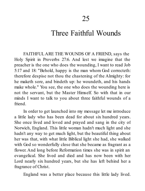#### Three Faithful Wounds

FAITHFULARE THE WOUNDS OF A FRIEND, says the Holy Spirit in Proverbs 27:6. And lest we imagine that the preacher is the one who does the wounding, I want to read Job 5:17 and 18: "Behold, happy is the man whom God correcteth: therefore despise not thou the chastening of the Almighty: for he maketh sore, and bindeth up: he woundeth, and his hands make whole." You see, the one who does the wounding here is not the servant, but the Master Himself. So with that in our minds I want to talk to you about three faithful wounds of a friend.

In order to get launched into my message let me introduce a little lady who has been dead for about six hundred years. She once lived and loved and prayed and sang in the city of Norwich, England. This little woman hadn't much light and she hadn't any way to get much light, but the beautiful thing about her was that, with what little Biblical light she had, she walked with God so wonderfully close that she became as fragrant as a flower. And long before Reformation times she was in spirit an evangelical. She lived and died and has now been with her Lord nearly six hundred years, but she has left behind her a fragrance of Christ.

England was a better place because this little lady lived.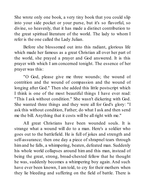She wrote only one book, a very tiny book that you could slip into your side pocket or your purse, but it's so flavorful, so divine, so heavenly, that it has made a distinct contribution to the great spiritual literature of the world. The lady to whom I refer is the one called the Lady Julian.

Before she blossomed out into this radiant, glorious life which made her famous as a great Christian all over her part of the world, she prayed a prayer and God answered. It is this prayer with which I am concerned tonight. The essence of her prayer was this:

"O God, please give me three wounds; the wound of contrition and the wound of compassion and the wound of longing after God." Then she added this little postscript which I think is one of the most beautiful things I have ever read: "This I ask without condition." She wasn't dickering with God. She wanted three things and they were all for God's glory: "I ask this without condition, Father; do what I ask and then send me the bill. Anything that it costs will be all right with me."

All great Christians have been wounded souls. It is strange what a wound will do to a man. Here's a soldier who goes out to the battlefield. He is full of jokes and strength and self-assurance; then one day a piece of shrapnel tears through himand he falls, a whimpering, beaten, defeated man. Suddenly his whole world collapses around him and this man, instead of being the great, strong, broad-chested fellow that he thought he was, suddenly becomes a whimpering boy again. And such have ever been known, I am told, to cry for their mothers when they lie bleeding and suffering on the field of battle. There is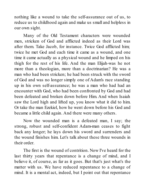nothing like a wound to take the self-assurance out of us, to reduce us to childhood again and make us small and helpless in our own sight.

Many of the Old Testament characters were wounded men, stricken of God and afflicted indeed as their Lord was after them. Take Jacob, for instance. Twice God afflicted him; twice he met God and each time it came as a wound, and one time it came actually as a physical wound and he limped on his thigh for the rest of his life. And the man Elijah-was he not more than a theologian, more than a doctrinarian? He was a man who had been stricken; he had been struck with the sword of God and was no longer simply one of Adam's race standing up in his own self-assurance; he was a man who had had an encounter with God, who had been confronted by God and had been defeated and broken down before Him. And when Isaiah saw the Lord high and lifted up, you know what it did to him. Or take the man Ezekiel, how he went down before his God and became a little child again. And there were many others.

Now the wounded man is a defeated man, I say; the strong, robust and self-confident Adam-man ceases to fight back any longer; he lays down his sword and surrenders and the wound finishes him. Let's talk about these three wounds in their order.

The first is the wound of contrition. Now I've heard for the last thirty years that repentance is a change of mind, and I believe it, of course, as far as it goes. But that's just what's the matter with us. We have reduced repentance to a change of mind. It is a mental act, indeed, but I point out that repentance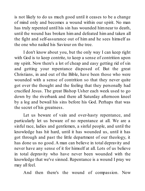is not likely to do us much good until it ceases to be a change of mind only and becomes a wound within our spirit. No man has truly repented until his sin has wounded him near to death, until the wound has broken him and defeated him and taken all the fight and self-assurance out of him and he sees himself as the one who nailed his Saviour on the tree.

I don't know about you, but the only way I can keep right with God is to keep contrite, to keep a sense of contrition upon my spirit. Now there's a lot of cheap and easy getting rid of sin and getting your repentance disposed of. But the great Christians, in and out of the Bible, have been those who were wounded with a sense of contrition so that they never quite got over the thought and the feeling that they personally had crucified Jesus. The great Bishop Usher each week used to go down by the riverbank and there all Saturday afternoon kneel by a log and bewail his sins before his God. Perhaps that was the secret of his greatness.

Let us beware of vain and over-hasty repentance, and particularly let us beware of no repentance at all. We are a sinful race, ladies and gentlemen, a sinful people, and until the knowledge has hit hard, until it has wounded us, until it has got through and past the little department of our theology, it has done us no good. A man can believe in total depravity and never have any sense of it for himself at all. Lots of us believe in total depravity who have never been wounded with the knowledge that we've sinned. Repentance is a wound I pray we may all feel.

And then there's the wound of compassion. Now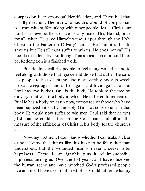compassion is an emotional identification, and Christ had that in full perfection. The man who has this wound of compassion is a man who suffers along with other people. Jesus Christ our Lord can never suffer to save us any more. This He did, once for all, when He gave Himself without spot through the Holy Ghost to the Father on Calvary's cross. He cannot suffer to save us but He still must suffer to win us. He does not call His people to redemptive suffering. That's impossible; it could not be. Redemption is a finished work.

But He does call His people to feel along with Him and to feel along with those that rejoice and those that suffer. He calls His people to be to Him the kind of an earthly body in which He can weep again and suffer again and love again. For our Lord has two bodies. One is the body He took to the tree on Calvary; that was the body in which He suffered to redeem us. But He has a body on earth now, composed of those who have been baptized into it by the Holy Ghost at conversion. In that body He would now suffer to win men. Paul said that he was glad that he could suffer for the Colossians and fill up the measure of the afflictions of Christ in his body for the church's sake.

Now, my brethren, I don't know whether I can make it clear or not. I know that things like this have to be felt rather than understood, but the wounded man is never a seeker after happiness. There is an ignoble pursuit of irresponsible happiness among us. Over the last years, as I have observed the human scene and have watched God's professed people live and die, I have seen that most of us would rather be happy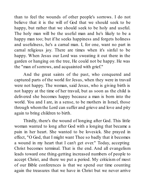than to feel the wounds of other people's sorrows. I do not believe that it is the will of God that we should seek to be happy, but rather that we should seek to be holy and useful. The holy man will be the useful man and he's likely to be a happy man too; but if he seeks happiness and forgets holiness and usefulness, he's a carnal man. I, for one, want no part in carnal religious joy. There are times when it's sinful to be happy. When Jesus our Lord was sweating it out there in the garden or hanging on the tree, He could not be happy. He was the "man of sorrows, and acquainted with grief."

And the great saints of the past, who conquered and captured parts of the world for Jesus, when they were in travail were not happy. The woman, said Jesus, who is giving birth is not happy at the time of her travail, but as soon as the child is delivered she becomes happy because a man is born into the world. You and I are, in a sense, to be mothers in Israel, those through whomthe Lord can suffer and grieve and love and pity again to bring children to birth.

Thirdly, there's the wound of longing after God. This little woman wanted to long after God with a longing that became a pain in her heart. She wanted to be lovesick. She prayed in effect, "O God, that I might want Thee so badly that it becomes a wound in my heart that I can't get over." Today, accepting Christ becomes terminal. That is the end. And all evangelism leads toward one thing-getting increased numbers of people to accept Christ, and there we put a period. My criticism of most of our Bible conferences is that we spend our time counting again the treasures that we have in Christ but we never arrive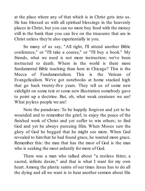at the place where any of that which is in Christ gets into us. He has blessed us with all spiritual blessings in the heavenly places in Christ, but you can no more buy food with the money still in the bank than you can live on the treasures that are in Christ unless they're also experientially in you.

So many of us say, "All right, I'll attend another Bible conference," or "I'll take a course," or "I'll buy a book." My friends, what we need is not more instruction; we've been instructed to death. Where in the world is there more fundamental Bible teaching than here in Chicago? This is the Mecca of Fundamentalism. This is the Vatican of Evangelicalism. We've got notebooks at home stacked high that go back twenty-five years. They tell us of some new sidelight on some text or some new illustration somebody gave to point up a doctrine. But, oh, what weak creatures we are! What joyless people we are!

Note the paradoxes: To be happily forgiven and yet to be wounded and to remember the grief; to enjoy the peace of the finished work of Christ and yet suffer to win others; to find God and yet be always pursuing Him. When Moses saw the glory of God he begged that he might see more. When God revealed to himthat he had found grace, he wanted more grace. Remember this: the man that has the most of God is the man who is seeking the most ardently for more of God.

There was a man who talked about "a restless thirst, a sacred, infinite desire," and that is what I want for my own heart. Among the plastic saints of our times Jesus has to do all the dying and all we want is to hear another sermon about His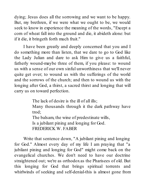dying; Jesus does all the sorrowing and we want to be happy. But, my brethren, if we were what we ought to be, we would seek to know in experience the meaning of the words, "Except a corn of wheat fall into the ground and die, it abideth alone: but if it die, it bringeth forth much fruit."

I have been greatly and deeply concerned that you and I do something more than listen, that we dare to go to God like the Lady Julian and dare to ask Him to give us a faithful, fatherly wound-maybe three of them, if you please: to wound us with a sense of our own sinful unworthiness that we'll never quite get over; to wound us with the sufferings of the world and the sorrows of the church; and then to wound us with the longing after God, a thirst, a sacred thirst and longing that will carry us on toward perfection.

The lack of desire is the ill of all ills;

Many thousands through it the dark pathway have trod;

The balsam, the wine of predestinate wills,

Is a jubilant pining and longing for God.

FREDERICK W. FABER

Write that sentence down, "A jubilant pining and longing for God." Almost every day of my life I am praying that "a jubilant pining and longing for God" might come back on the evangelical churches. We don't need to have our doctrine straightened out; we're as orthodoxas the Pharisees of old. But this longing for God that brings spiritual torrents and whirlwinds of seeking and self-denial-this is almost gone from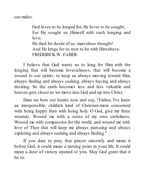our midst.

God loves to be longed for, He loves to be sought, For He sought us Himself with such longing and love; He died for desire of us, marvelous thought! And He longs for us now to be with Himabove. FREDERICK W. FABER

I believe that God wants us to long for Him with the longing that will become lovesickness, that will become a wound to our spirits, to keep us always moving toward Him, always finding and always seeking, always having and always desiring. So the earth becomes less and less valuable and heaven gets closer as we move into God and up into Christ.

Dare we bow our hearts now and say, "Father, I've been an irresponsible, childish kind of Christian-more concerned with being happy than with being holy. O God, give me three wounds. Wound me with a sense of my own sinfulness. Wound me with compassion for the world, and wound me with love of Thee that will keep me always pursuing and always exploring and always seeking and always finding."

If you dare to pray that prayer sincerely and mean it before God, it could mean a turning point in your life. It could mean a door of victory opened to you. May God grant that it be so.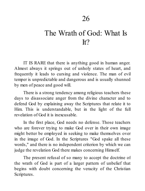# The Wrath of God: What Is It?

IT IS RARE that there is anything good in human anger. Almost always it springs out of unholy states of heart, and frequently it leads to cursing and violence. The man of evil temper is unpredictable and dangerous and is usually shunned by men of peace and good will.

There is a strong tendency among religious teachers these days to disassociate anger from the divine character and to defend God by explaining away the Scriptures that relate it to Him. This is understandable, but in the light of the full revelation of God it is inexcusable.

In the first place, God needs no defense. Those teachers who are forever trying to make God over in their own image might better be employed in seeking to make themselves over in the image of God. In the Scriptures "God spake all these words," and there is no independent criterion by which we can judge the revelation God there makes concerning Himself.

The present refusal of so many to accept the doctrine of the wrath of God is part of a larger pattern of unbelief that begins with doubt concerning the veracity of the Christian Scriptures.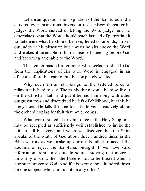Let a man question the inspiration of the Scriptures and a curious, even monstrous, inversion takes place: thereafter he judges the Word instead of letting the Word judge him; he determines what the Word should teach instead of permitting it to determine what he should believe; he edits, amends, strikes out, adds at his pleasure; but always he sits above the Word and makes it amenable to him instead of kneeling before God and becoming amenable to the Word.

The tender-minded interpreter who seeks to shield God from the implications of His own Word is engaged in an officious effort that cannot but be completely wasted.

Why such a man still clings to the tattered relics of religion it is hard to say. The manly thing would be to walk out on the Christian faith and put it behind him along with other outgrown toys and discredited beliefs of childhood, but this he rarely does. He kills the tree but still hovers pensively about the orchard hoping for fruit that never comes.

Whatever is stated clearly but once in the Holy Scriptures may be accepted as sufficiently well established to invite the faith of all believers; and when we discover that the Spirit speaks of the wrath of God about three hundred times in the Bible we may as well make up our minds either to accept the doctrine or reject the Scriptures outright. If we have valid information from some outside source proving that anger is unworthy of God, then the Bible is not to be trusted when it attributes anger to God. And if it is wrong three hundred times on one subject, who can trust it on any other?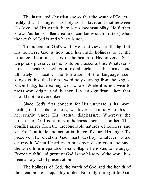The instructed Christian knows that the wrath of God is a reality, that His anger is as holy as His love, and that between His love and His wrath there is no incompatibility. He further knows (as far as fallen creatures can know such matters) what the wrath of God is and what it is not.

To understand God's wrath we must view it in the light of His holiness. God is holy and has made holiness to be the moral condition necessary to the health of His universe. Sin's temporary presence in the world only accents this. Whatever is holy is healthy; evil is a moral sickness that must end ultimately in death. The formation of the language itself suggests this, the English word holy deriving from the Anglo-Saxon halig, hal meaning well, whole. While it is not wise to press word origins unduly, there is yet a significance here that should not be overlooked.

Since God's first concern for His universe is its moral health, that is, its holiness, whatever is contrary to this is necessarily under His eternal displeasure. Wherever the holiness of God confronts unholiness there is conflict. This conflict arises from the irreconcilable natures of holiness and sin. God's attitude and action in the conflict are His anger. To preserve His creation God must destroy whatever would destroy it. When He arises to put down destruction and save the world fromirreparable moral collapse He is said to be angry. Every wrathful judgment of God in the history of the world has been a holy act of preservation.

The holiness of God, the wrath of God and the health of the creation are inseparably united. Not only is it right for God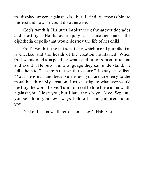to display anger against sin, but I find it impossible to understand how He could do otherwise.

God's wrath is His utter intolerance of whatever degrades and destroys. He hates iniquity as a mother hates the diphtheria or polio that would destroy the life of her child.

God's wrath is the antisepsis by which moral putrefaction is checked and the health of the creation maintained. When God warns of His impending wrath and exhorts men to repent and avoid it He puts it in a language they can understand: He tells them to "flee from the wrath to come." He says in effect, "Your life is evil, and because it is evil you are an enemy to the moral health of My creation. I must extirpate whatever would destroy the world I love. Turn fromevil before I rise up in wrath against you. I love you, but I hate the sin you love. Separate yourself from your evil ways before I send judgment upon you."

"O Lord,- . . in wrath remember mercy" (Hab. 3:2).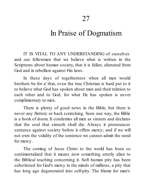## In Praise of Dogmatism

IT IS VITAL TO ANY UNDERSTANDING of ourselves and our fellowmen that we believe what is written in the Scriptures about human society, that it is fallen, alienated from God and in rebellion against His laws.

In these days of togetherness when all men would brothers be for a' that, even the true Christian is hard put to it to believe what God has spoken about men and their relation to each other and to God; for what He has spoken is never complimentary to men.

There is plenty of good news in the Bible, but there is never any flattery or back scratching. Seen one way, the Bible is a book of doom. It condemns all men as sinners and declares that the soul that sinneth shall die. Always it pronounces sentence against society before it offers mercy; and if we will not own the validity of the sentence we cannot admit the need for mercy.

The coming of Jesus Christ to the world has been so sentimentalized that it means now something utterly alien to the Biblical teaching concerning it. Soft human pity has been substituted for God's mercy in the minds of millions, a pity that has long ago degenerated into self-pity. The blame for man's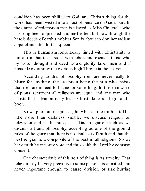condition has been shifted to God, and Christ's dying for the world has been twisted into an act of penance on God's part. In the drama of redemption man is viewed as Miss Cinderella who has long been oppressed and mistreated, but now through the heroic deeds of earth's noblest Son is about to don her radiant apparel and step forth a queen.

This is humanism romantically tinted with Christianity, a humanism that takes sides with rebels and excuses those who by word, thought and deed would glorify fallen men and if possible overthrow the glorious high Throne in the heavens.

According to this philosophy men are never really to blame for anything, the exception being the man who insists that men are indeed to blame for something. In this dim world of pious sentiment all religions are equal and any man who insists that salvation is by Jesus Christ alone is a bigot and a boor.

So we pool our religious light, which if the truth is told is little more than darkness visible; we discuss religion on television and in the press as a kind of game, much as we discuss art and philosophy, accepting as one of the ground rules of the game that there is no final test of truth and that the best religion is a composite of the best in all religions. So we have truth by majority vote and thus saith the Lord by common consent.

One characteristic of this sort of thing is its timidity. That religion may be very precious to some persons is admitted, but never important enough to cause division or risk hurting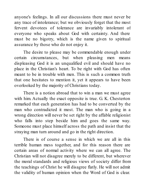anyone's feelings. In all our discussions there must never be any trace of intolerance; but we obviously forget that the most fervent devotees of tolerance are invariably intolerant of everyone who speaks about God with certainty. And there must be no bigotry, which is the name given to spiritual assurance by those who do not enjoy it.

The desire to please may be commendable enough under certain circumstances, but when pleasing men means displeasing God it is an unqualified evil and should have no place in the Christian's heart. To be right with God has often meant to be in trouble with men. This is such a common truth that one hesitates to mention it, yet it appears to have been overlooked by the majority of Christians today.

There is a notion abroad that to win a man we must agree with him. Actually the exact opposite is true. G. K. Chesterton remarked that each generation has had to be converted by the man who contradicted it most. The man who is going in a wrong direction will never be set right by the affable religionist who falls into step beside him and goes the same way. Someone must place himself across the path and insist that the straying man turn around and go in the right direction.

There is of course a sense in which we are all in this terrible human mess together, and for this reason there are certain areas of normal activity where we can all agree. The Christian will not disagree merely to be different, but wherever the moral standards and religious views of society differ from the teachings of Christ he will disagree flatly. He will not admit the validity of human opinion when the Word of God is clear.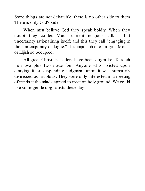Some things are not debatable; there is no other side to them. There is only God's side.

When men believe God they speak boldly. When they doubt they confer. Much current religious talk is but uncertainty rationalizing itself; and this they call "engaging in the contemporary dialogue." It is impossible to imagine Moses or Elijah so occupied.

All great Christian leaders have been dogmatic. To such men two plus two made four. Anyone who insisted upon denying it or suspending judgment upon it was summarily dismissed as frivolous. They were only interested in a meeting of minds if the minds agreed to meet on holy ground. We could use some gentle dogmatists these days.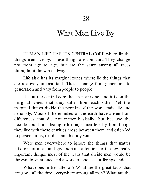#### What Men Live By

HUMAN LIFE HAS ITS CENTRAL CORE where lie the things men live by. These things are constant. They change not from age to age, but are the same among all races throughout the world always.

Life also has its marginal zones where lie the things that are relatively unimportant. These change from generation to generation and vary frompeople to people.

It is at the central core that men are one, and it is on the marginal zones that they differ from each other. Yet the marginal things divide the peoples of the world radically and seriously. Most of the enmities of the earth have arisen from differences that did not matter basically; but because the people could not distinguish things men live by from things they live with these enmities arose between them, and often led to persecutions, murders and bloody wars.

Were men everywhere to ignore the things that matter little or not at all and give serious attention to the few really important things, most of the walls that divide men would be thrown down at once and a world of endless sufferings ended.

What does matter after all? What are the great facts that are good all the time everywhere among all men? What are the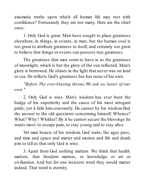axiomatic truths upon which all human life may rest with confidence? Fortunately they are not many. Here are the chief ones:

1. Only God is great. Men have sought to place greatness elsewhere, in things, in events, in men; but the human soul is too great to attribute greatness to itself, and certainly too great to believe that things or events can possess true greatness.

The greatness that men seem to have is as the greatness of moonlight, which is but the glory of the sun reflected. Man's glory is borrowed. He shines in the light that never was on land or sea. He reflects God's greatness but has none of his own.

*"Before Thy ever-blazing throne We ask no luster of our own."*

2. Only God is wise. Man's wisdom has ever been the badge of his superiority and the cause of his most arrogant pride; yet it fails him constantly. He cannot by his wisdom find the answer to the old questions concerning himself: Whence? What? Why? Whither? By it he cannot secure the blessings he wants most: to escape pain, to stay young and to stay alive.

Yet man boasts of his wisdom, God waits, the ages pass, and time and space and matter and motion and life and death join to tell us that only God is wise.

3. Apart from God nothing matters. We think that health matters, that freedom matters, or knowledge or art or civilization. And but for one insistent word they would matter indeed. That word is eternity.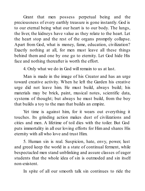Grant that men possess perpetual being and the preciousness of every earthly treasure is gone instantly. God is to our eternal being what our heart is to our body. The lungs, the liver, the kidneys have value as they relate to the heart. Let the heart stop and the rest of the organs promptly collapse. Apart from God, what is money, fame, education, civilization? Exactly nothing at all, for men must leave all these things behind them and one by one go to eternity. Let God hide His face and nothing thereafter is worth the effort.

4. Only what we do in God will remain to us at last.

Man is made in the image of his Creator and has an urge toward creative activity. When he left the Garden his creative urge did not leave him. He must build, always build; his materials may be brick, paint, musical notes, scientific data, systems of thought; but always he must build, from the boy that builds a toy to the man that builds an empire.

Yet time is against him, for it wears out everything it touches. Its grinding action makes dust of civilizations and cities and men. A lifetime of toil dies with the toiler. But God puts immortality in all our loving efforts for Him and shares His eternity with all who love and trust Him.

5. Human sin is real. Suspicion, hate, envy, power, lust and greed keep the world in a state of continual ferment, while bespectacled men stand unblinking and assure classes of eager students that the whole idea of sin is outmoded and sin itself non-existent.

In spite of all our smooth talk sin continues to ride the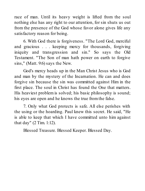race of man. Until its heavy weight is lifted from the soul nothing else has any right to our attention, for sin shuts us out from the presence of the God whose favor alone gives life any satisfactory reason for being.

6. With God there is forgiveness. "The Lord God, merciful and gracious . . . keeping mercy for thousands, forgiving iniquity and transgression and sin." So says the Old Testament. "The Son of man hath power on earth to forgive sins," (Matt. 9:6) says the New.

God's mercy heads up in the Man Christ Jesus who is God and man by the mystery of the Incarnation. He can and does forgive sin because the sin was committed against Him in the first place. The soul in Christ has found the One that matters. His heaviest problem is solved; his basic philosophy is sound; his eyes are open and he knows the true fromthe false.

7. Only what God protects is safe. All else perishes with the using or the hoarding. Paul knew this secret. He said, "He is able to keep that which I have committed unto him against that day" (2 Tim. 1:12).

Blessed Treasure. Blessed Keeper. Blessed Day.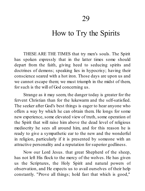#### How to Try the Spirits

THESE ARE THE TIMES that try men's souls. The Spirit has spoken expressly that in the latter times some should depart from the faith, giving heed to seducing spirits and doctrines of demons; speaking lies in hypocrisy; having their conscience seared with a hot iron. Those days are upon us and we cannot escape them; we must triumph in the midst of them, for such is the will of God concerning us.

Strange as it may seem, the danger today is greater for the fervent Christian than for the lukewarm and the self-satisfied. The seeker after God's best things is eager to hear anyone who offers a way by which he can obtain them. He longs for some new experience, some elevated view of truth, some operation of the Spirit that will raise him above the dead level of religious mediocrity he sees all around him, and for this reason he is ready to give a sympathetic ear to the new and the wonderful in religion, particularly if it is presented by someone with an attractive personality and a reputation for superior godliness.

Now our Lord Jesus. that great Shepherd of the sheep, has not left His flock to the mercy of the wolves. He has given us the Scriptures, the Holy Spirit and natural powers of observation, and He expects us to avail ourselves of their help constantly. "Prove all things; hold fast that which is good,"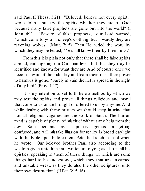said Paul (I Thess. 5:21) . "Beloved, believe not every spirit," wrote John, "but try the spirits whether they are of God: because many false prophets are gone out into the world" (I John 4:1) . "Beware of false prophets," our Lord warned, "which come to you in sheep's clothing, but inwardly they are ravening wolves" (Matt. 7:15). Then He added the word by which they may be tested. "Ye shall know them by their fruits."

Fromthis it is plain not only that there shall be false spirits abroad, endangering our Christian lives, but that they may be identified and known for what they are. And of course once we become aware of their identity and learn their tricks their power to harmus is gone. "Surely in vain the net is spread in the sight of any bird" (Prov. 1:17)

It is my intention to set forth here a method by which we may test the spirits and prove all things religious and moral that come to us or are brought or offered to us by anyone.And while dealing with these matters we should keep in mind that not all religious vagaries are the work of Satan. The human mind is capable of plenty of mischief without any help from the devil. Some persons have a positive genius for getting confused, and will mistake illusion for reality in broad daylight with the Bible open before them. Peter had such in mind when he wrote, "Our beloved brother Paul also according to the wisdom given unto him hath written unto you; as also in all his epistles, speaking in them of these things; in which are some things hard to be understood, which they that are unlearned and unstable wrest, as they do also the other scriptures, unto their own destruction" (II Pet. 3:15, 16).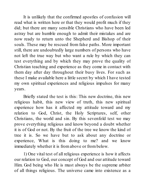It is unlikely that the confirmed apostles of confusion will read what is written here or that they would profit much if they did; but there are many sensible Christians who have been led astray but are humble enough to admit their mistakes and are now ready to return unto the Shepherd and Bishop of their souls. These may be rescued from false paths. More important still, there are undoubtedly large numbers of persons who have not left the true way but who want a rule by which they can test everything and by which they may prove the quality of Christian teaching and experience as they come in contact with them day after day throughout their busy lives. For such as these I make available here a little secret by which I have tested my own spiritual experiences and religious impulses for many years.

Briefly stated the test is this: This new doctrine, this new religious habit, this new view of truth, this new spiritual experience how has it affected my attitude toward and my relation to God, Christ, the Holy Scriptures, self, other Christians, the world and sin. By this sevenfold test we may prove everything religious and know beyond a doubt whether it is of God or not. By the fruit of the tree we know the kind of tree it is. So we have but to ask about any doctrine or experience, What is this doing to me? and we know immediately whether it is fromabove or frombelow.

1) One vital test of all religious experience is how it affects our relation to God, our concept of God and our attitude toward Him. God being who He is must always be the supreme arbiter of all things religious. The universe came into existence as a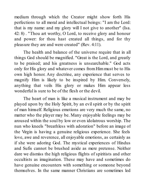medium through which the Creator might show forth His perfections to all moral and intellectual beings: "I am the Lord: that is my name: and my glory will I not give to another" (Isa. 42: 8) . "Thou art worthy, O Lord, to receive glory and honour and power: for thou hast created all things, and for thy pleasure they are and were created" (Rev. 4:11).

The health and balance of the universe require that in all things God should be magnified. "Great is the Lord, and greatly to be praised; and his greatness is unsearchable." God acts only for His glory and whatever comes fromHimmust be to His own high honor. Any doctrine, any experience that serves to magnify Him is likely to be inspired by Him. Conversely, anything that veils His glory or makes Him appear less wonderful is sure to be of the flesh or the devil.

The heart of man is like a musical instrument and may be played upon by the Holy Spirit, by an evil spirit or by the spirit of man himself. Religious emotions are very much the same, no matter who the player may be. Many enjoyable feelings may be aroused within the soul by low or even idolatrous worship. The nun who kneels "breathless with adoration" before an image of the Virgin is having a genuine religious experience. She feels love, awe and reverence, all enjoyable emotions, as certainly as if she were adoring God. The mystical experiences of Hindus and Sufis cannot be brushed aside as mere pretense. Neither dare we dismiss the high religious flights of spiritists and other occultists as imagination. These may have and sometimes do have genuine encounters with something or someone beyond themselves. In the same manner Christians are sometimes led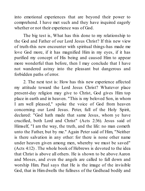into emotional experiences that are beyond their power to comprehend. I have met such and they have inquired eagerly whether or not their experience was of God.

The big test is, What has this done to my relationship to the God and Father of our Lord Jesus Christ? If this new view of truth-this new encounter with spiritual things-has made me love God more, if it has magnified Him in my eyes, if it has purified my concept of His being and caused Him to appear more wonderful than before, then I may conclude that I have not wandered astray into the pleasant but dangerous and forbidden paths of error.

2. The next test is: How has this new experience affected my attitude toward the Lord Jesus Christ? Whatever place present-day religion may give to Christ, God gives Him top place in earth and in heaven. "This is my beloved Son, in whom I am well pleased," spoke the voice of God from heaven concerning our Lord Jesus. Peter, full of the Holy Spirit, declared: "God hath made that same Jesus, whom ye have crucified, both Lord and Christ" (Acts 2:36). Jesus said of Himself, "I am the way, the truth, and the life: no man cometh unto the Father, but by me." Again Peter said of Him, "Neither is there salvation in any other: for there is none other name under heaven given among men, whereby we must be saved" (Acts 4:12) . The whole book of Hebrews is devoted to the idea that Christ is above all others. He is shown to be above Aaron and Moses, and even the angels are called to fall down and worship Him. Paul says that He is the image of the invisible God, that in Him dwells the fullness of the Godhead bodily and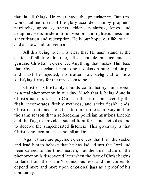that in all things He must have the preeminence. But time would fail me to tell of the glory accorded Him by prophets, patriarchs, apostles, saints, elders, psalmists, kings and seraphim. He is made unto us wisdom and righteousness and sanctification and redemption. He is our hope, our life, our all and all, now and forevermore.

All this being true, it is clear that He must stand at the center of all true doctrine, all acceptable practice and all genuine Christian experience. Anything that makes Him less than God has declared Him to be is delusion pure and simple and must be rejected, no matter how delightful or how satisfying it may for the time seemto be.

Christless Christianity sounds contradictory but it exists as a real phenomenon in our day. Much that is being done in Christ's name is false to Christ in that it is conceived by the flesh, incorporates fleshly methods, and seeks fleshly ends. Christ is mentioned from time to time in the same way and for the same reason that a self-seeking politician mentions Lincoln and the flag, to provide a sacred front for carnal activities and to deceive the simplehearted listeners. This giveaway is that Christ is not central: He is not all and in all.

Again, there are psychic experiences that thrill the seeker and lead him to believe that he has indeed met the Lord and been carried to the third heaven; but the true nature of the phenomenon is discovered later when the face of Christ begins to fade from the victim's consciousness and he comes to depend more and more upon emotional jags as a proof of his spirituality.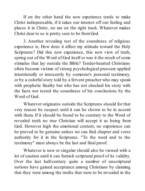If on the other hand the new experience tends to make Christ indispensable, if it takes our interest off our feeling and places it in Christ, we are on the right track. Whatever makes Christ dear to us is pretty sure to be fromGod.

3. Another revealing test of the soundness of religious experience is, How does it affect my attitude toward the Holy Scriptures? Did this new experience, this new view of truth, spring out of the Word of God itself or was it the result of some stimulus that lay outside the Bible? Tender-hearted Christians often become victims of strong psychological pressure applied intentionally or innocently by someone's personal testimony, or by a colorfulstory told by a fervent preacher who may speak with prophetic finality but who has not checked his story with the facts nor tested the soundness of his conclusions by the Word of God.

Whatever originates outside the Scriptures should for that very reason be suspect until it can be shown to be in accord with them. If it should be found to be contrary to the Word of revealed truth no true Christian will accept it as being from God. However high the emotional content, no experience can be proved to be genuine unless we can find chapter and verse authority for it in the Scriptures. "To the word and to the testimony" must always be the last and final proof.

Whatever is new or singular should also be viewed with a lot of caution until it can furnish scriptural proof of its validity. Over the last half-century quite a number of unscriptural notions have gained acceptance among Christians by claiming that they were among the truths that were to be revealed in the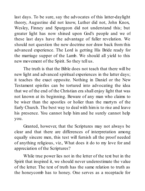last days. To be sure, say the advocates of this latter-daylight theory, Augustine did not know, Luther did not, John Knox, Wesley, Finney and Spurgeon did not understand this; but greater light has now shined upon God's people and we of these last days have the advantage of fuller revelation. We should not question the new doctrine nor draw back from this advanced experience. The Lord is getting His Bride ready for the marriage supper of the Lamb. We should all yield to this new movement of the Spirit. So they tell us.

The truth is that the Bible does not teach that there will be new light and advanced spiritual experiences in the latter days; it teaches the exact opposite. Nothing in Daniel or the New Testament epistles can be tortured into advocating the idea that we of the end of the Christian era shall enjoy light that was not known at its beginning. Beware of any man who claims to be wiser than the apostles or holier than the martyrs of the Early Church. The best way to deal with himis to rise and leave his presence. You cannot help him and he surely cannot help you.

Granted, however, that the Scriptures may not always be clear and that there are differences of interpretation among equally sincere men, this test will furnish all the proof needed of anything religious, viz., What does it do to my love for and appreciation of the Scriptures?

While true power lies not in the letter of the text but in the Spirit that inspired it, we should never underestimate the value of the letter. The text of truth has the same relation to truth as the honeycomb has to honey. One serves as a receptacle for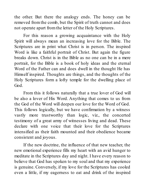the other. But there the analogy ends. The honey can be removed from the comb, but the Spirit of truth cannot and does not operate apart fromthe letter of the Holy Scriptures.

For this reason a growing acquaintance with the Holy Spirit will always mean an increasing love for the Bible. The Scriptures are in print what Christ is in person. The inspired Word is like a faithful portrait of Christ. But again the figure breaks down. Christ is in the Bible as no one can be in a mere portrait, for the Bible is a book of holy ideas and the eternal Word of the Father can and does dwell in the thought He has Himself inspired. Thoughts are things, and the thoughts of the Holy Scriptures form a lofty temple for the dwelling place of God.

From this it follows naturally that a true lover of God will be also a lover of His Word. Anything that comes to us from the God of the Word will deepen our love for the Word of God. This follows logically, but we have confirmation by a witness vastly more trustworthy than logic, viz., the concerted testimony of a great army of witnesses living and dead. These declare with one voice that their love for the Scriptures intensified as their faith mounted and their obedience became consistent and joyous.

If the new doctrine, the influence of that new teacher, the new emotional experience fills my heart with an avid hunger to meditate in the Scriptures day and night. I have every reason to believe that God has spoken to my soul and that my experience is genuine. Conversely, if my love for the Scriptures has cooled even a little, if my eagerness to eat and drink of the inspired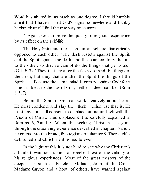Word has abated by as much as one degree, I should humbly admit that I have missed God's signal somewhere and frankly backtrack until I find the true way once more.

4. Again, we can prove the quality of religious experience by its effect on the self-life.

The Holy Spirit and the fallen human self are diametrically opposed to each other. "The flesh lusteth against the Spirit, and the Spirit against the flesh: and these are contrary the one to the other: so that ye cannot do the things that ye would" (Gal. 5:17). "They that are after the flesh do mind the things of the flesh; but they that are after the Spirit the things of the Spirit . . . . Because the carnal mind is enmity against God: for it is not subject to the law of God, neither indeed can be" (Rom. 8: 5, 7).

Before the Spirit of God can work creatively in our hearts He must condemn and slay the "flesh" within us; that is, He must have our full consent to displace our natural self with the Person of Christ. This displacement is carefully explained in Romans 6, 7,and 8. When the seeking Christian has gone through the crucifying experience described in chapters 6 and 7 he enters into the broad, free regions of chapter 8. There self is dethroned and Christ is enthroned forever.

In the light of this it is not hard to see why the Christian's attitude toward self is such an excellent test of the validity of his religious experiences. Most of the great masters of the deeper life, such as Fenelon. Molinos, John of the Cross, Madame Guyon and a host, of others, have warned against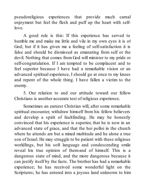pseudoreligious experiences that provide much carnal enjoyment but feel the flesh and puff up the heart with selflove.

A good rule is this: If this experience has served to humble me and make me little and vile in my own eyes it is of God; but if it has given me a feeling of self-satisfaction it is false and should be dismissed as emanating from self or the devil. Nothing that comes from God will minister to my pride or self-congratulation. If I am tempted to be complacent and to feel superior because I have had a remarkable vision or an advanced spiritual experience, I should go at once to my knees and repent of the whole thing. I have fallen a victim to the enemy.

5. Our relation to and our attitude toward our fellow Christians is another accurate test of religious experience.

Sometimes an earnest Christian will, after some remarkable spiritual encounter, withdraw himself from his fellow believers and develop a spirit of faultfinding. He may be honestly convinced that his experience is superior, that he is now in an advanced state of grace, and that the hoi polloi in the church where he attends are but a mixed multitude and he alone a true son of Israel. He may struggle to be patient with these religious worldlings, but his soft language and condescending smile reveal his true opinion of them-and of himself. This is a dangerous state of mind, and the more dangerous because it can justify itself by the facts. The brother has had a remarkable experience; he has received some wonderful light on the Scriptures; he has entered into a joyous land unknown to him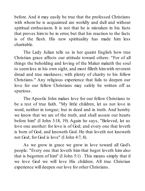before. And it may easily be true that the professed Christians with whom he is acquainted are worldly and dull and without spiritual enthusiasm. It is not that he is mistaken in his facts that proves him to be in error, but that his reaction to the facts is of the flesh. His new spirituality has made him less charitable.

The Lady Julian tells us in her quaint English how true Christian grace affects our attitude toward others: "For of all things the beholding and loving of the Maker maketh the soul to seemless in his own sight, and most filleth himwith reverent dread and true meekness; with plenty of charity to his fellow Christians." Any religious experience that fails to deepen our love for our fellow Christians may safely be written off as spurious.

The Apostle John makes love for our fellow Christians to be a test of true faith. "My little children, let us not love in word, neither in tongue; but in deed and in truth. And hereby we know that we are of the truth, and shall assure our hearts before him" (I John 3:18, 19). Again he says, "Beloved, let us love one another: for love is of God; and every one that loveth is born of God, and knoweth God. He that loveth not knoweth not God; for God is love" (I John 4:7, 8).

As we grow in grace we grow in love toward all God's people. "Every one that loveth him that begot loveth him also that is begotten of him" (I John 5:1) . This means simply that if we love God we will love His children. All true Christian experience will deepen our love for other Christians.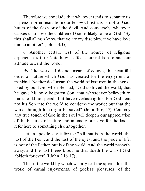Therefore we conclude that whatever tends to separate us in person or in heart from our fellow Christians is not of God, but is of the flesh or of the devil. And conversely, whatever causes us to love the children of God is likely to be of God. "By this shall all men know that ye are my disciples, if ye have love one to another" (John 13:35).

6. Another certain test of the source of religious experience is this: Note how it affects our relation to and our attitude toward the world.

By "the world" I do not mean, of course, the beautiful order of nature which God has created for the enjoyment of mankind. Neither do I mean the world of lost men in the sense used by our Lord when He said, "God so loved the world, that he gave his only begotten Son, that whosoever believeth in him should not perish, but have everlasting life. For God sent not his Son into the world to condemn the world; but that the world through him might be saved" (John 3:16, 17). Certainly any true touch of God in the soul will deepen our appreciation of the beauties of nature and intensify our love for the lost. I refer here to something else altogether.

Let an apostle say it for us: "All that is in the world, the lust of the flesh, and the lust of the eyes, and the pride of life, is not of the Father, but is of the world. And the world passeth away, and the lust thereof: but he that doeth the will of God abideth for ever" (I John 2:16, 17) .

This is the world by which we may test the spirits. It is the world of carnal enjoyments, of godless pleasures, of the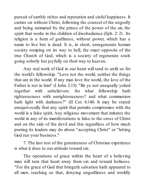pursuit of earthly riches and reputation and sinful happiness. It carries on without Christ, following the counsel of the ungodly and being animated by the prince of the power of the air, the spirit that works in the children of disobedience (Eph. 2: 2) . Its religion is a form of godliness, without power, which has a name to live but is dead. It is, in short, unregenerate human society romping on its way to hell, the exact opposite of the true Church of God, which is a society of regenerate souls going soberly but joyfully on their way to heaven.

Any real work of God in our heart will tend to unfit us for the world's fellowship. "Love not the world, neither the things that are in the world. If any man love the world, the love of the Father is not in him" (I John 2:15). "Be ye not unequally yoked together with unbelievers: for what fellowship hath righteousness with unrighteousness? and what communion hath light with darkness?" (II Cor. 6:140. It may be stated unequivocally that any spirit that permits compromise with the world is a false spirit. Any religious movement that imitates the world in any of its manifestations is false to the cross of Christ and on the side of the devil and this regardless of how much purring its leaders may do about "accepting Christ" or "letting God run your business."

7. The last test of the genuineness of Christian experience is what it does to our attitude toward sin.

The operations of grace within the heart of a believing man will turn that heart away from sin and toward holiness. "For the grace of God that bringeth salvation hath appeared to all men, teaching us that, denying ungodliness and worldly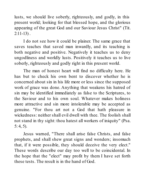lusts, we should live soberly, righteously, and godly, in this present world; looking for that blessed hope, and the glorious appearing of the great God and our Saviour Jesus Christ" (Tit.  $2:11-13$ ).

I do not see how it could be plainer. The same grace that saves teaches that saved man inwardly, and its teaching is both negative and positive. Negatively it teaches us to deny ungodliness and worldly lusts. Positively it teaches us to live soberly, righteously and godly right in this present world.

The man of honest heart will find no difficulty here. He has but to check his own bent to discover whether he is concerned about sin in his life more or less since the supposed work of grace was done. Anything that weakens his hatred of sin may be identified immediately as false to the Scriptures, to the Saviour and to his own soul. Whatever makes holiness more attractive and sin more intolerable may be accepted as genuine. "For thou art not a God that hath pleasure in wickedness: neither shall evil dwell with thee. The foolish shall not stand in thy sight: thou hatest all workers of iniquity" (Psa. 5: 4, 5).

Jesus warned, "There shall arise false Christs, and false prophets, and shall shew great signs and wonders; insomuch that, if it were possible, they should deceive the very elect." These words describe our day too well to be coincidental. In the hope that the "elect" may profit by them I have set forth these tests. The result is in the hand of God.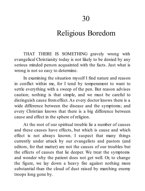## Religious Boredom

THAT THERE IS SOMETHING gravely wrong with evangelical Christianity today is not likely to be denied by any serious minded person acquainted with the facts. Just what is wrong is not so easy to determine.

In examining the situation myself I find nature and reason in conflict within me, for I tend by temperament to want to settle everything with a sweep of the pen. But reason advises caution; nothing is that simple, and we must be careful to distinguish cause fromeffect.As every doctor knows there is a wide difference between the disease and the symptoms; and every Christian knows that there is a big difference between cause and effect in the sphere of religion.

At the root of our spiritual trouble lie a number of causes and these causes have effects, but which is cause and which effect is not always known. I suspect that many things currently under attack by our evangelists and pastors (and editors, for that matter) are not the causes of our troubles but the effects of causes that lie deeper. We treat the symptoms and wonder why the patient does not get well. Or, to change the figure, we lay down a heavy fire against nothing more substantial than the cloud of dust raised by marching enemy troops long gone by.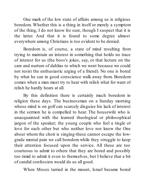One mark of the low state of affairs among us is religious boredom. Whether this is a thing in itself or merely a symptom of the thing, I do not know for sure, though I suspect that it is the latter. And that it is found to some degree almost everywhere among Christians is too evident to be denied.

Boredom is, of course, a state of mind resulting from trying to maintain an interest in something that holds no trace of interest for us (the boss's jokes, say, or that lecture on the care and nurture of dahlias to which we went because we could not resist the enthusiastic urging of a friend). No one is bored by what he can in good conscience walk away from. Boredom comes when a man must try to hear with relish what for want of relish he hardly hears at all.

By this definition there is certainly much boredom in religion these days. The businessman on a Sunday morning whose mind is on golf can scarcely disguise his lack of interest in the sermon he is compelled to hear. The housewife who is unacquainted with the learned theological or philosophical jargon of the speaker; the young couple who feel a tingle of love for each other but who neither love nor know the One about whom the choir is singing-these cannot escape the lowgrade mental pain we call boredom while they struggle to keep their attention focused upon the service. All these are too courteous to admit to others that they are bored and possibly too timid to admit it even to themselves, but I believe that a bit of candid confession would do us all good.

When Moses tarried in the mount, Israel became bored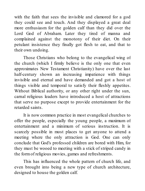with the faith that sees the invisible and clamored for a god they could see and touch. And they displayed a great deal more enthusiasm for the golden calf than they did over the Lord God of Abraham. Later they tired of manna and complained against the monotony of their diet. On their petulant insistence they finally got flesh to eat, and that to their own undoing.

Those Christians who belong to the evangelical wing of the church (which I firmly believe is the only one that even approximates New Testament Christianity) have over the last half-century shown an increasing impatience with things invisible and eternal and have demanded and got a host of things visible and temporal to satisfy their fleshly appetites. Without Biblical authority, or any other right under the sun, carnal religious leaders have introduced a host of attractions that serve no purpose except to provide entertainment for the retarded saints.

It is now common practice in most evangelical churches to offer the people, especially the young people, a maximum of entertainment and a minimum of serious instruction. It is scarcely possible in most places to get anyone to attend a meeting where the only attraction is God. One can only conclude that God's professed children are bored with Him, for they must be wooed to meeting with a stick of striped candy in the formof religious movies, games and refreshments.

This has influenced the whole pattern of church life, and even brought into being a new type of church architecture, designed to house the golden calf.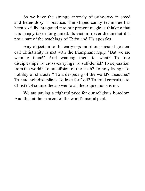So we have the strange anomaly of orthodoxy in creed and heterodoxy in practice. The striped-candy technique has been so fully integrated into our present religious thinking that it is simply taken for granted. Its victims never dream that it is not a part of the teachings of Christ and His apostles.

Any objection to the carryings on of our present goldencalf Christianity is met with the triumphant reply, "But we are winning them!" And winning them to what? To true discipleship? To cross-carrying? To self-denial? To separation from the world? To crucifixion of the flesh? To holy living? To nobility of character? To a despising of the world's treasures? To hard self-discipline? To love for God? To total committal to Christ? Of course the answer to all these questions is no.

We are paying a frightful price for our religious boredom. And that at the moment of the world's mortal peril.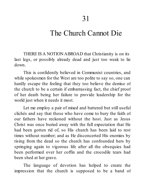#### The Church Cannot Die

THERE IS A NOTION ABROAD that Christianity is on its last legs, or possibly already dead and just too weak to lie down.

This is confidently believed in Communist countries, and while spokesmen for the West are too polite to say so, one can hardly escape the feeling that they too believe the demise of the church to be a certain if embarrassing fact, the chief proof of her death being her failure to provide leadership for the world just when it needs it most.

Let me employ a pair of mixed and battered but still useful clichés and say that those who have come to bury the faith of our fathers have reckoned without the host. Just as Jesus Christ was once buried away with the full expectation that He had been gotten rid of, so His church has been laid to rest times without number; and as He disconcerted His enemies by rising from the dead so the church has confounded hers by springing again to vigorous life after all the obsequies had been performed over her coffin and the crocodile tears had been shed at her grave.

The language of devotion has helped to create the impression that the church is supposed to be a band of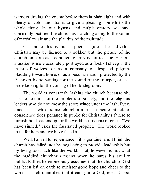warriors driving the enemy before them in plain sight and with plenty of color and drama to give a pleasing flourish to the whole thing. In our hymns and pulpit oratory we have commonly pictured the church as marching along to the sound of martial music and the plaudits of the multitude.

Of course this is but a poetic figure. The individual Christian may be likened to a soldier, but the picture of the church on earth as a conquering army is not realistic. Her true situation is more accurately portrayed as a flock of sheep in the midst of wolves, or as a company of despised pilgrims plodding toward home, or as a peculiar nation protected by the Passover blood waiting for the sound of the trumpet, or as a bride looking for the coming of her bridegroom.

The world is constantly lashing the church because she has no solution for the problems of society, and the religious leaders who do not know the score wince under the lash. Every once in a while some churchman in an acute attack of conscience does penance in public for Christianity's failure to furnish bold leadership for the world in this time of crisis. "We have sinned," cries the frustrated prophet. "The world looked to us for help and we have failed it."

Well, I am all for repentance if it is genuine, and I think the church has failed, not by neglecting to provide leadership but by living too much like the world. That, however, is not what the muddled churchman means when he bares his soul in public. Rather, he erroneously assumes that the church of God has been left on earth to minister good hope and cheer to the world in such quantities that it can ignore God, reject Christ,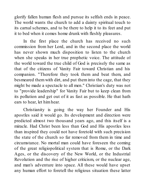glorify fallen human flesh and pursue its selfish ends in peace. The world wants the church to add a dainty spiritual touch to its carnal schemes, and to be there to help it to its feet and put it to bed when it comes home drunk with fleshly pleasures.

In the first place the church has received no such commission from her Lord, and in the second place the world has never shown much disposition to listen to the church when she speaks in her true prophetic voice. The attitude of the world toward the true child of God is precisely the same as that of the citizens of Vanity Fair toward Christian and his companion. "Therefore they took them and beat them, and besmeared them with dirt, and put them into the cage, that they might be made a spectacle to all men." Christian's duty was not to "provide leadership" for Vanity Fair but to keep clean from its pollution and get out of it as fast as possible. He that hath ears to hear, let himhear.

Christianity is going the way her Founder and His apostles said it would go. Its development and direction were predicted almost two thousand years ago, and this itself is a miracle. Had Christ been less than God and His apostles less than inspired they could not have foretold with such precision the state of the church so far removed from them in time and circumstance. No mortal man could have foreseen the coming of the great religiopolitical system that is Rome, or the Dark Ages, or the discovery of the New World, or the Industrial Revolution and the rise of higher criticism, or the nuclear age, and man's adventure into space. All these would have upset any human effort to foretell the religious situation these latter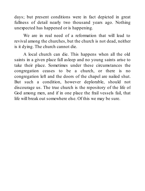days; but present conditions were in fact depicted in great fullness of detail nearly two thousand years ago. Nothing unexpected has happened or is happening.

We are in real need of a reformation that will lead to revival among the churches, but the church is not dead, neither is it dying. The church cannot die.

A local church can die. This happens when all the old saints in a given place fall asleep and no young saints arise to take their place. Sometimes under these circumstances the congregation ceases to be a church, or there is no congregation left and the doors of the chapel are nailed shut. But such a condition, however deplorable, should not discourage us. The true church is the repository of the life of God among men, and if in one place the frail vessels fail, that life will break out somewhere else. Of this we may be sure.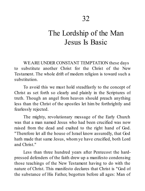# The Lordship of the Man Jesus Is Basic

WEARE UNDER CONSTANT TEMPTATION these days to substitute another Christ for the Christ of the New Testament. The whole drift of modern religion is toward such a substitution.

To avoid this we must hold steadfastly to the concept of Christ as set forth so clearly and plainly in the Scriptures of truth. Though an angel from heaven should preach anything less than the Christ of the apostles let him be forthrightly and fearlessly rejected.

The mighty, revolutionary message of the Early Church was that a man named Jesus who had been crucified was now raised from the dead and exalted to the right hand of God. "Therefore let all the house of Israel know assuredly, that God hath made that same Jesus, whom ye have crucified, both Lord and Christ."

Less than three hundred years after Pentecost the hardpressed defenders of the faith drew up a manifesto condensing those teachings of the New Testament having to do with the nature of Christ. This manifesto declares that Christ is "God of the substance of His Father, begotten before all ages: Man of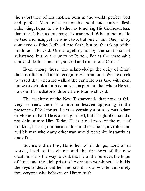the substance of His mother, born in the world: perfect God and perfect Man, of a reasonable soul and human flesh subsisting: Equal to His Father, as touching His Godhead: less than the Father, as touching His manhood. Who, although He be God and man, yet He is not two, but one Christ. One, not by conversion of the Godhead into flesh, but by the taking of the manhood into God. One altogether, not by the confusion of substance, but by the unity of Person. For as the reasonable soul and flesh is one man, so God and man is one Christ."

Even among those who acknowledge the deity of Christ there is often a failure to recognize His manhood. We are quick to assert that when He walked the earth He was God with men, but we overlook a truth equally as important, that where He sits now on His mediatorial throne He is Man with God.

The teaching of the New Testament is that now, at this very moment, there is a man in heaven appearing in the presence of God for us. He is as certainly a man as was Adam or Moses or Paul. He is a man glorified, but His glorification did not dehumanize Him. Today He is a real man, of the race of mankind, bearing our lineaments and dimensions, a visible and audible man whom any other man would recognize instantly as one of us.

But more than this, He is heir of all things, Lord of all worlds, head of the church and the first-born of the new creation. He is the way to God, the life of the believer, the hope of Israel and the high priest of every true worshiper. He holds the keys of death and hell and stands as advocate and surety for everyone who believes on Himin truth.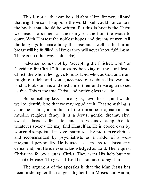This is not all that can be said about Him, for were all said that might be said I suppose the world itself could not contain the books that should be written. But this in brief is the Christ we preach to sinners as their only escape from the wrath to come. With Him rest the noblest hopes and dreams of men. All the longings for immortality that rise and swell in the human breast will be fulfilled in Himor they will never know fulfillment. There is no other way (John 14:6).

Salvation comes not by "accepting the finished work" or "deciding for Christ." It comes by believing on the Lord Jesus Christ, the whole, living, victorious Lord who, as God and man, fought our fight and won it, accepted our debt as His own and paid it, took our sins and died under them and rose again to set us free. This is the true Christ, and nothing less will do.

But something less is among us, nevertheless, and we do well to identify it so that we may repudiate it. That something is a poetic fiction, a product of the romantic imagination and maudlin religious fancy. It is a Jesus, gentle, dreamy, shy, sweet, almost effeminate, and marvelously adaptable to whatever society He may find Himself in. He is cooed over by women disappointed in love, patronized by pro tem celebrities and recommended by psychiatrists as a model of a wellintegrated personality. He is used as a means to almost any carnal end, but He is never acknowledged as Lord. These quasi Christians follow a quasi Christ. They want His help but not His interference. They will flatter Himbut never obey Him.

The argument of the apostles is that the Man Jesus has been made higher than angels, higher than Moses and Aaron,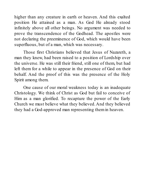higher than any creature in earth or heaven. And this exalted position He attained as a man. As God He already stood infinitely above all other beings. No argument was needed to prove the transcendence of the Godhead. The apostles were not declaring the preeminence of God, which would have been superfluous, but of a man, which was necessary.

Those first Christians believed that Jesus of Nazareth, a man they knew, had been raised to a position of Lordship over the universe. He was still their friend, still one of them, but had left them for a while to appear in the presence of God on their behalf. And the proof of this was the presence of the Holy Spirit among them.

One cause of our moral weakness today is an inadequate Christology. We think of Christ as God but fail to conceive of Him as a man glorified. To recapture the power of the Early Church we must believe what they believed.And they believed they had a God-approved man representing themin heaven.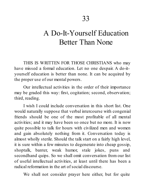## A Do-It-Yourself Education Better Than None

THIS IS WRITTEN FOR THOSE CHRISTIANS who may have missed a formal education. Let no one despair. A do-ityourself education is better than none. It can be acquired by the proper use of our mental powers.

Our intellectual activities in the order of their importance may be graded this way: first, cogitation; second, observation; third, reading.

I wish I could include conversation in this short list. One would naturally suppose that verbal intercourse with congenial friends should be one of the most profitable of all mental activities; and it may have been so once but no more. It is now quite possible to talk for hours with civilized men and women and gain absolutely nothing from it. Conversation today is almost wholly sterile. Should the talk start on a fairly high level, it is sure within a few minutes to degenerate into cheap gossip, shoptalk, banter, weak humor, stale jokes, puns and secondhand quips. So we shall omit conversation from our list of useful intellectual activities, at least until there has been a radical reformation in the art of social discourse.

We shall not consider prayer here either, but for quite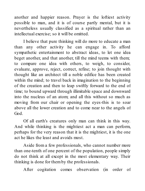another and happier reason. Prayer is the loftiest activity possible to man, and it is of course partly mental, but it is nevertheless usually classified as a spiritual rather than an intellectual exercise; so it will be omitted.

I believe that pure thinking will do more to educate a man than any other activity he can engage in. To afford sympathetic entertainment to abstract ideas, to let one idea beget another, and that another, till the mind teems with them; to compare one idea with others, to weigh, to consider, evaluate, approve, reject, correct, refine; to join thought with thought like an architect till a noble edifice has been created within the mind; to travel back in imagination to the beginning of the creation and then to leap swiftly forward to the end of time; to bound upward through illimitable space and downward into the nucleus of an atom; and all this without so much as moving from our chair or opening the eyes-this is to soar above all the lower creation and to come near to the angels of God.

Of all earth's creatures only man can think in this way. And while thinking is the mightiest act a man can perform, perhaps for the very reason that it is the mightiest, it is the one act he likes the least and avoids most.

Aside from a few professionals, who cannot number more than one-tenth of one percent of the population, people simply do not think at all except in the most elementary way. Their thinking is done for themby the professionals.

After cogitation comes observation (in order of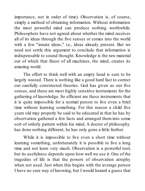importance, not in order of time). Observation is, of course, simply a method of obtaining information. Without information the most powerful mind can produce nothing worthwhile. Philosophers have not agreed about whether the mind receives all of its ideas through the five senses or comes into the world with a few "innate ideas," i.e., ideas already present. But we need not settle this argument to conclude that information is indispensable to sound thought. Knowledge is the raw material out of which that finest of all machines, the mind, creates its amazing world.

The effort to think well with an empty head is sure to be largely wasted. There is nothing like a good hard fact to correct our carefully constructed theories. God has given us our five senses, and these are most highly sensitive instruments for the gathering of knowledge. So efficient are these instruments that it is quite impossible for a normal person to live even a brief time without learning something. For this reason a child five years old may properly be said to be educated in that he has by observation gathered a few facts and arranged them into some sort of orderly pattern within his mind. A doctor of philosophy has done nothing different; he has only gone a little further.

While it is impossible to live even a short time without learning something, unfortunately it is possible to live a long time and not learn very much. Observation is a powerful tool, but its usefulness depends upon how well we use it. One of the tragedies of life is that the powers of observation atrophy when not used. Just when this begins with the average person I have no sure way of knowing, but I would hazard a guess that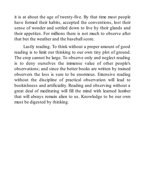it is at about the age of twenty-five. By that time most people have formed their habits, accepted the conventions, lost their sense of wonder and settled down to live by their glands and their appetites. For millions there is not much to observe after that but the weather and the baseballscore.

Lastly reading. To think without a proper amount of good reading is to limit our thinking to our own tiny plot of ground. The crop cannot be large. To observe only and neglect reading is to deny ourselves the immense value of other people's observations; and since the better books are written by trained observers the loss is sure to be enormous. Extensive reading without the discipline of practical observation will lead to bookishness and artificiality. Reading and observing without a great deal of meditating will fill the mind with learned lumber that will always remain alien to us. Knowledge to be our own must be digested by thinking.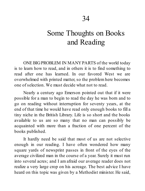## Some Thoughts on Books and Reading

ONEBIGPROBLEM IN MANYPARTS of the world today is to learn how to read, and in others it is to find something to read after one has learned. In our favored West we are overwhelmed with printed matter, so the problem here becomes one of selection. We must decide what not to read.

Nearly a century ago Emerson pointed out that if it were possible for a man to begin to read the day he was born and to go on reading without interruption for seventy years, at the end of that time he would have read only enough books to fill a tiny niche in the British Library. Life is so short and the books available to us are so many that no man can possibly be acquainted with more than a fraction of one percent of the books published.

It hardly need be said that most of us are not selective enough in our reading. I have often wondered how many square yards of newsprint passes in front of the eyes of the average civilized man in the course of a year. Surely it must run into several acres; and I am afraid our average reader does not realize a very large crop on his acreage. The best advice I have heard on this topic was given by a Methodist minister. He said,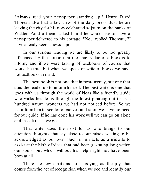"Always read your newspaper standing up." Henry David Thoreau also had a low view of the daily press. Just before leaving the city for his now celebrated sojourn on the banks of Walden Pond a friend asked him if he would like to have a newspaper delivered to his cottage. "No," replied Thoreau, "I have already seen a newspaper."

In our serious reading we are likely to be too greatly influenced by the notion that the chief value of a book is to inform; and if we were talking of textbooks of course that would be true, but when we speak or write of books we have not textbooks in mind.

The best book is not one that informs merely, but one that stirs the reader up to inform himself. The best writer is one that goes with us through the world of ideas like a friendly guide who walks beside us through the forest pointing out to us a hundred natural wonders we had not noticed before. So we learn from him to see for ourselves and soon we have no need for our guide. If he has done his work well we can go on alone and miss little as we go.

That writer does the most for us who brings to our attention thoughts that lay close to our minds waiting to be acknowledged as our own. Such a man acts as a midwife to assist at the birth of ideas that had been gestating long within our souls, but which without his help might not have been born at all.

There are few emotions so satisfying as the joy that comes fromthe act of recognition when we see and identify our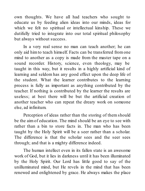own thoughts. We have all had teachers who sought to educate us by feeding alien ideas into our minds, ideas for which we felt no spiritual or intellectual kinship. These we dutifully tried to integrate into our total spiritual philosophy but always without success.

In a very real sense no man can teach another; he can only aid himto teach himself. Facts can be transferred fromone mind to another as a copy is made from the master tape on a sound recorder. History, science, even theology, may be taught in this way, but it results in a highly artificial kind of learning and seldom has any good effect upon the deep life of the student. What the learner contributes to the learning process is fully as important as anything contributed by the teacher. If nothing is contributed by the learner the results are useless; at best there will be but the artificial creation of another teacher who can repeat the dreary work on someone else, ad infinitum.

Perception of ideas rather than the storing of them should be the aim of education. The mind should be an eye to see with rather than a bin to store facts in. The man who has been taught by the Holy Spirit will be a seer rather than a scholar. The difference is that the scholar sees and the seer sees through; and that is a mighty difference indeed.

The human intellect even in its fallen state is an awesome work of God, but it lies in darkness until it has been illuminated by the Holy Spirit. Our Lord has little good to say of the unilluminated mind, but He revels in the mind that has been renewed and enlightened by grace. He always makes the place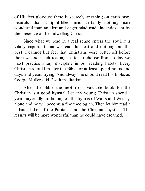of His feet glorious; there is scarcely anything on earth more beautiful than a Spirit-filled mind, certainly nothing more wonderful than an alert and eager mind made incandescent by the presence of the indwelling Christ.

Since what we read in a real sense enters the soul, it is vitally important that we read the best and nothing but the best. I cannot but feel that Christians were better off before there was so much reading matter to choose from. Today we must practice sharp discipline in our reading habits. Every Christian should master the Bible, or at least spend hours and days and years trying. And always he should read his Bible, as George Muller said, "with meditation."

After the Bible the next most valuable book for the Christian is a good hymnal. Let any young Christian spend a year prayerfully meditating on the hymns of Watts and Wesley alone and he will become a fine theologian. Then let him read a balanced diet of the Puritans and the Christian mystics. The results will be more wonderful than he could have dreamed.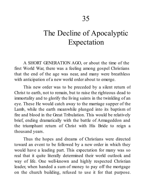# The Decline of Apocalyptic Expectation

A SHORT GENERATION AGO, or about the time of the first World War, there was a feeling among gospel Christians that the end of the age was near, and many were breathless with anticipation of a new world order about to emerge.

This new order was to be preceded by a silent return of Christ to earth, not to remain, but to raise the righteous dead to immortality and to glorify the living saints in the twinkling of an eye. These He would catch away to the marriage supper of the Lamb, while the earth meanwhile plunged into its baptism of fire and blood in the Great Tribulation. This would be relatively brief, ending dramatically with the battle of Armageddon and the triumphant return of Christ with His Bride to reign a thousand years.

Thus the hopes and dreams of Christians were directed toward an event to be followed by a new order in which they would have a leading part. This expectation for many was so real that it quite literally determined their world outlook and way of life. One well-known and highly respected Christian leader, when handed a sum of money to pay off the mortgage on the church building, refused to use it for that purpose.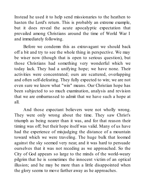Instead he used it to help send missionaries to the heathen to hasten the Lord's return. This is probably an extreme example, but it does reveal the acute apocalyptic expectation that prevailed among Christians around the time of World War I and immediately following.

Before we condemn this as extravagant we should back off a bit and try to see the whole thing in perspective. We may be wiser now (though that is open to serious question), but those Christians had something very wonderful which we today lack. They had a unifying hope; we have none. Their activities were concentrated; ours are scattered, overlapping and often self-defeating. They fully expected to win; we are not even sure we know what "win" means. Our Christian hope has been subjected to so much examination, analysis and revision that we are embarrassed to admit that we have such a hope at all.

And those expectant believers were not wholly wrong. They were only wrong about the time. They saw Christ's triumph as being nearer than it was, and for that reason their timing was off; but their hope itself was valid. Many of us have had the experience of misjudging the distance of a mountain toward which we were traveling. The huge bulk that loomed against the sky seemed very near, and it was hard to persuade ourselves that it was not receding as we approached. So the City of God appears so large to the minds of the world-weary pilgrim that he is sometimes the innocent victim of an optical illusion; and he may be more than a little disappointed when the glory seems to move farther away as he approaches.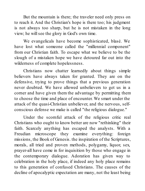But the mountain is there; the traveler need only press on to reach it. And the Christian's hope is there too; his judgment is not always too sharp, but he is not mistaken in the long view; he willsee the glory in God's own time.

We evangelicals have become sophisticated, blasé. We have lost what someone called the "millennial component" from our Christian faith. To escape what we believe to be the slough of a mistaken hope we have detoured far out into the wilderness of complete hopelessness.

Christians now chatter learnedly about things simple believers have always taken for granted. They are on the defensive, trying to prove things that a previous generation never doubted. We have allowed unbelievers to get us in a corner and have given them the advantage by permitting them to choose the time and place of encounter. We smart under the attack of the quasi-Christian unbeliever, and the nervous, selfconscious defense we make is called "the religious dialogue."

Under the scornful attack of the religious critic real Christians who ought to know better are now "rethinking" their faith. Scarcely anything has escaped the analysts. With a Freudian microscope they examine everything: foreign missions, the Book of Genesis. the inspiration of the Scriptures, morals, all tried and proven methods, polygamy, liquor, sex, prayer-all have come in for inquisition by those who engage in the contemporary dialogue. Adoration has given way to celebration in the holy place, if indeed any holy place remains to this generation of confused Christians. The causes of the decline of apocalyptic expectation are many, not the least being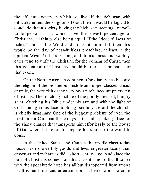the affluent society in which we live. If the rich man with difficulty enters the kingdomof God, then it would be logical to conclude that a society having the highest percentage of wellto-do persons in it would have the lowest percentage of Christians, all things else being equal. If the "deceitfulness of riches" chokes the Word and makes it unfruitful, then this would be the day of near-fruitless preaching, at least in the opulent West. And if surfeiting and drunkenness and worldly cares tend to unfit the Christian for the coming of Christ, then this generation of Christians should be the least prepared for that event.

On the North American continent Christianity has become the religion of the prosperous middle and upper classes almost entirely, the very rich or the very poor rarely become practicing Christians. The touching picture of the poorly dressed, hungry saint, clutching his Bible under his arm and with the light of God shining in his face hobbling painfully toward the church, is chiefly imaginary. One of the biggest problems of even the most ardent Christian these days is to find a parking place for the shiny chariot that transports him effortlessly to the house of God where he hopes to prepare his soul for the world to come.

In the United States and Canada the middle class today possesses more earthly goods and lives in greater luxury than emperors and maharajas did a short century ago.And since the bulk of Christians comes from this class it is not difficult to see why the apocalyptic hope has all but disappeared from among us. It is hard to focus attention upon a better world to come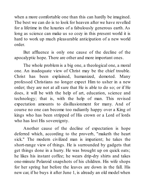when a more comfortable one than this can hardly be imagined. The best we can do is to look for heaven after we have revelled for a lifetime in the luxuries of a fabulously generous earth. As long as science can make us so cozy in this present world it is hard to work up much pleasurable anticipation of a new world order.

But affluence is only one cause of the decline of the apocalyptic hope. There are other and more important ones.

The whole problem is a big one, a theological one, a moral one. An inadequate view of Christ may be the chief trouble. Christ has been explained, humanized, demoted. Many professed Christians no longer expect Him to usher in a new order; they are not at all sure that He is able to do so; or if He does, it will be with the help of art, education, science and technology; that is, with the help of man. This revised expectation amounts to disillusionment for many. And of course no one can become too radiantly happy over a King of kings who has been stripped of His crown or a Lord of lords who has lost His sovereignty.

Another cause of the decline of expectation is hope deferred which, according to the proverb, "maketh the heart sick." The modern civilized man is impatient; he takes the short-range view of things. He is surrounded by gadgets that get things done in a hurry. He was brought up on quick oats; he likes his instant coffee; he wears drip-dry shirts and takes one-minute Polaroid snapshots of his children. His wife shops for her spring hat before the leaves are down in the fall. His new car, if he buys it after June 1, is already an old model when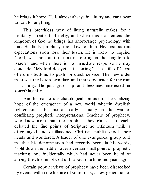he brings it home. He is almost always in a hurry and can't bear to wait for anything.

This breathless way of living naturally makes for a mentality impatient of delay, and when this man enters the kingdom of God he brings his short-range psychology with him. He finds prophecy too slow for him. His first radiant expectations soon lose their luster. He is likely to inquire, "Lord, wilt thou at this time restore again the kingdom to Israel?" and when there is no immediate response he may conclude, "My lord delayeth his coming." The faith of Christ offers no buttons to push for quick service. The new order must wait the Lord's own time, and that is too much for the man in a hurry. He just gives up and becomes interested in something else.

Another cause is eschatological confusion. The vitalizing hope of the emergence of a new world wherein dwelleth righteousness became an early casualty in the war of conflicting prophetic interpretations. Teachers of prophecy, who knew more than the prophets they claimed to teach. debated the fine points of Scripture ad infinitum while a discouraged and disillusioned Christian public shook their heads and wondered. A leader of one evangelical group told me that his denomination had recently been, in his words, "split down the middle" over a certain small point of prophetic teaching, one incidentally which had never been heard of among the children of God until about one hundred years ago.

Certain popular views of prophecy have been discredited by events within the lifetime of some of us; a new generation of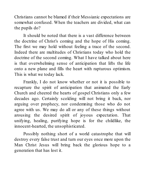Christians cannot be blamed if their Messianic expectations are somewhat confused. When the teachers are divided, what can the pupils do?

It should be noted that there is a vast difference between the doctrine of Christ's coming and the hope of His coming. The first we may hold without feeling a trace of the second. Indeed there are multitudes of Christians today who hold the doctrine of the second coming. What I have talked about here is that overwhelming sense of anticipation that lifts the life onto a new plane and fills the heart with rapturous optimism. This is what we today lack.

Frankly, I do not know whether or not it is possible to recapture the spirit of anticipation that animated the Early Church and cheered the hearts of gospel Christians only a few decades ago. Certainly scolding will not bring it back, nor arguing over prophecy, nor condemning those who do not agree with us. We may do all or any of these things without arousing the desired spirit of joyous expectation. That unifying, healing, purifying hope is for the childlike, the innocent-hearted, the unsophisticated.

Possibly nothing short of a world catastrophe that will destroy every false trust and turn our eyes once more upon the Man Christ Jesus will bring back the glorious hope to a generation that has lost it.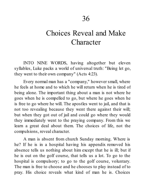#### Choices Reveal and Make **Character**

INTO NINE WORDS, having altogether but eleven syllables, Luke packs a world of universal truth: "Being let go, they went to their own company" (Acts 4:23).

Every normal man has a "company," however small, where he feels at home and to which he will return when he is tired of being alone. The important thing about a man is not where he goes when he is compelled to go, but where he goes when he is free to go where he will. The apostles went to jail, and that is not too revealing because they went there against their will; but when they got out of jail and could go where they would they immediately went to the praying company. From this we learn a great deal about them. The choices of life, not the compulsions, reveal character.

A man is absent from church Sunday morning. Where is he? If he is in a hospital having his appendix removed his absence tells us nothing about him except that he is ill; but if he is out on the golf course, that tells us a lot. To go to the hospital is compulsory; to go to the golf course, voluntary. The man is free to choose and he chooses to play instead of to pray. His choice reveals what kind of man he is. Choices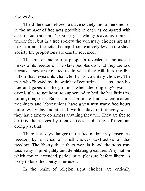always do.

The difference between a slave society and a free one lies in the number of free acts possible in each as compared with acts of compulsion. No society is wholly slave, as none is wholly free, but in a free society the voluntary choices are at a maximumand the acts of compulsion relatively few. In the slave society the proportions are exactly reversed.

The true character of a people is revealed in the uses it makes of its freedoms. The slave peoples do what they are told because they are not free to do what they will. It is the free nation that reveals its character by its voluntary choices. The man who "bowed by the weight of centuries . . . leans upon his hoe and gazes on the ground" when the long day's work is over is glad to get home to supper and to bed; he has little time for anything else. But in those fortunate lands where modern machinery and labor unions have given men many free hours out of every day and at least two free days out of every week, they have time to do almost anything they will. They are free to destroy themselves by their choices, and many of them are doing just that.

There is always danger that a free nation may imperil its freedom by a series of small choices destructive of that freedom. The liberty the fathers won in blood the sons may toss away in prodigality and debilitating pleasures. Any nation which for an extended period puts pleasure before liberty is likely to lose the liberty it misused.

In the realm of religion right choices are critically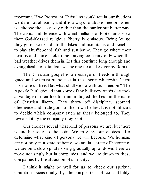important. If we Protestant Christians would retain our freedom we dare not abuse it, and it is always to abuse freedom when we choose the easy way rather than the harder but better way. The casual indifference with which millions of Protestants view their God-blessed religious liberty is ominous. Being let go they go on weekends to the lakes and mountains and beaches to play shuffleboard, fish and sun bathe. They go where their heart is and come back to the praying company only when the bad weather drives them in. Let this continue long enough and evangelical Protestantismwill be ripe for a take-over by Rome.

The Christian gospel is a message of freedom through grace and we must stand fast in the liberty wherewith Christ has made us free. But what shall we do with our freedom? The Apostle Paul grieved that some of the believers of his day took advantage of their freedom and indulged the flesh in the name of Christian liberty. They threw off discipline, scorned obedience and made gods of their own bellies. It is not difficult to decide which company such as these belonged to. They revealed it by the company they kept.

Our choices reveal what kind of persons we are, but there is another side to the coin. We may by our choices also determine what kind of persons we will become. We humans are not only in a state of being, we are in a state of becoming; we are on a slow spiral moving gradually up or down. Here we move not singly but in companies, and we are drawn to these companies by the attraction of similarity.

I think it might be well for us to check our spiritual condition occasionally by the simple test of compatibility.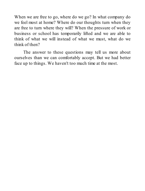When we are free to go, where do we go? In what company do we feel most at home? Where do our thoughts turn when they are free to turn where they will? When the pressure of work or business or school has temporarily lifted and we are able to think of what we will instead of what we must, what do we think of then?

The answer to these questions may tell us more about ourselves than we can comfortably accept. But we had better face up to things. We haven't too much time at the most.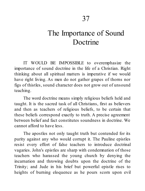#### The Importance of Sound Doctrine

IT WOULD BE IMPOSSIBLE to overemphasize the importance of sound doctrine in the life of a Christian. Right thinking about all spiritual matters is imperative if we would have right living. As men do not gather grapes of thorns nor figs of thistles, sound character does not grow out of unsound teaching.

The word doctrine means simply religious beliefs held and taught. It is the sacred task of all Christians, first as believers and then as teachers of religious beliefs, to be certain that these beliefs correspond exactly to truth. A precise agreement between belief and fact constitutes soundness in doctrine. We cannot afford to have less.

The apostles not only taught truth but contended for its purity against any who would corrupt it. The Pauline epistles resist every effort of false teachers to introduce doctrinal vagaries. John's epistles are sharp with condemnation of those teachers who harassed the young church by denying the incarnation and throwing doubts upon the doctrine of the Trinity; and Jude in his brief but powerful epistle rises to heights of burning eloquence as he pours scorn upon evil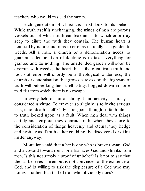teachers who would mislead the saints.

Each generation of Christians must look to its beliefs. While truth itself is unchanging, the minds of men are porous vessels out of which truth can leak and into which error may seep to dilute the truth they contain. The human heart is heretical by nature and runs to error as naturally as a garden to weeds. All a man, a church or a denomination needs to guarantee deterioration of doctrine is to take everything for granted and do nothing. The unattended garden will soon be overrun with weeds; the heart that fails to cultivate truth and root out error will shortly be a theological wilderness; the church or denomination that grows careless on the highway of truth will before long find itself astray, bogged down in some mud flat fromwhich there is no escape.

In every field of human thought and activity accuracy is considered a virtue. To err ever so slightly is to invite serious loss, if not death itself. Only in religious thought is faithfulness to truth looked upon as a fault. When men deal with things earthly and temporal they demand truth; when they come to the consideration of things heavenly and eternal they hedge and hesitate as if truth either could not be discovered or didn't matter anyway.

Montaigne said that a liar is one who is brave toward God and a coward toward men; for a liar faces God and shrinks from men. Is this not simply a proof of unbelief? Is it not to say that the liar believes in men but is not convinced of the existence of God, and is willing to risk the displeasure of a God who may not exist rather than that of man who obviously does?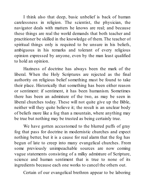I think also that deep, basic unbelief is back of human carelessness in religion. The scientist, the physician, the navigator deals with matters he knows are real; and because these things are real the world demands that both teacher and practitioner be skilled in the knowledge of them. The teacher of spiritual things only is required to be unsure in his beliefs, ambiguous in his remarks and tolerant of every religious opinion expressed by anyone, even by the man least qualified to hold an opinion.

Haziness of doctrine has always been the mark of the liberal. When the Holy Scriptures are rejected as the final authority on religious belief something must be found to take their place. Historically that something has been either reason or sentiment: if sentiment, it has been humanism. Sometimes there has been an admixture of the two, as may be seen in liberal churches today. These will not quite give up the Bible, neither will they quite believe it; the result is an unclear body of beliefs more like a fog than a mountain, where anything may be true but nothing may be trusted as being certainly true.

We have gotten accustomed to the blurred puffs of gray fog that pass for doctrine in modernistic churches and expect nothing better, but it is a cause for real alarm that the fog has begun of late to creep into many evangelical churches. From some previously unimpeachable sources are now coming vague statements consisting of a milky admixture of Scripture, science and human sentiment that is true to none of its ingredients because each one works to cancel the others out.

Certain of our evangelical brethren appear to be laboring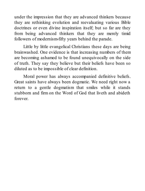under the impression that they are advanced thinkers because they are rethinking evolution and reevaluating various Bible doctrines or even divine inspiration itself; but so far are they from being advanced thinkers that they are merely timid followers of modernism-fifty years behind the parade.

Little by little evangelical Christians these days are being brainwashed. One evidence is that increasing numbers of them are becoming ashamed to be found unequivocally on the side of truth. They say they believe but their beliefs have been so diluted as to be impossible of clear definition.

Moral power has always accompanied definitive beliefs. Great saints have always been dogmatic. We need right now a return to a gentle dogmatism that smiles while it stands stubborn and firm on the Word of God that liveth and abideth forever.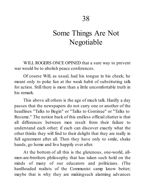## Some Things Are Not Negotiable

WILL ROGERS ONCE OPINED that a sure way to prevent war would be to abolish peace conferences.

Of course Will, as usual, had his tongue in his cheek; he meant only to poke fun at the weak habit of substituting talk for action. Still there is more than a little uncomfortable truth in his remark.

This above all others is the age of much talk. Hardly a day passes that the newspapers do not carry one or another of the headlines "Talks to Begin" or "Talks to Continue" or "Talks to Resume." The notion back of this endless official chatter is that all differences between men result from their failure to understand each other; if each can discover exactly what the other thinks they will find to their delight that they are really in full agreement after all. Then they have only to smile, shake hands, go home and live happily ever after.

At the bottom of all this is the glutenous, one-world, allmen-are-brothers philosophy that has taken such hold on the minds of many of our educators and politicians. (The hardheaded realists of the Communist camp know better; maybe that is why they are makingsuch alarming advances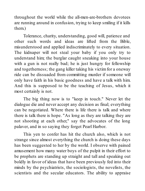throughout the world while the all-men-are-brothers devotees are running around in confusion, trying to keep smiling if it kills them.)

Tolerance, charity, understanding, good will, patience and other such words and ideas are lifted from the Bible, misunderstood and applied indiscriminately to every situation. The kidnaper will not steal your baby if you only try to understand him; the burglar caught sneaking into your house with a gun is not really bad; he is just hungry for fellowship and togetherness; the gang killer taking his victimfor a oneway ride can be dissuaded from committing murder if someone will only have faith in his basic goodness and have a talk with him. And this is supposed to be the teaching of Jesus, which it most certainly is not.

The big thing now is to "keep in touch." Never let the dialogue die and never accept any decision as final; everything can be negotiated. Where there is life there is talk and where there is talk there is hope. "As long as they are talking they are not shooting at each other," say the advocates of the long palaver, and in so saying they forget Pearl Harbor.

This yen to confer has hit the church also, which is not strange since almost everything the church is doing these days has been suggested to her by the world. I observe with pained amusement how many water boys of the pulpit in their effort to be prophets are standing up straight and tall and speaking out boldly in favor of ideas that have been previously fed into their minds by the psychiatrists, the sociologists, the novelists, the scientists and the secular educators. The ability to appraise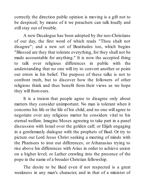correctly the direction public opinion is moving is a gift not to be despised; by means of it we preachers can talk loudly and stillstay out of trouble.

A new Decalogue has been adopted by the neo-Christians of our day, the first word of which reads "Thou shalt not disagree"; and a new set of Beatitudes too, which begins "Blessed are they that tolerate everything, for they shall not be made accountable for anything." It is now the accepted thing to talk over religious differences in public with the understanding that no one will try to convert another or point out errors in his belief. The purpose of these talks is not to confront truth, but to discover how the followers of other religions think and thus benefit from their views as we hope they will fromours.

It is a truism that people agree to disagree only about matters they consider unimportant. No man is tolerant when it concerns his life or the life of his child, and no one will agree to negotiate over any religious matter he considers vital to his eternal welfare. Imagine Moses agreeing to take part in a panel discussion with Israel over the golden calf; or Elijah engaging in a gentlemanly dialogue with the prophets of Baal. Or try to picture our Lord Jesus Christ seeking a meeting of minds with the Pharisees to iron out differences; or Athanasius trying to rise above his differences with Arius in order to achieve union on a higher level; or Luther crawling into the presence of the pope in the name of a broader Christian fellowship.

The desire to be liked even if not respected is a great weakness in any man's character, and in that of a minister of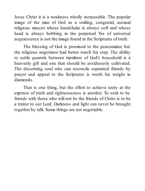Jesus Christ it is a weakness wholly inexcusable. The popular image of the man of God as a smiling, congenial, asexual religious mascot whose handshake is always soft and whose head is always bobbing in the perpetual Yes of universal acquiescence is not the image found in the Scriptures of truth.

The blessing of God is promised to the peacemaker, but the religious negotiator had better watch his step. The ability to settle quarrels between members of God's household is a heavenly gift and one that should be assiduously cultivated. The discerning soul who can reconcile separated friends by prayer and appeal to the Scriptures is worth his weight in diamonds.

That is one thing, but the effort to achieve unity at the expense of truth and righteousness is another. To seek to be friends with those who will not be the friends of Christ is to be a traitor to our Lord. Darkness and light can never be brought together by talk. Some things are not negotiable.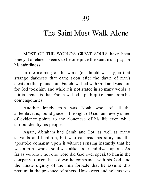#### The Saint Must Walk Alone

MOST OF THE WORLD'S GREAT SOULS have been lonely. Loneliness seems to be one price the saint must pay for his saintliness.

In the morning of the world (or should we say, in that strange darkness that came soon after the dawn of man's creation) that pious soul, Enoch, walked with God and was not, for God took him; and while it is not stated in so many words, a fair inference is that Enoch walked a path quite apart from his contemporaries.

Another lonely man was Noah who, of all the antediluvians, found grace in the sight of God; and every shred of evidence points to the aloneness of his life even while surrounded by his people.

Again, Abraham had Sarah and Lot, as well as many servants and herdmen, but who can read his story and the apostolic comment upon it without sensing instantly that he was a man "whose soul was alike a star and dwelt apart"? As far as we know not one word did God ever speak to him in the company of men. Face down he communed with his God, and the innate dignity of the man forbade that he assume this posture in the presence of others. How sweet and solemn was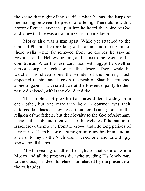the scene that night of the sacrifice when he saw the lamps of fire moving between the pieces of offering. There alone with a horror of great darkness upon him he heard the voice of God and knew that he was a man marked for divine favor.

Moses also was a man apart. While yet attached to the court of Pharaoh he took long walks alone, and during one of these walks while far removed from the crowds he saw an Egyptian and a Hebrew fighting and came to the rescue of his countryman. After the resultant break with Egypt he dwelt in almost complete seclusion in the desert. There while he watched his sheep alone the wonder of the burning bush appeared to him, and later on the peak of Sinai he crouched alone to gaze in fascinated awe at the Presence, partly hidden, partly disclosed, within the cloud and fire.

The prophets of pre-Christian times differed widely from each other, but one mark they bore in common was their enforced loneliness. They loved their people and gloried in the religion of the fathers, but their loyalty to the God of Abraham, Isaac and Jacob, and their zeal for the welfare of the nation of Israel drove themaway fromthe crowd and into long periods of heaviness. "I am become a stranger unto my brethren, and an alien unto my mother's children," cried one and unwittingly spoke for all the rest.

Most revealing of all is the sight of that One of whom Moses and all the prophets did write treading His lonely way to the cross, His deep loneliness unrelieved by the presence of the multitudes.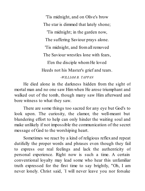'Tis midnight, and on Olive's brow The star is dimmed that lately shone; 'Tis midnight; in the garden now, The suffering Saviour prays alone. 'Tis midnight, and fromall removed The Saviour wrestles lone with fears, E'en the disciple whomHe loved Heeds not his Master's grief and tears. *-WILLIAM B. TAPPAN*

He died alone in the darkness hidden from the sight of

mortal man and no one saw Him when He arose triumphant and walked out of the tomb, though many saw Him afterward and bore witness to what they saw.

There are some things too sacred for any eye but God's to look upon. The curiosity, the clamor, the well-meant but blundering effort to help can only hinder the waiting soul and make unlikely if not impossible the communication of the secret message of God to the worshiping heart.

Sometimes we react by a kind of religious reflex and repeat dutifully the proper words and phrases even though they fail to express our real feelings and lack the authenticity of personal experience. Right now is such a time. A certain conventional loyalty may lead some who hear this unfamiliar truth expressed for the first time to say brightly, "Oh, I am never lonely. Christ said, `I will never leave you nor forsake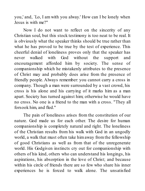you,' and, `Lo, I am with you alway.' How can I be lonely when Jesus is with me?"

Now I do not want to reflect on the sincerity of any Christian soul, but this stock testimony is too neat to be real. It is obviously what the speaker thinks should be true rather than what he has proved to be true by the test of experience. This cheerful denial of loneliness proves only that the speaker has never walked with God without the support and encouragement afforded him by society. The sense of companionship which he mistakenly attributes to the presence of Christ may and probably does arise from the presence of friendly people. Always remember: you cannot carry a cross in company. Though a man were surrounded by a vast crowd, his cross is his alone and his carrying of it marks him as a man apart. Society has turned against him; otherwise he would have no cross. No one is a friend to the man with a cross. "They all forsook him, and fled."

The pain of loneliness arises from the constitution of our nature. God made us for each other. The desire for human companionship is completely natural and right. The loneliness of the Christian results from his walk with God in an ungodly world, a walk that must often take himaway fromthe fellowship of good Christians as well as from that of the unregenerate world. His Godgiven instincts cry out for companionship with others of his kind, others who can understand his longings, his aspirations, his absorption in the love of Christ; and because within his circle of friends there are so few who share his inner experiences he is forced to walk alone. The unsatisfied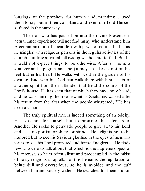longings of the prophets for human understanding caused them to cry out in their complaint, and even our Lord Himself suffered in the same way.

The man who has passed on into the divine Presence in actual inner experience will not find many who understand him. A certain amount of social fellowship will of course be his as he mingles with religious persons in the regular activities of the church, but true spiritual fellowship will be hard to find. But he should not expect things to be otherwise. After all, he is a stranger and a pilgrim, and the journey he takes is not on his feet but in his heart. He walks with God in the garden of his own souland who but God can walk there with him? He is of another spirit from the multitudes that tread the courts of the Lord's house. He has seen that of which they have only heard, and he walks among them somewhat as Zacharias walked after his return from the altar when the people whispered, "He has seen a vision."

The truly spiritual man is indeed something of an oddity. He lives not for himself but to promote the interests of Another. He seeks to persuade people to give all to his Lord and asks no portion or share for himself. He delights not to be honored but to see his Saviour glorified in the eyes of men. His joy is to see his Lord promoted and himself neglected. He finds few who care to talk about that which is the supreme object of his interest, so he is often silent and preoccupied in the midst of noisy religious shoptalk. For this he earns the reputation of being dull and overserious, so he is avoided and the gulf between him and society widens. He searches for friends upon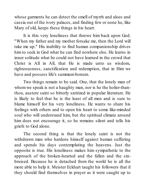whose garments he can detect the smell of myrrh and aloes and cassia out of the ivory palaces, and finding few or none he, like Mary of old, keeps these things in his heart.

It is this very loneliness that throws him back upon God. "When my father and my mother forsake me, then the Lord will take me up." His inability to find human companionship drives him to seek in God what he can find nowhere else. He learns in inner solitude what he could not have learned in the crowd that Christ is All in All, that He is made unto us wisdom, righteousness, sanctification and redemption, that in Him we have and possess life's summumbonum.

Two things remain to be said. One, that the lonely man of whom we speak is not a haughty man, nor is he the holier-thanthou, austere saint so bitterly satirized in popular literature. He is likely to feel that he is the least of all men and is sure to blame himself for his very loneliness. He wants to share his feelings with others and to open his heart to some like-minded soul who will understand him, but the spiritual climate around him does not encourage it, so he remains silent and tells his griefs to God alone.

The second thing is that the lonely saint is not the withdrawn man who hardens himself against human suffering and spends his days contemplating the heavens. Just the opposite is true. His loneliness makes him sympathetic to the approach of the broken-hearted and the fallen and the sinbruised. Because he is detached from the world he is all the more able to help it. Meister Eckhart taught his followers that if they should find themselves in prayer as it were caught up to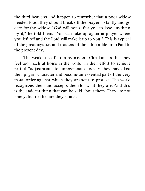the third heavens and happen to remember that a poor widow needed food, they should break off the prayer instantly and go care for the widow. "God will not suffer you to lose anything by it," he told them. "You can take up again in prayer where you left off and the Lord will make it up to you." This is typical of the great mystics and masters of the interior life from Paul to the present day.

The weakness of so many modern Christians is that they feel too much at home in the world. In their effort to achieve restful "adjustment" to unregenerate society they have lost their pilgrim character and become an essential part of the very moral order against which they are sent to protest. The world recognizes them and accepts them for what they are. And this is the saddest thing that can be said about them. They are not lonely, but neither are they saints.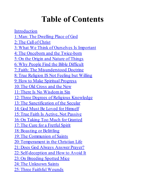## **Table of Contents**

**Introduction** 1: Man: The Dwelling Place of God 2: The Call of Christ 3: What We Think of Ourselves Is Important 4: The Onceborn and the Twice-born 5: On the Origin and Nature of Things 6: Why People Find the Bible Difficult 7: Faith: The Misunderstood Doctrine 8: True Religion IS Not Feeling but Willing 9: How to Make Spiritual Progress 10: The Old Cross and the New 11: There Is No Wisdomin Sin 12: Three Degrees of Religious Knowledge 13: The Sanctification of the Secular 14: God Must Be Loved for Himself 15: True Faith Is Active, Not Passive 16: On Taking Too Much for Granted 17: The Cure for a Fretful Spirit 18: Boasting or Belittling 19: The Communion of Saints 20: Temperament in the Christian Life 21: Does God Always Answer Prayer? 22: Self-deception and How to Avoid It 23: On Breeding Spotted Mice 24: The Unknown Saints 25: Three Faithful Wounds